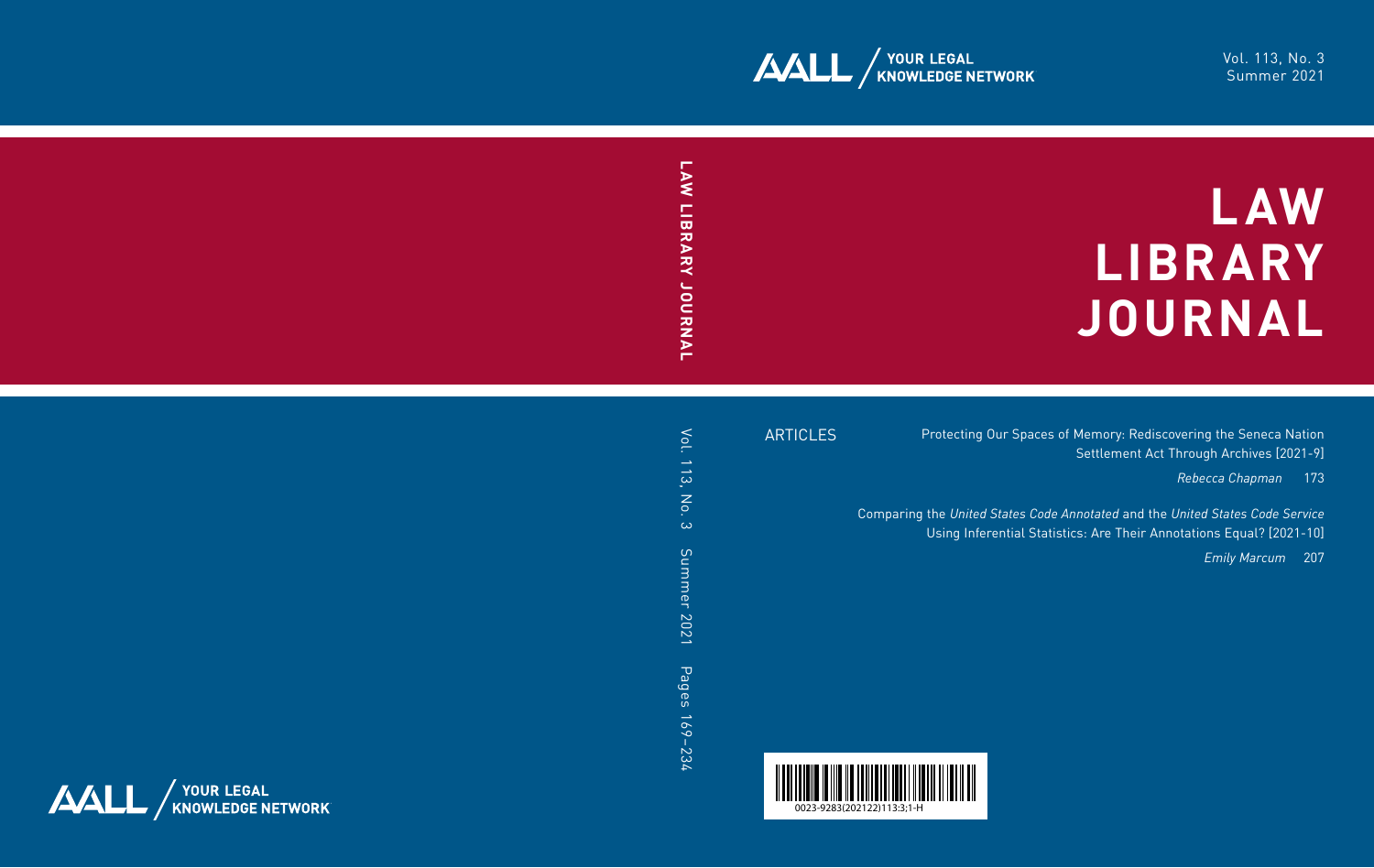

# **LAW LIBRARY JOURNAL**

ARTICLES

Protecting Our Spaces of Memory: Rediscovering the Seneca Nation Settlement Act Through Archives [2021-9]

*Rebecca Chapman* 173

Comparing the *United States Code Annotated* and the *United States Code Service*  Using Inferential Statistics: Are Their Annotations Equal? [2021-10]

*Emily Marcum* 207

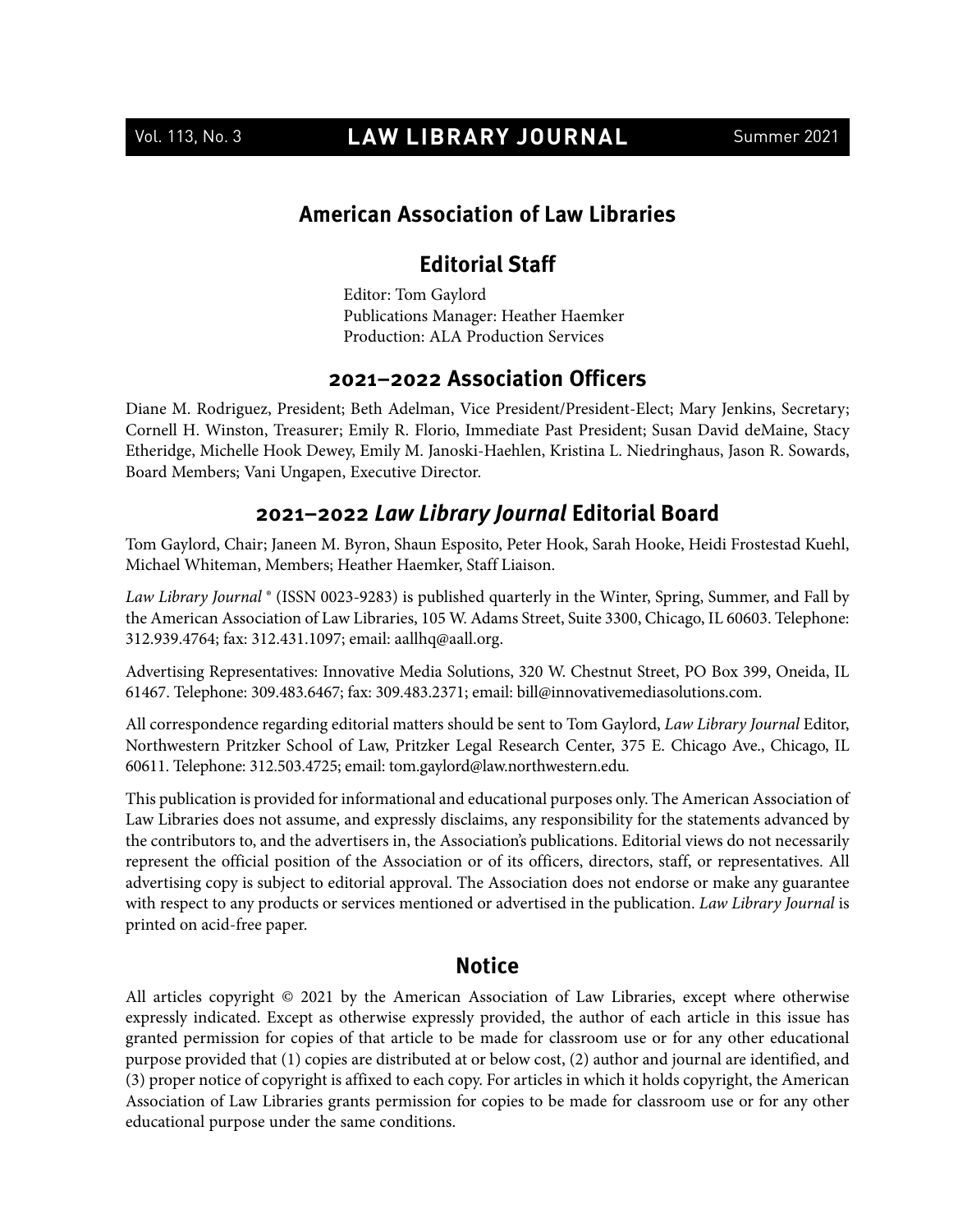## Vol. 113, No. 3 **LAW LIBRARY JOURNAL** Summer 2021

#### **American Association of Law Libraries**

#### **Editorial Staff**

Editor: Tom Gaylord Publications Manager: Heather Haemker Production: ALA Production Services

#### **2021–2022 Association Officers**

Diane M. Rodriguez, President; Beth Adelman, Vice President/President-Elect; Mary Jenkins, Secretary; Cornell H. Winston, Treasurer; Emily R. Florio, Immediate Past President; Susan David deMaine, Stacy Etheridge, Michelle Hook Dewey, Emily M. Janoski-Haehlen, Kristina L. Niedringhaus, Jason R. Sowards, Board Members; Vani Ungapen, Executive Director.

#### **2021–2022 Law Library Journal Editorial Board**

Tom Gaylord, Chair; Janeen M. Byron, Shaun Esposito, Peter Hook, Sarah Hooke, Heidi Frostestad Kuehl, Michael Whiteman, Members; Heather Haemker, Staff Liaison.

*Law Library Journal* ® (ISSN 0023-9283) is published quarterly in the Winter, Spring, Summer, and Fall by the American Association of Law Libraries, 105 W. Adams Street, Suite 3300, Chicago, IL 60603. Telephone: 312.939.4764; fax: 312.431.1097; email: [aallhq@aall.org.](mailto:aallhq@aall.org)

Advertising Representatives: Innovative Media Solutions, 320 W. Chestnut Street, PO Box 399, Oneida, IL 61467. Telephone: 309.483.6467; fax: 309.483.2371; email: [bill@innovativemediasolutions.com.](mailto:bill@innovativemediasolutions.com)

All correspondence regarding editorial matters should be sent to Tom Gaylord, *Law Library Journal* Editor, Northwestern Pritzker School of Law, Pritzker Legal Research Center, 375 E. Chicago Ave., Chicago, IL 60611. Telephone: 312.503.4725; email: [tom.gaylord@law.northwestern.edu.](mailto:tom.gaylord@law.northwestern.edu)

This publication is provided for informational and educational purposes only. The American Association of Law Libraries does not assume, and expressly disclaims, any responsibility for the statements advanced by the contributors to, and the advertisers in, the Association's publications. Editorial views do not necessarily represent the official position of the Association or of its officers, directors, staff, or representatives. All advertising copy is subject to editorial approval. The Association does not endorse or make any guarantee with respect to any products or services mentioned or advertised in the publication. *Law Library Journal* is printed on acid-free paper.

#### **Notice**

All articles copyright © 2021 by the American Association of Law Libraries, except where otherwise expressly indicated. Except as otherwise expressly provided, the author of each article in this issue has granted permission for copies of that article to be made for classroom use or for any other educational purpose provided that (1) copies are distributed at or below cost, (2) author and journal are identified, and (3) proper notice of copyright is affixed to each copy. For articles in which it holds copyright, the American Association of Law Libraries grants permission for copies to be made for classroom use or for any other educational purpose under the same conditions.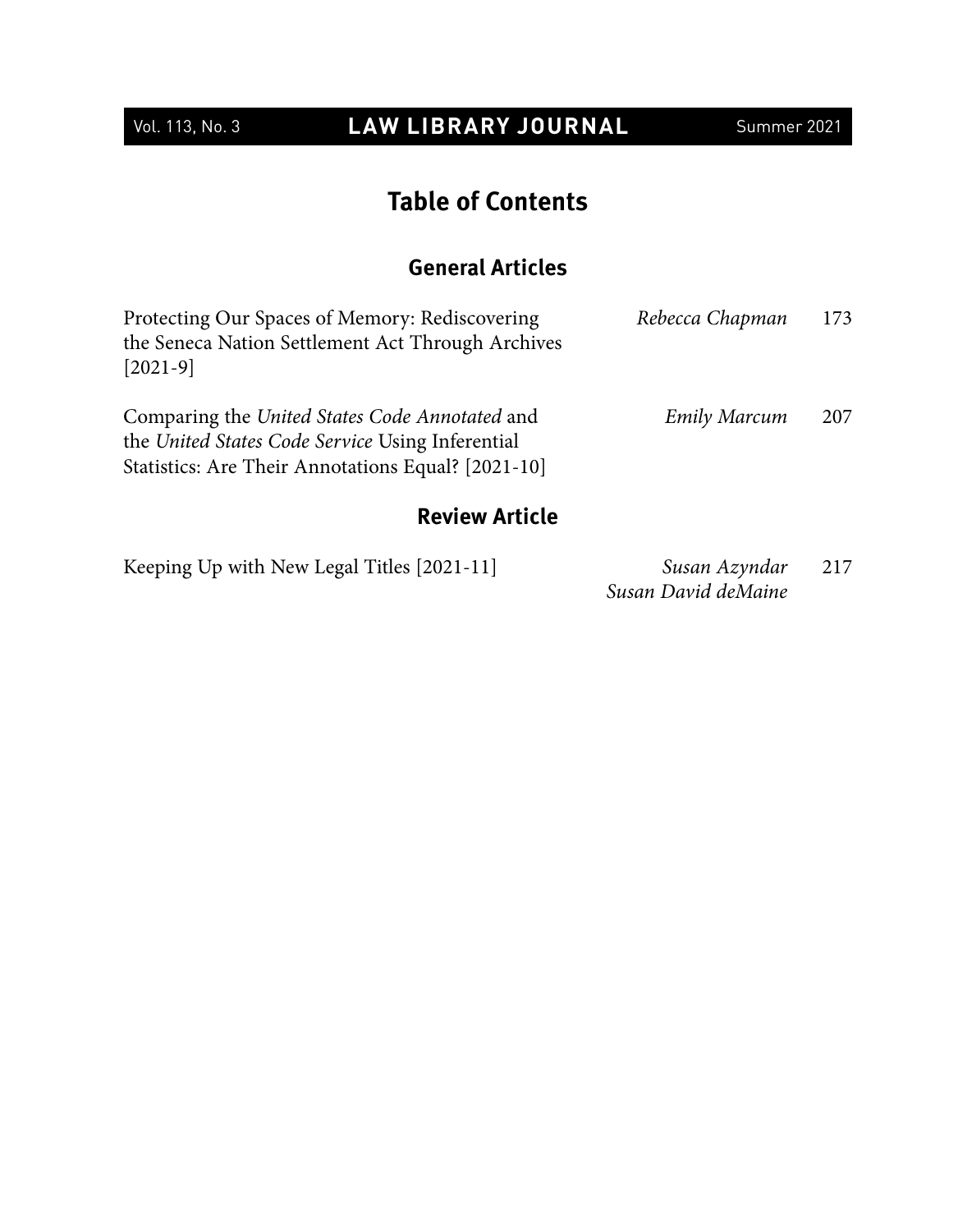## Vol. 113, No. 3 **LAW LIBRARY JOURNAL** Summer 2021

## **Table of Contents**

## **General Articles**

| Protecting Our Spaces of Memory: Rediscovering<br>the Seneca Nation Settlement Act Through Archives<br>$[2021-9]$                                        | Rebecca Chapman | 173 |
|----------------------------------------------------------------------------------------------------------------------------------------------------------|-----------------|-----|
| Comparing the United States Code Annotated and<br>the United States Code Service Using Inferential<br>Statistics: Are Their Annotations Equal? [2021-10] | Emily Marcum    | 207 |
| <b>Review Article</b>                                                                                                                                    |                 |     |

| Keeping Up with New Legal Titles [2021-11] | Susan Azyndar       | 217 |  |
|--------------------------------------------|---------------------|-----|--|
|                                            | Susan David deMaine |     |  |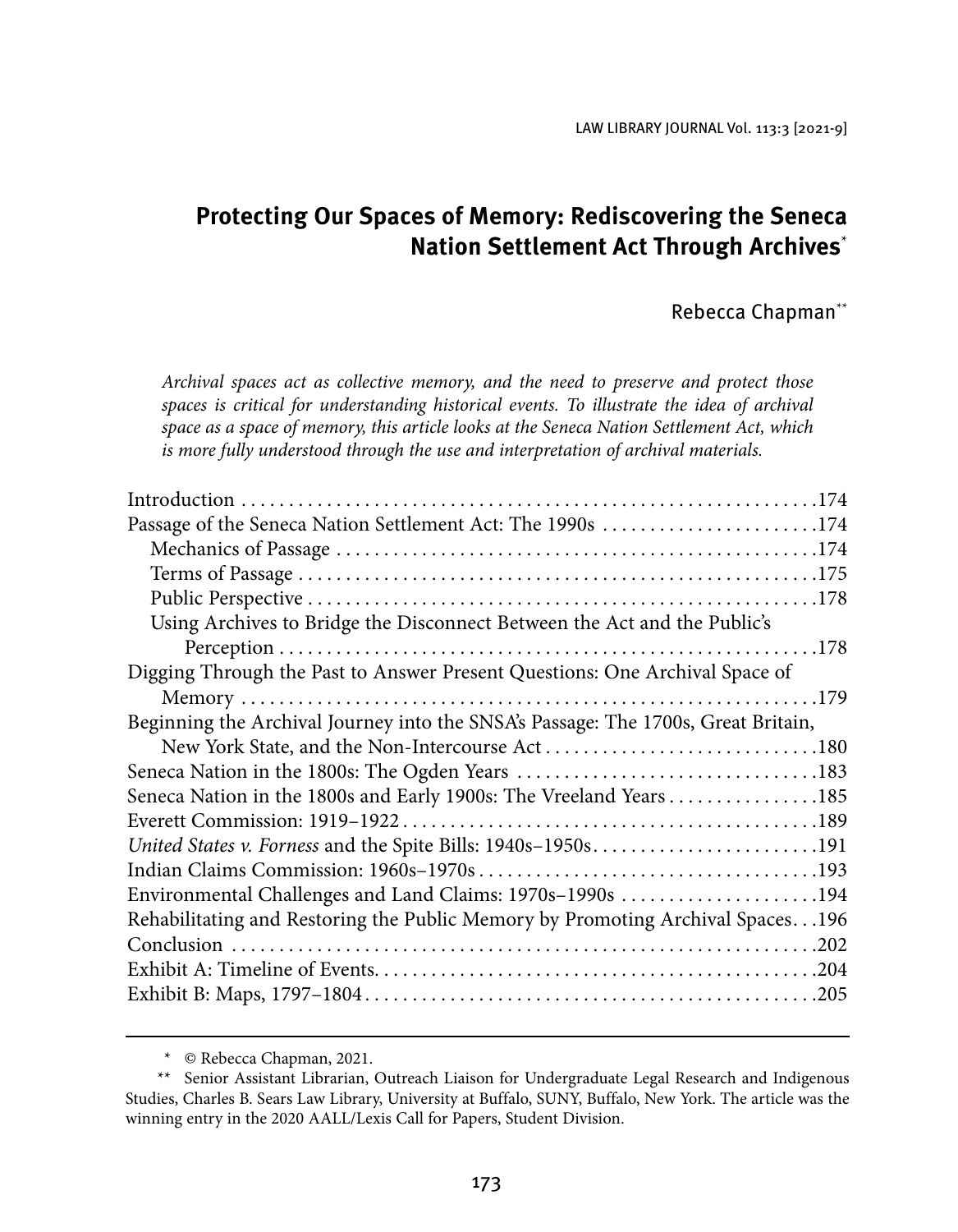LAW LIBRARY JOURNAL Vol. 113:3 [2021-9]

## **Protecting Our Spaces of Memory: Rediscovering the Seneca Nation Settlement Act Through Archives**\*

#### Rebecca Chapman\*\*

*Archival spaces act as collective memory, and the need to preserve and protect those*  spaces is critical for understanding historical events. To illustrate the idea of archival *space as a space of memory, this article looks at the Seneca Nation Settlement Act, which is more fully understood through the use and interpretation of archival materials.*

| Passage of the Seneca Nation Settlement Act: The 1990s 174                        |  |
|-----------------------------------------------------------------------------------|--|
|                                                                                   |  |
|                                                                                   |  |
|                                                                                   |  |
| Using Archives to Bridge the Disconnect Between the Act and the Public's          |  |
|                                                                                   |  |
| Digging Through the Past to Answer Present Questions: One Archival Space of       |  |
|                                                                                   |  |
| Beginning the Archival Journey into the SNSA's Passage: The 1700s, Great Britain, |  |
|                                                                                   |  |
|                                                                                   |  |
| Seneca Nation in the 1800s and Early 1900s: The Vreeland Years 185                |  |
|                                                                                   |  |
| United States v. Forness and the Spite Bills: 1940s-1950s191                      |  |
|                                                                                   |  |
| Environmental Challenges and Land Claims: 1970s-1990s 194                         |  |
| Rehabilitating and Restoring the Public Memory by Promoting Archival Spaces. 196  |  |
|                                                                                   |  |
|                                                                                   |  |
|                                                                                   |  |

<sup>\*</sup> © Rebecca Chapman, 2021.

<sup>\*\*</sup> Senior Assistant Librarian, Outreach Liaison for Undergraduate Legal Research and Indigenous Studies, Charles B. Sears Law Library, University at Buffalo, SUNY, Buffalo, New York. The article was the winning entry in the 2020 AALL/Lexis Call for Papers, Student Division.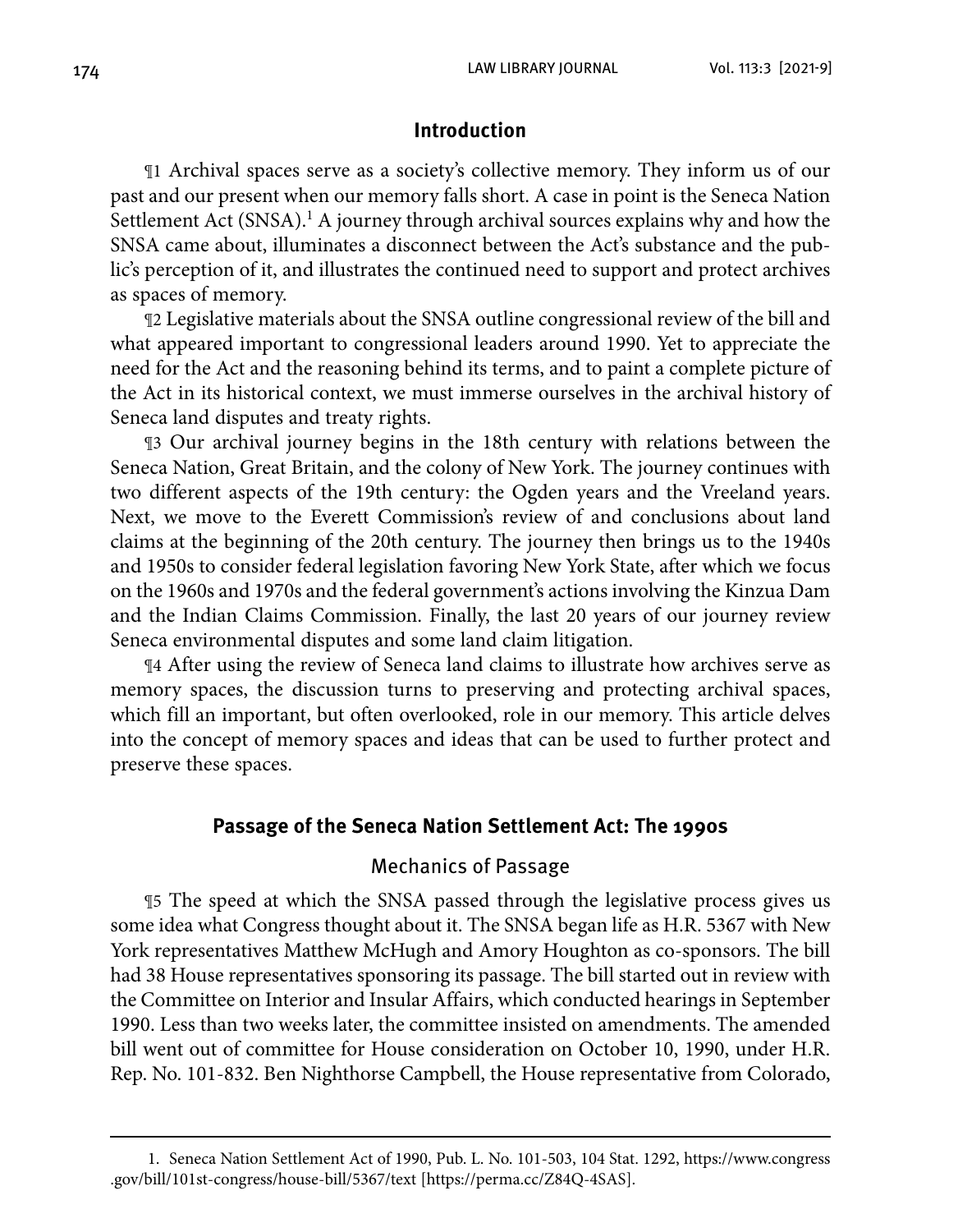#### **Introduction**

¶1 Archival spaces serve as a society's collective memory. They inform us of our past and our present when our memory falls short. A case in point is the Seneca Nation Settlement Act (SNSA).<sup>1</sup> A journey through archival sources explains why and how the SNSA came about, illuminates a disconnect between the Act's substance and the public's perception of it, and illustrates the continued need to support and protect archives as spaces of memory.

¶2 Legislative materials about the SNSA outline congressional review of the bill and what appeared important to congressional leaders around 1990. Yet to appreciate the need for the Act and the reasoning behind its terms, and to paint a complete picture of the Act in its historical context, we must immerse ourselves in the archival history of Seneca land disputes and treaty rights.

¶3 Our archival journey begins in the 18th century with relations between the Seneca Nation, Great Britain, and the colony of New York. The journey continues with two different aspects of the 19th century: the Ogden years and the Vreeland years. Next, we move to the Everett Commission's review of and conclusions about land claims at the beginning of the 20th century. The journey then brings us to the 1940s and 1950s to consider federal legislation favoring New York State, after which we focus on the 1960s and 1970s and the federal government's actions involving the Kinzua Dam and the Indian Claims Commission. Finally, the last 20 years of our journey review Seneca environmental disputes and some land claim litigation.

¶4 After using the review of Seneca land claims to illustrate how archives serve as memory spaces, the discussion turns to preserving and protecting archival spaces, which fill an important, but often overlooked, role in our memory. This article delves into the concept of memory spaces and ideas that can be used to further protect and preserve these spaces.

#### **Passage of the Seneca Nation Settlement Act: The 1990s**

#### Mechanics of Passage

¶5 The speed at which the SNSA passed through the legislative process gives us some idea what Congress thought about it. The SNSA began life as H.R. 5367 with New York representatives Matthew McHugh and Amory Houghton as co-sponsors. The bill had 38 House representatives sponsoring its passage. The bill started out in review with the Committee on Interior and Insular Affairs, which conducted hearings in September 1990. Less than two weeks later, the committee insisted on amendments. The amended bill went out of committee for House consideration on October 10, 1990, under H.R. Rep. No. 101-832. Ben Nighthorse Campbell, the House representative from Colorado,

<sup>1.</sup> Seneca Nation Settlement Act of 1990, Pub. L. No. 101-503, 104 Stat. 1292, [https://www.congress](https://www.congress.gov/bill/101st-congress/house-bill/5367/text) [.gov/bill/101st-congress/house-bill/5367/text](https://www.congress.gov/bill/101st-congress/house-bill/5367/text) [\[https://perma.cc/Z84Q-4SAS\].](https://perma.cc/Z84Q-4SAS])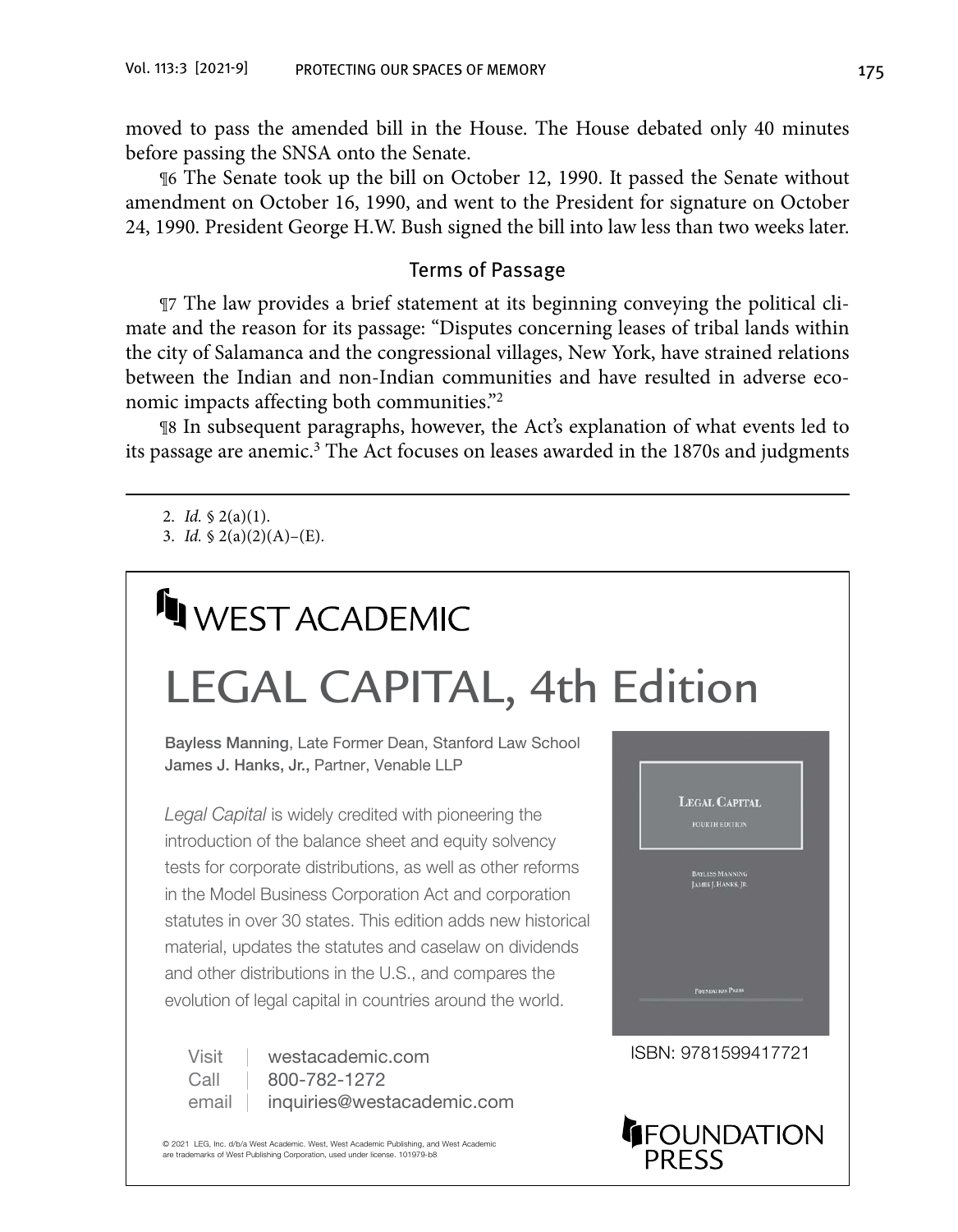moved to pass the amended bill in the House. The House debated only 40 minutes before passing the SNSA onto the Senate.

¶6 The Senate took up the bill on October 12, 1990. It passed the Senate without amendment on October 16, 1990, and went to the President for signature on October 24, 1990. President George H.W. Bush signed the bill into law less than two weeks later.

#### Terms of Passage

¶7 The law provides a brief statement at its beginning conveying the political climate and the reason for its passage: "Disputes concerning leases of tribal lands within the city of Salamanca and the congressional villages, New York, have strained relations between the Indian and non-Indian communities and have resulted in adverse economic impacts affecting both communities."2

¶8 In subsequent paragraphs, however, the Act's explanation of what events led to its passage are anemic.<sup>3</sup> The Act focuses on leases awarded in the 1870s and judgments

## **IN WEST ACADEMIC** [LEGAL CAPITAL, 4th Edition](https://www.westacademic.com/Manning-and-Hanks-Legal-Capital-4th-9781599417721)

Bayless Manning, Late Former Dean, Stanford Law School James J. Hanks, Jr., Partner, Venable LLP

*Legal Capital* is widely credited with pioneering the introduction of the balance sheet and equity solvency tests for corporate distributions, as well as other reforms in the Model Business Corporation Act and corporation statutes in over 30 states. This edition adds new historical material, updates the statutes and caselaw on dividends and other distributions in the U.S., and compares the evolution of legal capital in countries around the world.

Visit westacademic.com ISBN: 9781599417721 Call | 800-782-1272 email | [inquiries@westacademic.com](mailto:inquiries@westacademic.com)

© 2021 LEG, Inc. d/b/a West Academic. West, West Academic Publishing, and West Academic are trademarks of West Publishing Corporation, used under license. 101979-b8



<sup>2.</sup> *Id.* § 2(a)(1).

<sup>3.</sup> *Id.*  $\frac{6}{2}(a)(2)(A) - (E)$ .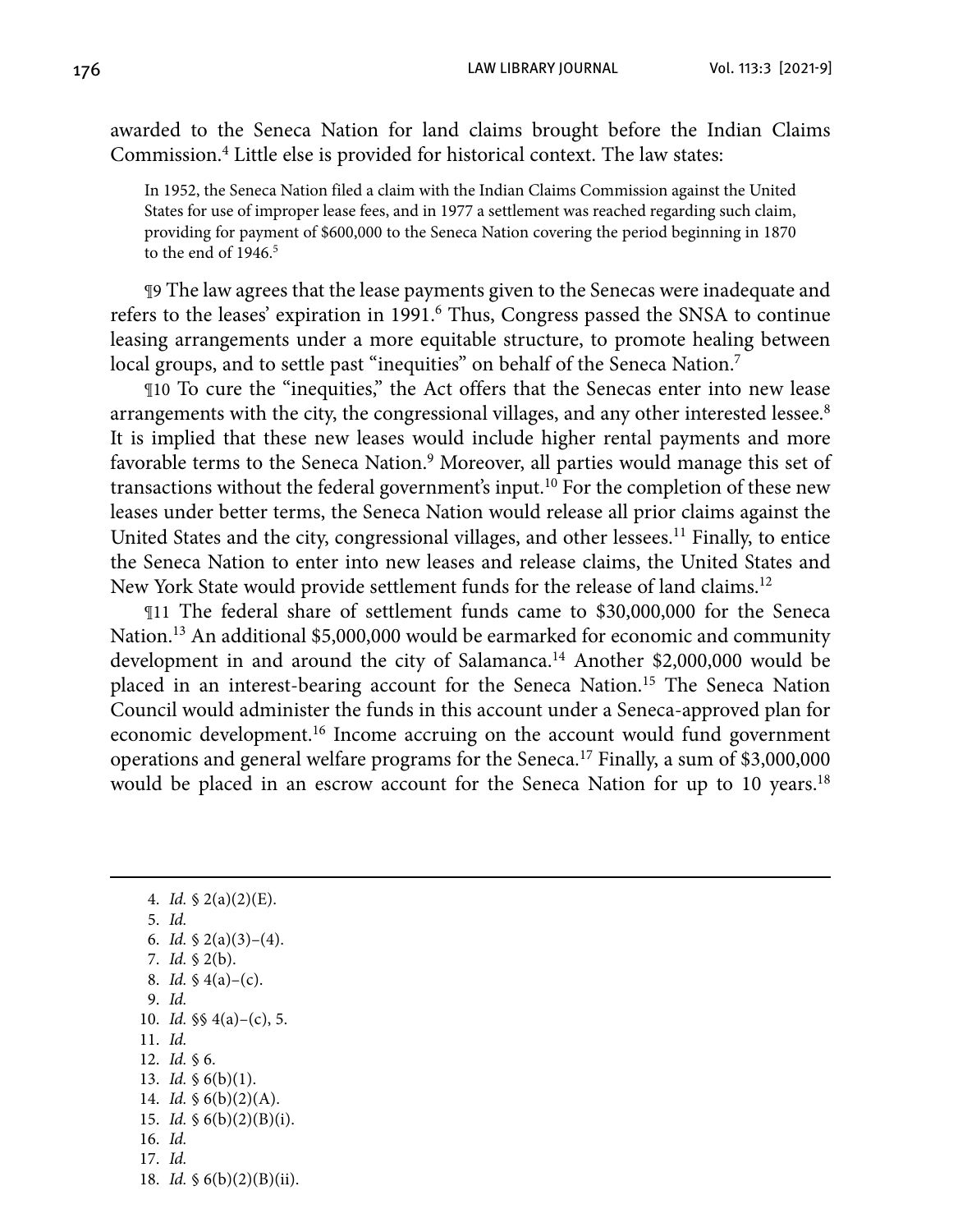awarded to the Seneca Nation for land claims brought before the Indian Claims Commission.4 Little else is provided for historical context. The law states:

In 1952, the Seneca Nation filed a claim with the Indian Claims Commission against the United States for use of improper lease fees, and in 1977 a settlement was reached regarding such claim, providing for payment of \$600,000 to the Seneca Nation covering the period beginning in 1870 to the end of  $1946<sup>5</sup>$ 

¶9 The law agrees that the lease payments given to the Senecas were inadequate and refers to the leases' expiration in 1991.<sup>6</sup> Thus, Congress passed the SNSA to continue leasing arrangements under a more equitable structure, to promote healing between local groups, and to settle past "inequities" on behalf of the Seneca Nation.<sup>7</sup>

¶10 To cure the "inequities," the Act offers that the Senecas enter into new lease arrangements with the city, the congressional villages, and any other interested lessee.<sup>8</sup> It is implied that these new leases would include higher rental payments and more favorable terms to the Seneca Nation.<sup>9</sup> Moreover, all parties would manage this set of transactions without the federal government's input.10 For the completion of these new leases under better terms, the Seneca Nation would release all prior claims against the United States and the city, congressional villages, and other lessees.<sup>11</sup> Finally, to entice the Seneca Nation to enter into new leases and release claims, the United States and New York State would provide settlement funds for the release of land claims.<sup>12</sup>

¶11 The federal share of settlement funds came to \$30,000,000 for the Seneca Nation.<sup>13</sup> An additional \$5,000,000 would be earmarked for economic and community development in and around the city of Salamanca.<sup>14</sup> Another \$2,000,000 would be placed in an interest-bearing account for the Seneca Nation.<sup>15</sup> The Seneca Nation Council would administer the funds in this account under a Seneca-approved plan for economic development.16 Income accruing on the account would fund government operations and general welfare programs for the Seneca.17 Finally, a sum of \$3,000,000 would be placed in an escrow account for the Seneca Nation for up to 10 years.<sup>18</sup>

4. *Id.* § 2(a)(2)(E). 5. *Id.* 6. *Id.*  $\frac{6}{2}(a)(3)-(4)$ . 7. *Id.* § 2(b). 8. *Id.* § 4(a)–(c). 9. *Id.* 10. *Id.* §§ 4(a)–(c), 5. 11. *Id.* 12. *Id.* § 6. 13. *Id.* § 6(b)(1). 14. *Id.* § 6(b)(2)(A). 15. *Id.* § 6(b)(2)(B)(i). 16. *Id.* 17. *Id.* 18. *Id.* § 6(b)(2)(B)(ii).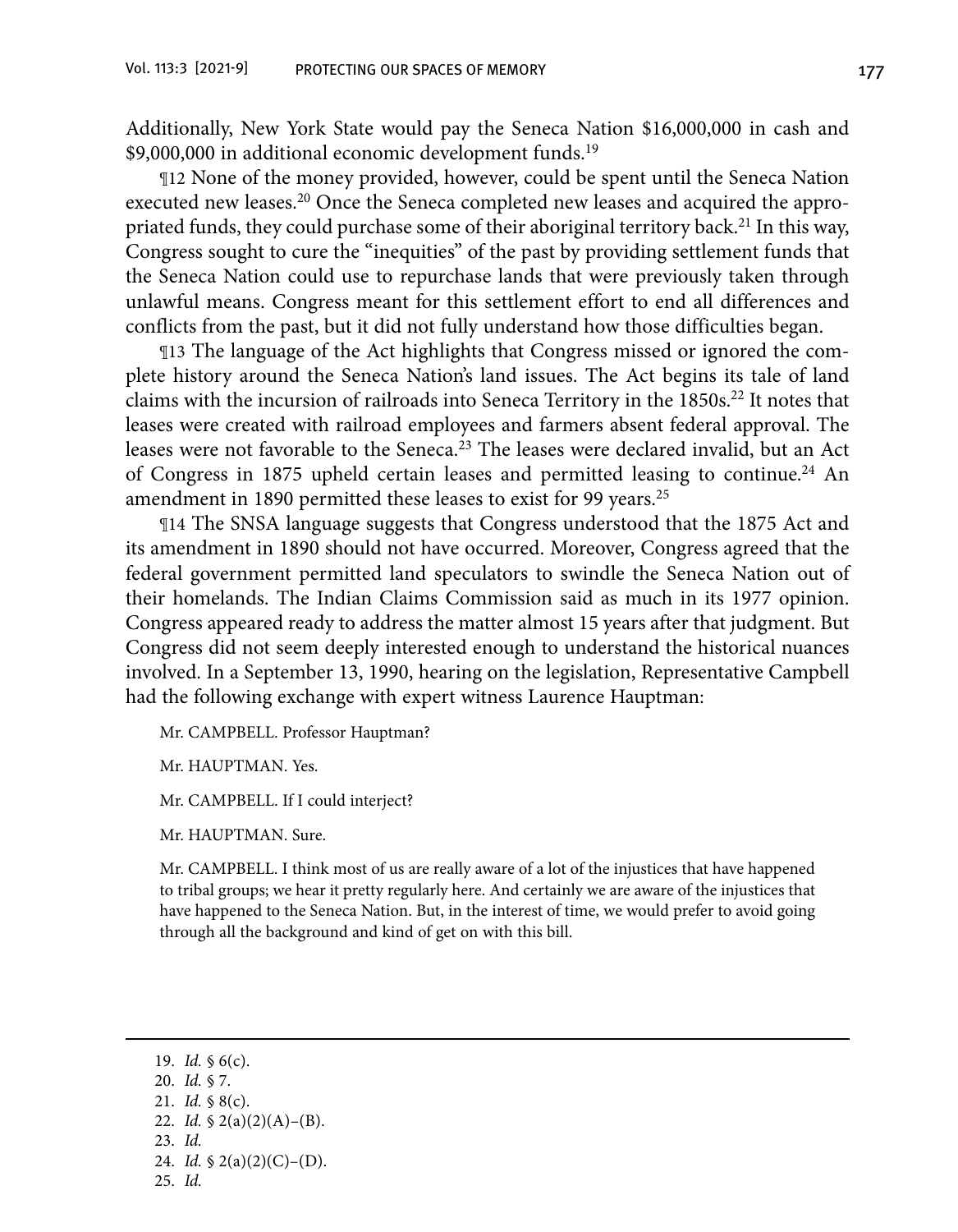Additionally, New York State would pay the Seneca Nation \$16,000,000 in cash and \$9,000,000 in additional economic development funds.<sup>19</sup>

¶12 None of the money provided, however, could be spent until the Seneca Nation executed new leases.20 Once the Seneca completed new leases and acquired the appropriated funds, they could purchase some of their aboriginal territory back.<sup>21</sup> In this way, Congress sought to cure the "inequities" of the past by providing settlement funds that the Seneca Nation could use to repurchase lands that were previously taken through unlawful means. Congress meant for this settlement effort to end all differences and conflicts from the past, but it did not fully understand how those difficulties began.

¶13 The language of the Act highlights that Congress missed or ignored the complete history around the Seneca Nation's land issues. The Act begins its tale of land claims with the incursion of railroads into Seneca Territory in the 1850s.<sup>22</sup> It notes that leases were created with railroad employees and farmers absent federal approval. The leases were not favorable to the Seneca.<sup>23</sup> The leases were declared invalid, but an Act of Congress in 1875 upheld certain leases and permitted leasing to continue.<sup>24</sup> An amendment in 1890 permitted these leases to exist for 99 years.<sup>25</sup>

¶14 The SNSA language suggests that Congress understood that the 1875 Act and its amendment in 1890 should not have occurred. Moreover, Congress agreed that the federal government permitted land speculators to swindle the Seneca Nation out of their homelands. The Indian Claims Commission said as much in its 1977 opinion. Congress appeared ready to address the matter almost 15 years after that judgment. But Congress did not seem deeply interested enough to understand the historical nuances involved. In a September 13, 1990, hearing on the legislation, Representative Campbell had the following exchange with expert witness Laurence Hauptman:

Mr. CAMPBELL. Professor Hauptman?

Mr. HAUPTMAN. Yes.

Mr. CAMPBELL. If I could interject?

Mr. HAUPTMAN. Sure.

Mr. CAMPBELL. I think most of us are really aware of a lot of the injustices that have happened to tribal groups; we hear it pretty regularly here. And certainly we are aware of the injustices that have happened to the Seneca Nation. But, in the interest of time, we would prefer to avoid going through all the background and kind of get on with this bill.

19. *Id.* § 6(c). 20. *Id.* § 7. 21. *Id.* § 8(c). 22. *Id.* § 2(a)(2)(A)–(B). 23. *Id.* 24. *Id.* § 2(a)(2)(C)–(D). 25. *Id.*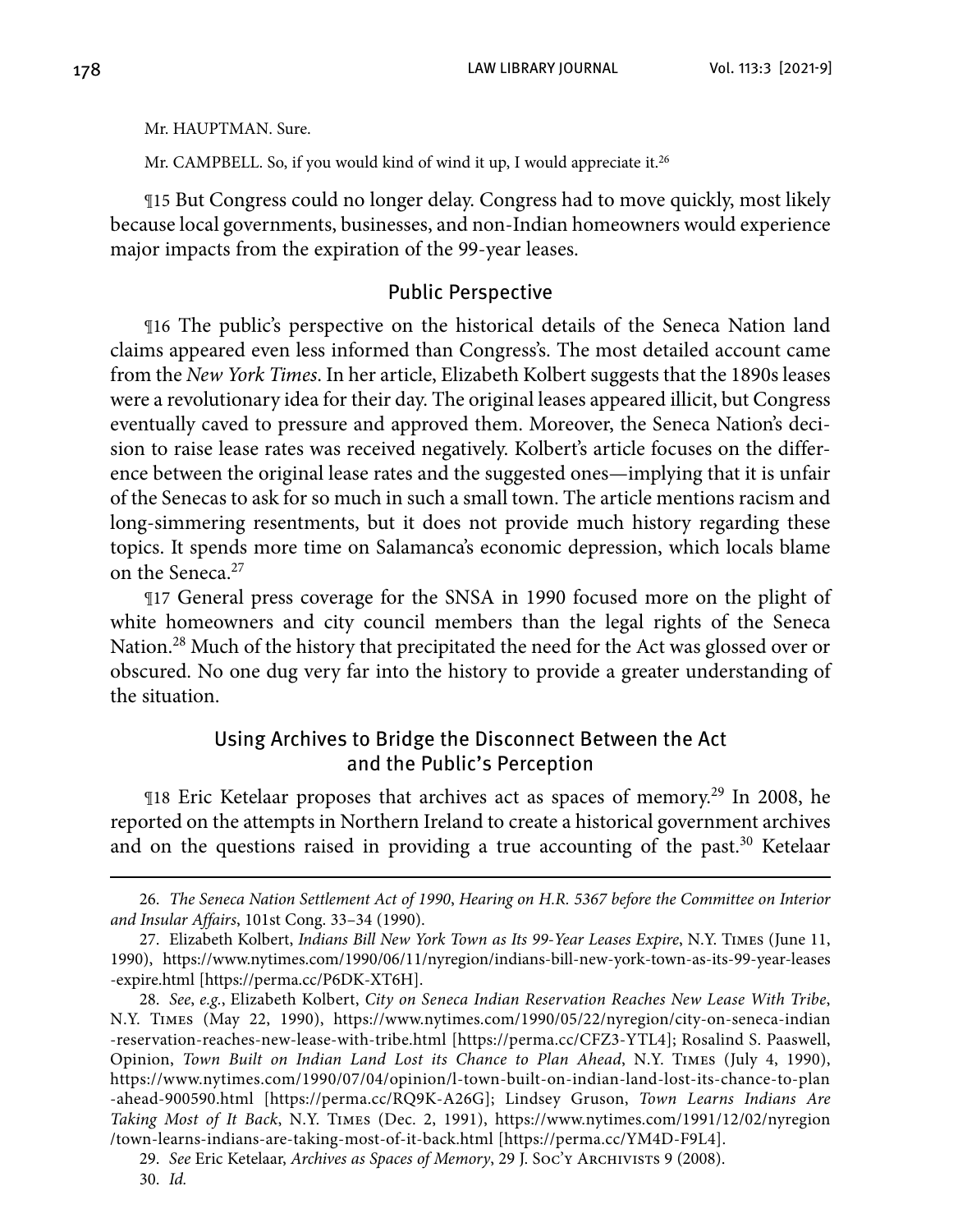Mr. HAUPTMAN. Sure.

Mr. CAMPBELL. So, if you would kind of wind it up, I would appreciate it.<sup>26</sup>

¶15 But Congress could no longer delay. Congress had to move quickly, most likely because local governments, businesses, and non-Indian homeowners would experience major impacts from the expiration of the 99-year leases.

#### Public Perspective

¶16 The public's perspective on the historical details of the Seneca Nation land claims appeared even less informed than Congress's. The most detailed account came from the *New York Times*. In her article, Elizabeth Kolbert suggests that the 1890s leases were a revolutionary idea for their day. The original leases appeared illicit, but Congress eventually caved to pressure and approved them. Moreover, the Seneca Nation's decision to raise lease rates was received negatively. Kolbert's article focuses on the difference between the original lease rates and the suggested ones—implying that it is unfair of the Senecas to ask for so much in such a small town. The article mentions racism and long-simmering resentments, but it does not provide much history regarding these topics. It spends more time on Salamanca's economic depression, which locals blame on the Seneca.<sup>27</sup>

¶17 General press coverage for the SNSA in 1990 focused more on the plight of white homeowners and city council members than the legal rights of the Seneca Nation.<sup>28</sup> Much of the history that precipitated the need for the Act was glossed over or obscured. No one dug very far into the history to provide a greater understanding of the situation.

#### Using Archives to Bridge the Disconnect Between the Act and the Public's Perception

¶18 Eric Ketelaar proposes that archives act as spaces of memory.29 In 2008, he reported on the attempts in Northern Ireland to create a historical government archives and on the questions raised in providing a true accounting of the past.<sup>30</sup> Ketelaar

<sup>26.</sup> *The Seneca Nation Settlement Act of 1990*, *Hearing on H.R. 5367 before the Committee on Interior and Insular Affairs*, 101st Cong. 33–34 (1990).

 <sup>27.</sup> Elizabeth Kolbert, *Indians Bill New York Town as Its 99-Year Leases Expire*, N.Y. Times (June 11, 1990), [https://www.nytimes.com/1990/06/11/nyregion/indians-bill-new-york-town-as-its-99-year-leases](https://www.nytimes.com/1990/06/11/nyregion/indians-bill-new-york-town-as-its-99-year-leases-expire.html) [-expire.html](https://www.nytimes.com/1990/06/11/nyregion/indians-bill-new-york-town-as-its-99-year-leases-expire.html) [[https://perma.cc/P6DK-XT6H\].](https://perma.cc/P6DK-XT6H])

 <sup>28.</sup> *See*, *e.g.*, Elizabeth Kolbert, *City on Seneca Indian Reservation Reaches New Lease With Tribe*, N.Y. Times (May 22, 1990), [https://www.nytimes.com/1990/05/22/nyregion/city-on-seneca-indian](https://www.nytimes.com/1990/05/22/nyregion/city-on-seneca-indian-reservation-reaches-new-lease-with-tribe.html) [-reservation-reaches-new-lease-with-tribe.html](https://www.nytimes.com/1990/05/22/nyregion/city-on-seneca-indian-reservation-reaches-new-lease-with-tribe.html) [[https://perma.cc/CFZ3-YTL4\]; Ro](https://perma.cc/CFZ3-YTL4])salind S. Paaswell, Opinion, *Town Built on Indian Land Lost its Chance to Plan Ahead*, N.Y. Times (July 4, 1990), [https://www.nytimes.com/1990/07/04/opinion/l-town-built-on-indian-land-lost-its-chance-to-plan](https://www.nytimes.com/1990/07/04/opinion/l-town-built-on-indian-land-lost-its-chance-to-plan-ahead-900590.html) [-ahead-900590.html](https://www.nytimes.com/1990/07/04/opinion/l-town-built-on-indian-land-lost-its-chance-to-plan-ahead-900590.html) [[https://perma.cc/RQ9K-A26G\]; L](https://perma.cc/RQ9K-A26G])indsey Gruson, *Town Learns Indians Are Taking Most of It Back*, N.Y. Times (Dec. 2, 1991), [https://www.nytimes.com/1991/12/02/nyregion](https://www.nytimes.com/1991/12/02/nyregion/town-learns-indians-are-taking-most-of-it-back.html) [/town-learns-indians-are-taking-most-of-it-back.html](https://www.nytimes.com/1991/12/02/nyregion/town-learns-indians-are-taking-most-of-it-back.html) [\[https://perma.cc/YM4D-F9L4\].](https://perma.cc/YM4D-F9L4])

 <sup>29.</sup> *See* Eric Ketelaar, *Archives as Spaces of Memory*, 29 J. Soc'y Archivists 9 (2008).

 <sup>30.</sup> *Id.*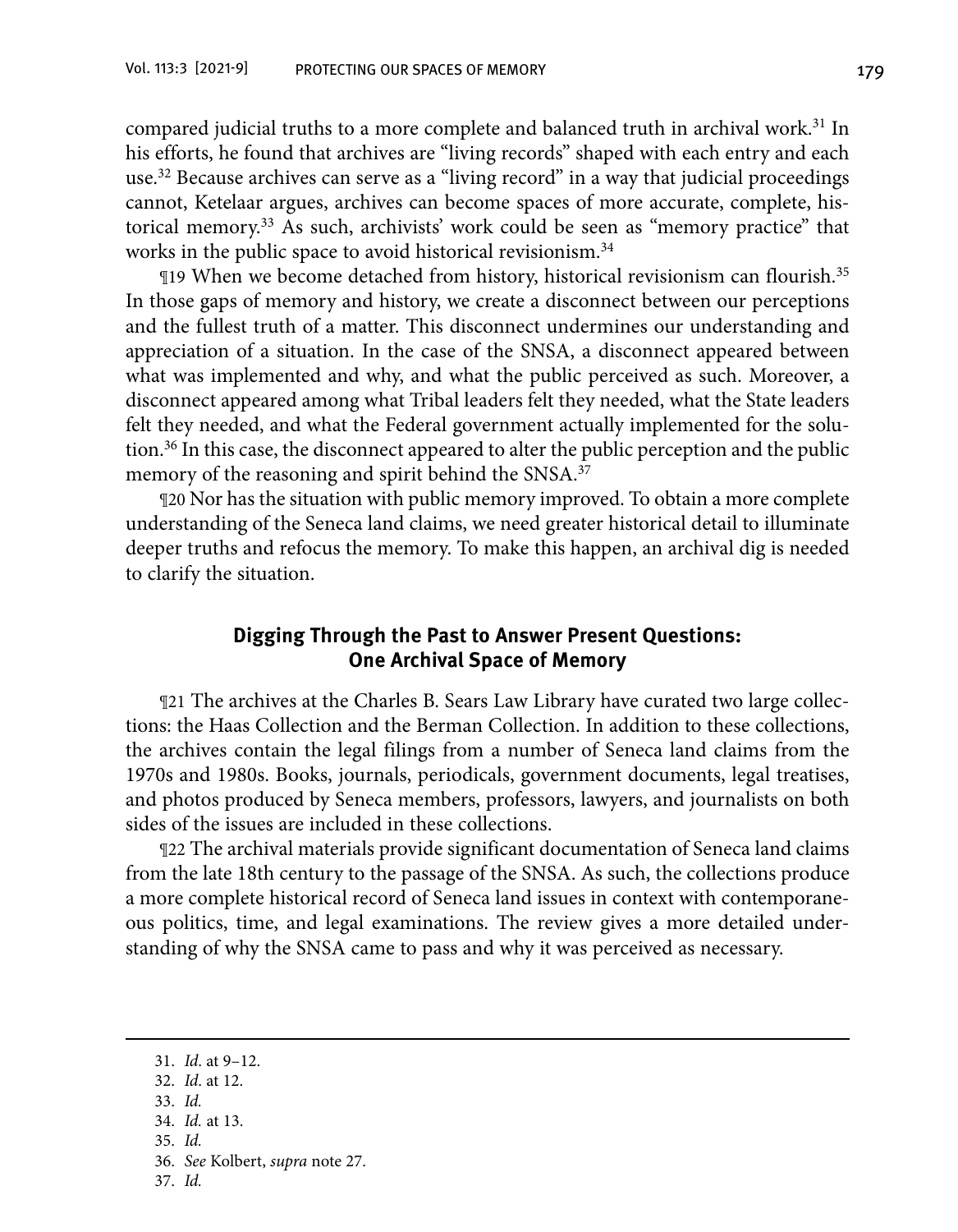compared judicial truths to a more complete and balanced truth in archival work.<sup>31</sup> In his efforts, he found that archives are "living records" shaped with each entry and each use.32 Because archives can serve as a "living record" in a way that judicial proceedings cannot, Ketelaar argues, archives can become spaces of more accurate, complete, historical memory.33 As such, archivists' work could be seen as "memory practice" that works in the public space to avoid historical revisionism.<sup>34</sup>

¶19 When we become detached from history, historical revisionism can flourish.35 In those gaps of memory and history, we create a disconnect between our perceptions and the fullest truth of a matter. This disconnect undermines our understanding and appreciation of a situation. In the case of the SNSA, a disconnect appeared between what was implemented and why, and what the public perceived as such. Moreover, a disconnect appeared among what Tribal leaders felt they needed, what the State leaders felt they needed, and what the Federal government actually implemented for the solution.36 In this case, the disconnect appeared to alter the public perception and the public memory of the reasoning and spirit behind the SNSA.<sup>37</sup>

¶20 Nor has the situation with public memory improved. To obtain a more complete understanding of the Seneca land claims, we need greater historical detail to illuminate deeper truths and refocus the memory. To make this happen, an archival dig is needed to clarify the situation.

#### **Digging Through the Past to Answer Present Questions: One Archival Space of Memory**

¶21 The archives at the Charles B. Sears Law Library have curated two large collections: the Haas Collection and the Berman Collection. In addition to these collections, the archives contain the legal filings from a number of Seneca land claims from the 1970s and 1980s. Books, journals, periodicals, government documents, legal treatises, and photos produced by Seneca members, professors, lawyers, and journalists on both sides of the issues are included in these collections.

¶22 The archival materials provide significant documentation of Seneca land claims from the late 18th century to the passage of the SNSA. As such, the collections produce a more complete historical record of Seneca land issues in context with contemporaneous politics, time, and legal examinations. The review gives a more detailed understanding of why the SNSA came to pass and why it was perceived as necessary.

35. *Id.*

37. *Id.*

<sup>31.</sup> *Id*. at 9–12.

<sup>32.</sup> *Id*. at 12.

<sup>33.</sup> *Id.*

<sup>34.</sup> *Id.* at 13.

<sup>36.</sup> *See* Kolbert, *supra* note 27.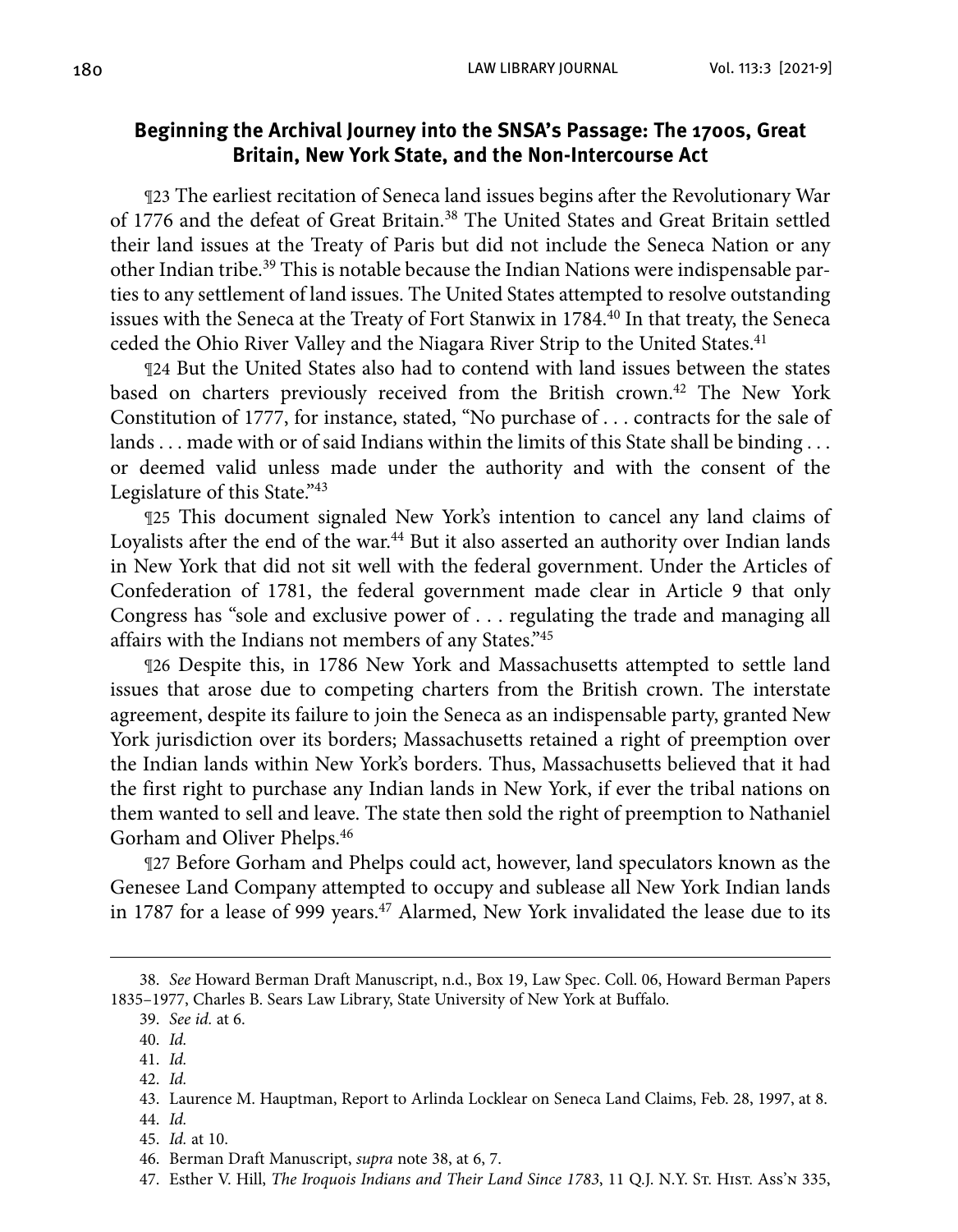#### **Beginning the Archival Journey into the SNSA's Passage: The 1700s, Great Britain, New York State, and the Non-Intercourse Act**

¶23 The earliest recitation of Seneca land issues begins after the Revolutionary War of 1776 and the defeat of Great Britain.<sup>38</sup> The United States and Great Britain settled their land issues at the Treaty of Paris but did not include the Seneca Nation or any other Indian tribe.39 This is notable because the Indian Nations were indispensable parties to any settlement of land issues. The United States attempted to resolve outstanding issues with the Seneca at the Treaty of Fort Stanwix in 1784.<sup>40</sup> In that treaty, the Seneca ceded the Ohio River Valley and the Niagara River Strip to the United States.<sup>41</sup>

¶24 But the United States also had to contend with land issues between the states based on charters previously received from the British crown.<sup>42</sup> The New York Constitution of 1777, for instance, stated, "No purchase of . . . contracts for the sale of lands . . . made with or of said Indians within the limits of this State shall be binding . . . or deemed valid unless made under the authority and with the consent of the Legislature of this State."43

¶25 This document signaled New York's intention to cancel any land claims of Loyalists after the end of the war.<sup>44</sup> But it also asserted an authority over Indian lands in New York that did not sit well with the federal government. Under the Articles of Confederation of 1781, the federal government made clear in Article 9 that only Congress has "sole and exclusive power of . . . regulating the trade and managing all affairs with the Indians not members of any States."45

¶26 Despite this, in 1786 New York and Massachusetts attempted to settle land issues that arose due to competing charters from the British crown. The interstate agreement, despite its failure to join the Seneca as an indispensable party, granted New York jurisdiction over its borders; Massachusetts retained a right of preemption over the Indian lands within New York's borders. Thus, Massachusetts believed that it had the first right to purchase any Indian lands in New York, if ever the tribal nations on them wanted to sell and leave. The state then sold the right of preemption to Nathaniel Gorham and Oliver Phelps.46

¶27 Before Gorham and Phelps could act, however, land speculators known as the Genesee Land Company attempted to occupy and sublease all New York Indian lands in 1787 for a lease of 999 years.<sup>47</sup> Alarmed, New York invalidated the lease due to its

- 41. *Id.*
- 42. *Id.*

<sup>38.</sup> *See* Howard Berman Draft Manuscript, n.d., Box 19, Law Spec. Coll. 06, Howard Berman Papers 1835–1977, Charles B. Sears Law Library, State University of New York at Buffalo.

 <sup>39.</sup> *See id.* at 6.

 <sup>40.</sup> *Id.*

 <sup>43.</sup> Laurence M. Hauptman, Report to Arlinda Locklear on Seneca Land Claims, Feb. 28, 1997, at 8.

 <sup>44.</sup> *Id.*

 <sup>45.</sup> *Id.* at 10.

 <sup>46.</sup> Berman Draft Manuscript, *supra* note 38, at 6, 7.

 <sup>47.</sup> Esther V. Hill, *The Iroquois Indians and Their Land Since 1783*, 11 Q.J. N.Y. St. Hist. Ass'n 335,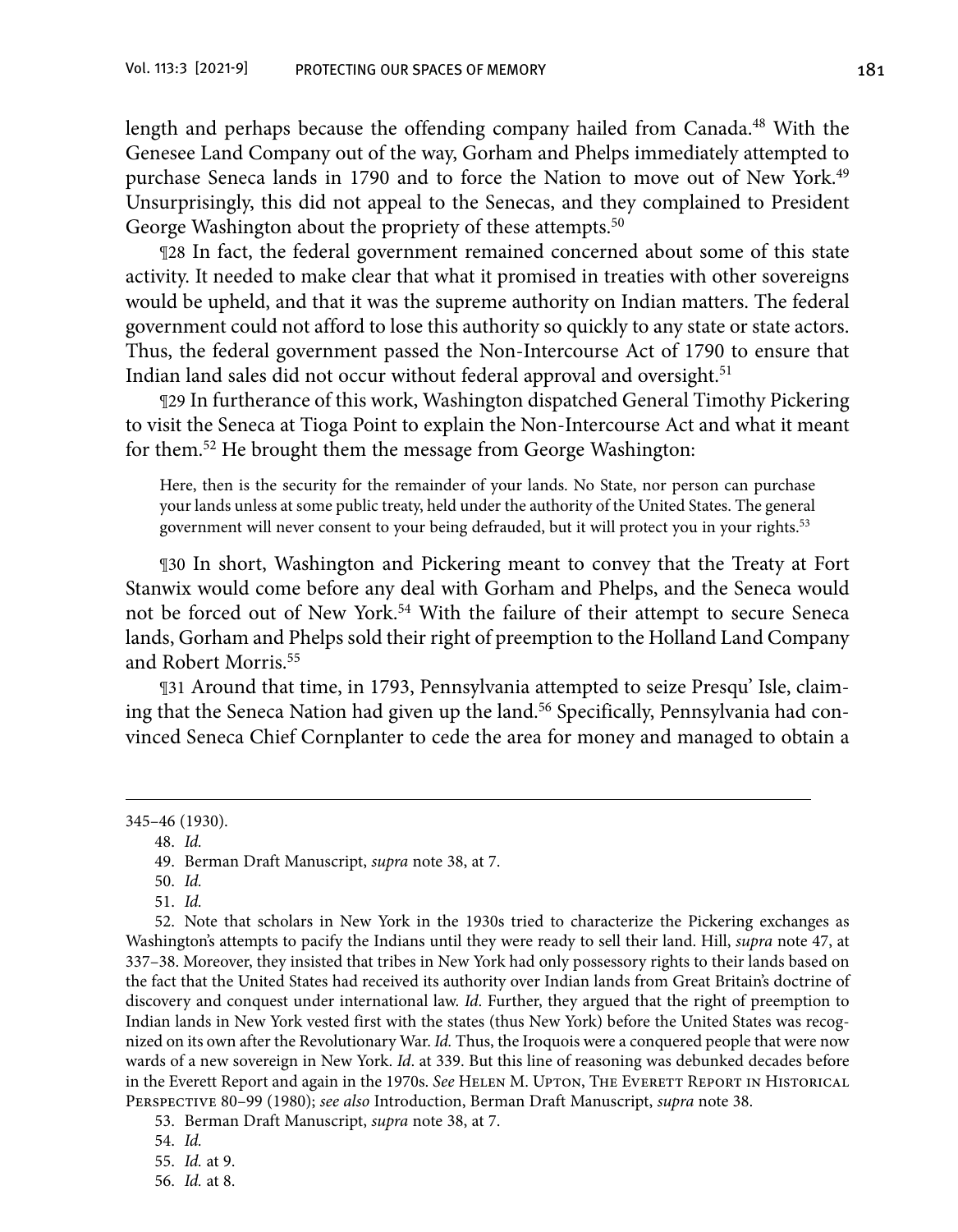length and perhaps because the offending company hailed from Canada.48 With the Genesee Land Company out of the way, Gorham and Phelps immediately attempted to purchase Seneca lands in 1790 and to force the Nation to move out of New York.49 Unsurprisingly, this did not appeal to the Senecas, and they complained to President George Washington about the propriety of these attempts.<sup>50</sup>

¶28 In fact, the federal government remained concerned about some of this state activity. It needed to make clear that what it promised in treaties with other sovereigns would be upheld, and that it was the supreme authority on Indian matters. The federal government could not afford to lose this authority so quickly to any state or state actors. Thus, the federal government passed the Non-Intercourse Act of 1790 to ensure that Indian land sales did not occur without federal approval and oversight.<sup>51</sup>

¶29 In furtherance of this work, Washington dispatched General Timothy Pickering to visit the Seneca at Tioga Point to explain the Non-Intercourse Act and what it meant for them.52 He brought them the message from George Washington:

Here, then is the security for the remainder of your lands. No State, nor person can purchase your lands unless at some public treaty, held under the authority of the United States. The general government will never consent to your being defrauded, but it will protect you in your rights.53

¶30 In short, Washington and Pickering meant to convey that the Treaty at Fort Stanwix would come before any deal with Gorham and Phelps, and the Seneca would not be forced out of New York.54 With the failure of their attempt to secure Seneca lands, Gorham and Phelps sold their right of preemption to the Holland Land Company and Robert Morris<sup>55</sup>

¶31 Around that time, in 1793, Pennsylvania attempted to seize Presqu' Isle, claiming that the Seneca Nation had given up the land.<sup>56</sup> Specifically, Pennsylvania had convinced Seneca Chief Cornplanter to cede the area for money and managed to obtain a

 52. Note that scholars in New York in the 1930s tried to characterize the Pickering exchanges as Washington's attempts to pacify the Indians until they were ready to sell their land. Hill, *supra* note 47, at 337–38. Moreover, they insisted that tribes in New York had only possessory rights to their lands based on the fact that the United States had received its authority over Indian lands from Great Britain's doctrine of discovery and conquest under international law. *Id*. Further, they argued that the right of preemption to Indian lands in New York vested first with the states (thus New York) before the United States was recognized on its own after the Revolutionary War. *Id.* Thus, the Iroquois were a conquered people that were now wards of a new sovereign in New York. *Id*. at 339. But this line of reasoning was debunked decades before in the Everett Report and again in the 1970s. *See* Helen M. Upton, The Everett Report in Historical Perspective 80–99 (1980); *see also* Introduction, Berman Draft Manuscript, *supra* note 38.

53. Berman Draft Manuscript, *supra* note 38, at 7.

<sup>345–46 (1930).</sup>

<sup>48.</sup> *Id.*

<sup>49.</sup> Berman Draft Manuscript, *supra* note 38, at 7.

 <sup>50.</sup> *Id.*

 <sup>51.</sup> *Id.*

 <sup>54.</sup> *Id.*

 <sup>55.</sup> *Id.* at 9.

 <sup>56.</sup> *Id.* at 8.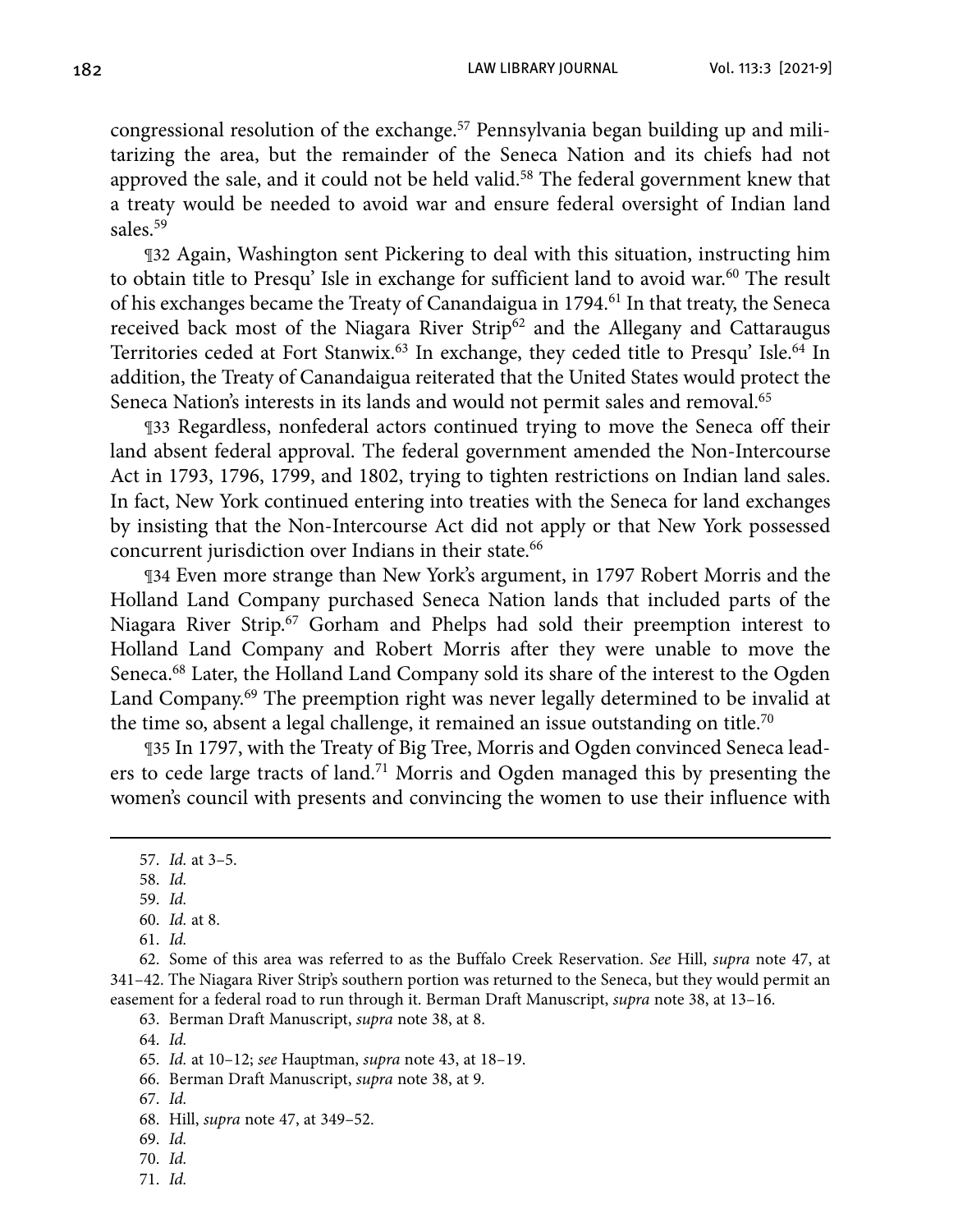congressional resolution of the exchange.<sup>57</sup> Pennsylvania began building up and militarizing the area, but the remainder of the Seneca Nation and its chiefs had not approved the sale, and it could not be held valid.<sup>58</sup> The federal government knew that a treaty would be needed to avoid war and ensure federal oversight of Indian land sales<sup>59</sup>

¶32 Again, Washington sent Pickering to deal with this situation, instructing him to obtain title to Presqu' Isle in exchange for sufficient land to avoid war.<sup>60</sup> The result of his exchanges became the Treaty of Canandaigua in 1794.<sup>61</sup> In that treaty, the Seneca received back most of the Niagara River Strip<sup>62</sup> and the Allegany and Cattaraugus Territories ceded at Fort Stanwix.<sup>63</sup> In exchange, they ceded title to Presqu' Isle.<sup>64</sup> In addition, the Treaty of Canandaigua reiterated that the United States would protect the Seneca Nation's interests in its lands and would not permit sales and removal.<sup>65</sup>

¶33 Regardless, nonfederal actors continued trying to move the Seneca off their land absent federal approval. The federal government amended the Non-Intercourse Act in 1793, 1796, 1799, and 1802, trying to tighten restrictions on Indian land sales. In fact, New York continued entering into treaties with the Seneca for land exchanges by insisting that the Non-Intercourse Act did not apply or that New York possessed concurrent jurisdiction over Indians in their state.<sup>66</sup>

¶34 Even more strange than New York's argument, in 1797 Robert Morris and the Holland Land Company purchased Seneca Nation lands that included parts of the Niagara River Strip.67 Gorham and Phelps had sold their preemption interest to Holland Land Company and Robert Morris after they were unable to move the Seneca.<sup>68</sup> Later, the Holland Land Company sold its share of the interest to the Ogden Land Company.69 The preemption right was never legally determined to be invalid at the time so, absent a legal challenge, it remained an issue outstanding on title.<sup>70</sup>

¶35 In 1797, with the Treaty of Big Tree, Morris and Ogden convinced Seneca leaders to cede large tracts of land.71 Morris and Ogden managed this by presenting the women's council with presents and convincing the women to use their influence with

64. *Id.*

- 67. *Id.*
- 68. Hill, *supra* note 47, at 349–52.
- 69. *Id.*
- 70. *Id.*
- 71. *Id.*

<sup>57.</sup> *Id.* at 3–5.

 <sup>58.</sup> *Id.*

<sup>59.</sup> *Id.*

<sup>60.</sup> *Id.* at 8.

 <sup>61.</sup> *Id.*

<sup>62.</sup> Some of this area was referred to as the Buffalo Creek Reservation. *See* Hill, *supra* note 47, at 341–42. The Niagara River Strip's southern portion was returned to the Seneca, but they would permit an easement for a federal road to run through it. Berman Draft Manuscript, *supra* note 38, at 13–16.

 <sup>63.</sup> Berman Draft Manuscript, *supra* note 38, at 8.

 <sup>65.</sup> *Id.* at 10–12; *see* Hauptman, *supra* note 43, at 18–19.

 <sup>66.</sup> Berman Draft Manuscript, *supra* note 38, at 9*.*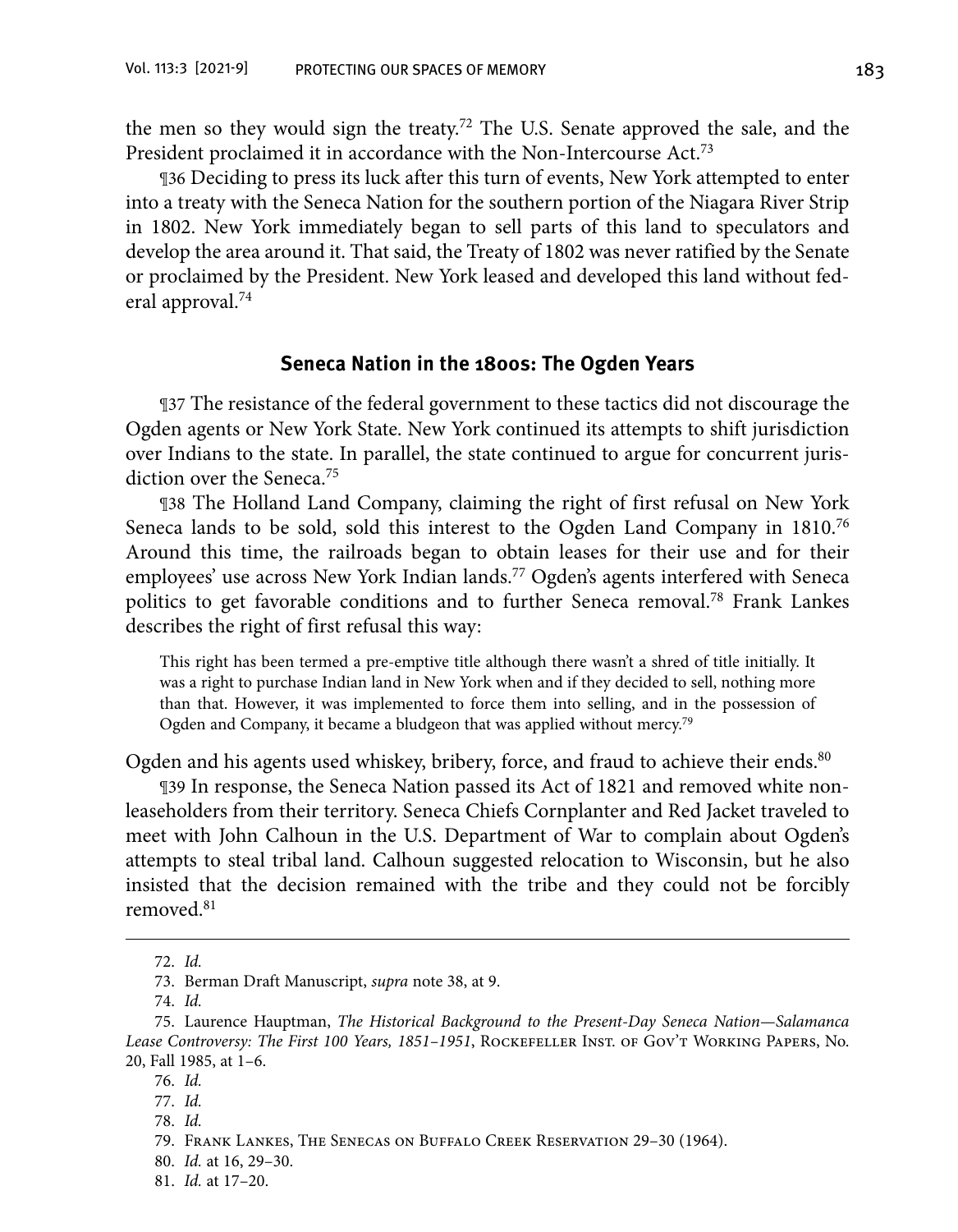the men so they would sign the treaty.72 The U.S. Senate approved the sale, and the President proclaimed it in accordance with the Non-Intercourse Act.<sup>73</sup>

¶36 Deciding to press its luck after this turn of events, New York attempted to enter into a treaty with the Seneca Nation for the southern portion of the Niagara River Strip in 1802. New York immediately began to sell parts of this land to speculators and develop the area around it. That said, the Treaty of 1802 was never ratified by the Senate or proclaimed by the President. New York leased and developed this land without federal approval.<sup>74</sup>

#### **Seneca Nation in the 1800s: The Ogden Years**

¶37 The resistance of the federal government to these tactics did not discourage the Ogden agents or New York State. New York continued its attempts to shift jurisdiction over Indians to the state. In parallel, the state continued to argue for concurrent jurisdiction over the Seneca.<sup>75</sup>

¶38 The Holland Land Company, claiming the right of first refusal on New York Seneca lands to be sold, sold this interest to the Ogden Land Company in 1810.76 Around this time, the railroads began to obtain leases for their use and for their employees' use across New York Indian lands.77 Ogden's agents interfered with Seneca politics to get favorable conditions and to further Seneca removal.<sup>78</sup> Frank Lankes describes the right of first refusal this way:

This right has been termed a pre-emptive title although there wasn't a shred of title initially. It was a right to purchase Indian land in New York when and if they decided to sell, nothing more than that. However, it was implemented to force them into selling, and in the possession of Ogden and Company, it became a bludgeon that was applied without mercy.79

Ogden and his agents used whiskey, bribery, force, and fraud to achieve their ends.<sup>80</sup>

¶39 In response, the Seneca Nation passed its Act of 1821 and removed white nonleaseholders from their territory. Seneca Chiefs Cornplanter and Red Jacket traveled to meet with John Calhoun in the U.S. Department of War to complain about Ogden's attempts to steal tribal land. Calhoun suggested relocation to Wisconsin, but he also insisted that the decision remained with the tribe and they could not be forcibly removed.81

<sup>72.</sup> *Id.*

<sup>73.</sup> Berman Draft Manuscript, *supra* note 38, at 9.

 <sup>74.</sup> *Id.*

 <sup>75.</sup> Laurence Hauptman, *The Historical Background to the Present-Day Seneca Nation—Salamanca Lease Controversy: The First 100 Years, 1851–1951*, Rockefeller Inst. of Gov't Working Papers, No. 20, Fall 1985, at 1–6.

 <sup>76.</sup> *Id.*

 <sup>77.</sup> *Id.*

 <sup>78.</sup> *Id.*

 <sup>79.</sup> Frank Lankes, The Senecas on Buffalo Creek Reservation 29–30 (1964).

 <sup>80.</sup> *Id.* at 16, 29–30.

 <sup>81.</sup> *Id.* at 17–20.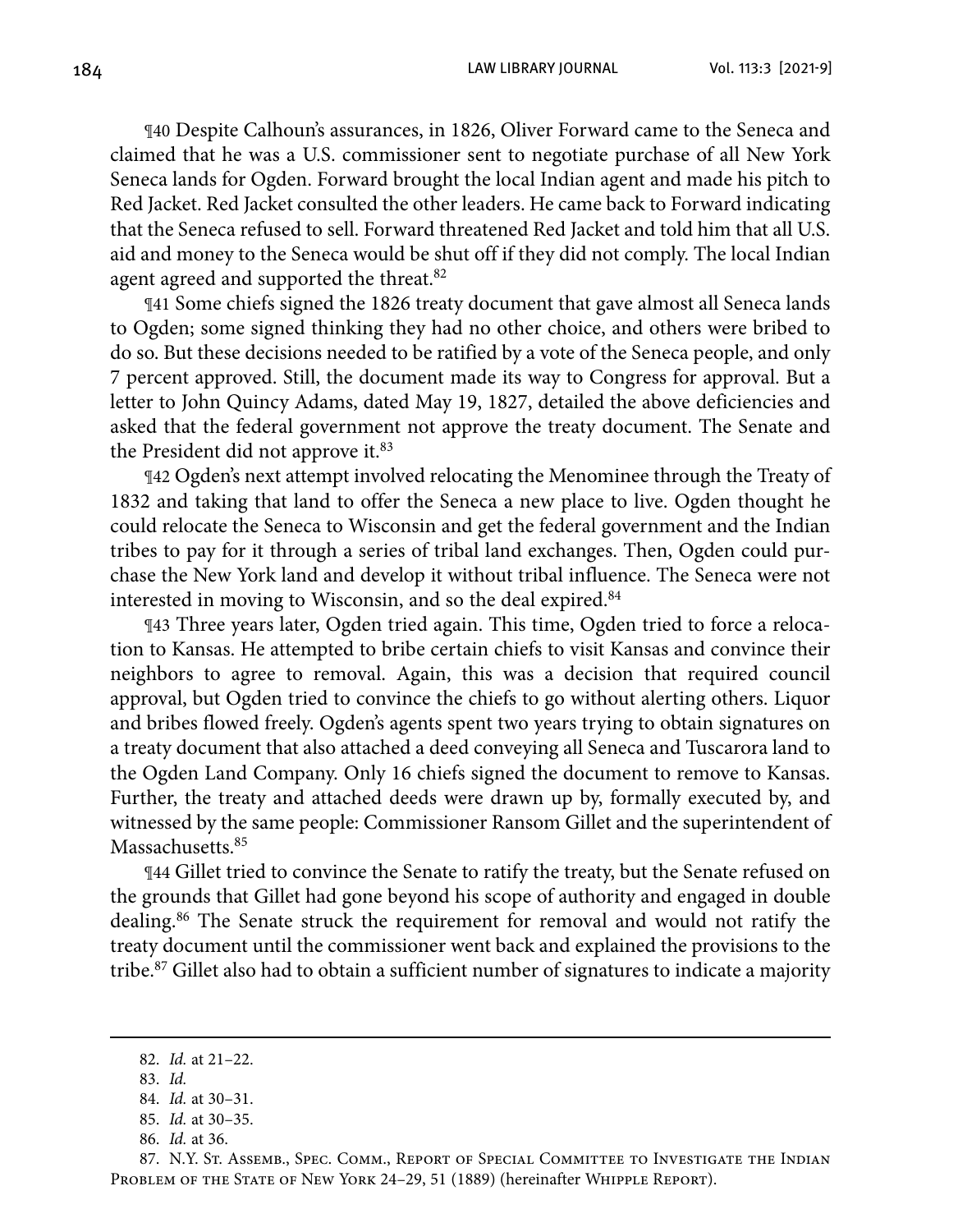184 LAW LIBRARY JOURNAL Vol. 113:3 [2021-9]

¶40 Despite Calhoun's assurances, in 1826, Oliver Forward came to the Seneca and claimed that he was a U.S. commissioner sent to negotiate purchase of all New York Seneca lands for Ogden. Forward brought the local Indian agent and made his pitch to Red Jacket. Red Jacket consulted the other leaders. He came back to Forward indicating that the Seneca refused to sell. Forward threatened Red Jacket and told him that all U.S. aid and money to the Seneca would be shut off if they did not comply. The local Indian agent agreed and supported the threat.<sup>82</sup>

¶41 Some chiefs signed the 1826 treaty document that gave almost all Seneca lands to Ogden; some signed thinking they had no other choice, and others were bribed to do so. But these decisions needed to be ratified by a vote of the Seneca people, and only 7 percent approved. Still, the document made its way to Congress for approval. But a letter to John Quincy Adams, dated May 19, 1827, detailed the above deficiencies and asked that the federal government not approve the treaty document. The Senate and the President did not approve it.<sup>83</sup>

¶42 Ogden's next attempt involved relocating the Menominee through the Treaty of 1832 and taking that land to offer the Seneca a new place to live. Ogden thought he could relocate the Seneca to Wisconsin and get the federal government and the Indian tribes to pay for it through a series of tribal land exchanges. Then, Ogden could purchase the New York land and develop it without tribal influence. The Seneca were not interested in moving to Wisconsin, and so the deal expired.<sup>84</sup>

¶43 Three years later, Ogden tried again. This time, Ogden tried to force a relocation to Kansas. He attempted to bribe certain chiefs to visit Kansas and convince their neighbors to agree to removal. Again, this was a decision that required council approval, but Ogden tried to convince the chiefs to go without alerting others. Liquor and bribes flowed freely. Ogden's agents spent two years trying to obtain signatures on a treaty document that also attached a deed conveying all Seneca and Tuscarora land to the Ogden Land Company. Only 16 chiefs signed the document to remove to Kansas. Further, the treaty and attached deeds were drawn up by, formally executed by, and witnessed by the same people: Commissioner Ransom Gillet and the superintendent of Massachusetts.<sup>85</sup>

¶44 Gillet tried to convince the Senate to ratify the treaty, but the Senate refused on the grounds that Gillet had gone beyond his scope of authority and engaged in double dealing.86 The Senate struck the requirement for removal and would not ratify the treaty document until the commissioner went back and explained the provisions to the tribe.<sup>87</sup> Gillet also had to obtain a sufficient number of signatures to indicate a majority

 87. N.Y. St. Assemb., Spec. Comm., Report of Special Committee to Investigate the Indian PROBLEM OF THE STATE OF NEW YORK 24-29, 51 (1889) (hereinafter WHIPPLE REPORT).

<sup>82.</sup> *Id.* at 21–22.

 <sup>83.</sup> *Id.*

<sup>84.</sup> *Id.* at 30–31.

 <sup>85.</sup> *Id.* at 30–35.

 <sup>86.</sup> *Id.* at 36.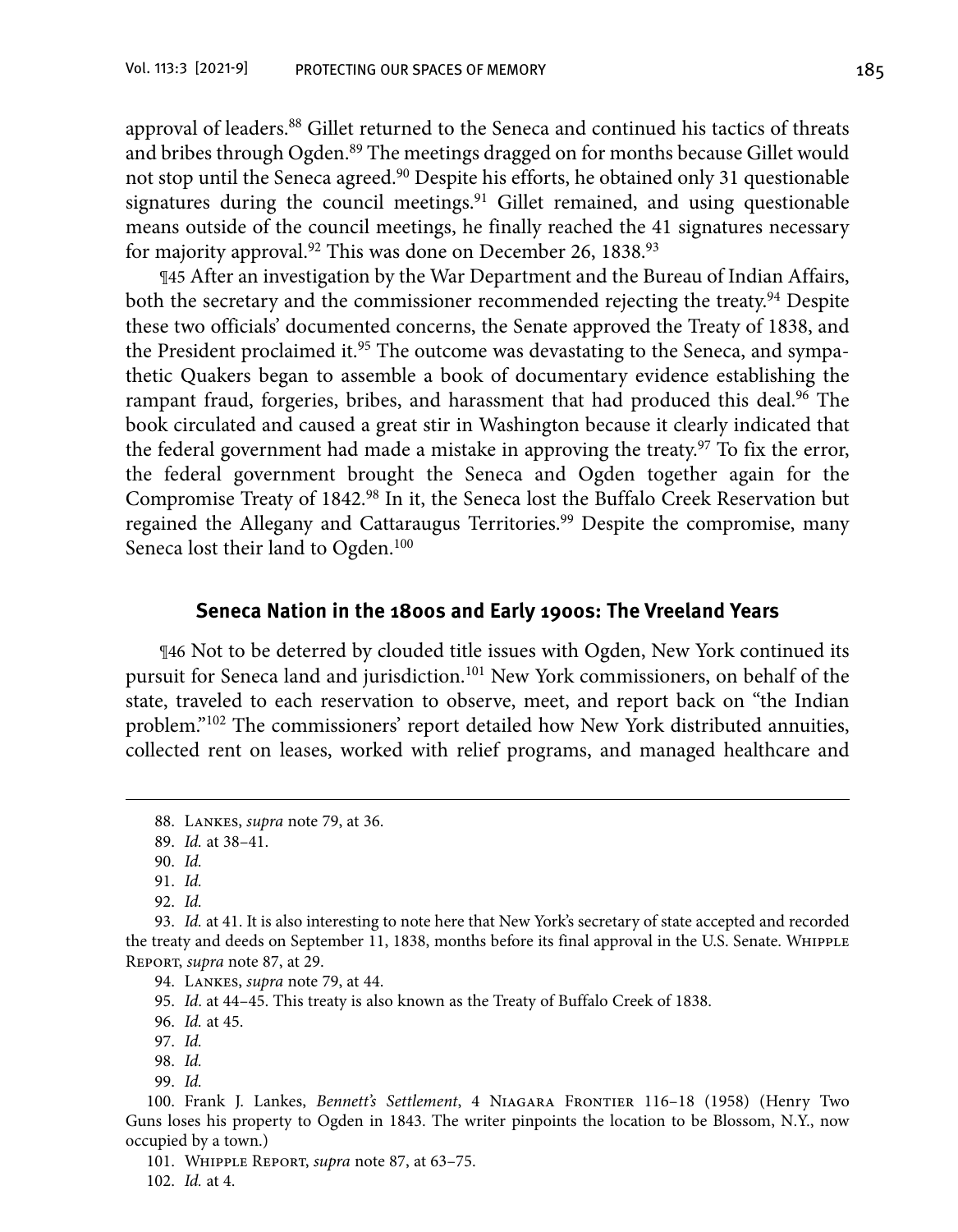approval of leaders.<sup>88</sup> Gillet returned to the Seneca and continued his tactics of threats and bribes through Ogden.<sup>89</sup> The meetings dragged on for months because Gillet would not stop until the Seneca agreed.90 Despite his efforts, he obtained only 31 questionable signatures during the council meetings.<sup>91</sup> Gillet remained, and using questionable means outside of the council meetings, he finally reached the 41 signatures necessary for majority approval.<sup>92</sup> This was done on December 26, 1838.<sup>93</sup>

¶45 After an investigation by the War Department and the Bureau of Indian Affairs, both the secretary and the commissioner recommended rejecting the treaty.<sup>94</sup> Despite these two officials' documented concerns, the Senate approved the Treaty of 1838, and the President proclaimed it.<sup>95</sup> The outcome was devastating to the Seneca, and sympathetic Quakers began to assemble a book of documentary evidence establishing the rampant fraud, forgeries, bribes, and harassment that had produced this deal.<sup>96</sup> The book circulated and caused a great stir in Washington because it clearly indicated that the federal government had made a mistake in approving the treaty.<sup>97</sup> To fix the error, the federal government brought the Seneca and Ogden together again for the Compromise Treaty of 1842.98 In it, the Seneca lost the Buffalo Creek Reservation but regained the Allegany and Cattaraugus Territories.<sup>99</sup> Despite the compromise, many Seneca lost their land to Ogden.<sup>100</sup>

#### **Seneca Nation in the 1800s and Early 1900s: The Vreeland Years**

¶46 Not to be deterred by clouded title issues with Ogden, New York continued its pursuit for Seneca land and jurisdiction.101 New York commissioners, on behalf of the state, traveled to each reservation to observe, meet, and report back on "the Indian problem."102 The commissioners' report detailed how New York distributed annuities, collected rent on leases, worked with relief programs, and managed healthcare and

94. Lankes, *supra* note 79, at 44.

95. *Id*. at 44–45. This treaty is also known as the Treaty of Buffalo Creek of 1838.

- 98. *Id.*
- 99. *Id.*

 100. Frank J. Lankes, *Bennett's Settlement*, 4 Niagara Frontier 116–18 (1958) (Henry Two Guns loses his property to Ogden in 1843. The writer pinpoints the location to be Blossom, N.Y., now occupied by a town.)

101. Whipple Report, *supra* note 87, at 63–75.

102. *Id.* at 4.

<sup>88.</sup> Lankes, *supra* note 79, at 36.

 <sup>89.</sup> *Id.* at 38–41.

 <sup>90.</sup> *Id.*

 <sup>91.</sup> *Id.*

 <sup>92.</sup> *Id.*

 <sup>93.</sup> *Id.* at 41. It is also interesting to note here that New York's secretary of state accepted and recorded the treaty and deeds on September 11, 1838, months before its final approval in the U.S. Senate. WHIPPLE Report, *supra* note 87, at 29.

 <sup>96.</sup> *Id.* at 45.

 <sup>97.</sup> *Id.*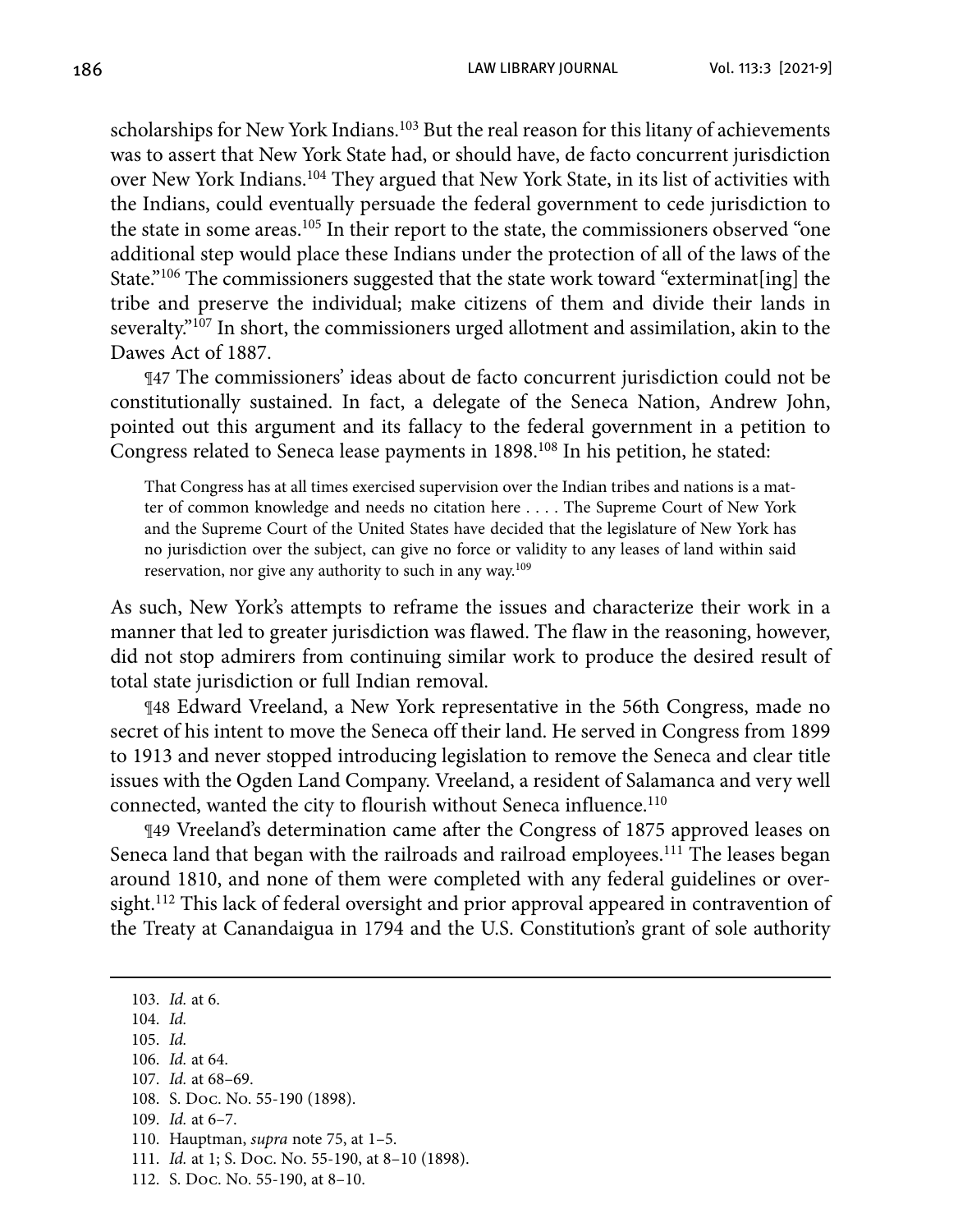scholarships for New York Indians.<sup>103</sup> But the real reason for this litany of achievements was to assert that New York State had, or should have, de facto concurrent jurisdiction over New York Indians.104 They argued that New York State, in its list of activities with the Indians, could eventually persuade the federal government to cede jurisdiction to the state in some areas.<sup>105</sup> In their report to the state, the commissioners observed "one additional step would place these Indians under the protection of all of the laws of the State."106 The commissioners suggested that the state work toward "exterminat[ing] the tribe and preserve the individual; make citizens of them and divide their lands in severalty."<sup>107</sup> In short, the commissioners urged allotment and assimilation, akin to the Dawes Act of 1887.

¶47 The commissioners' ideas about de facto concurrent jurisdiction could not be constitutionally sustained. In fact, a delegate of the Seneca Nation, Andrew John, pointed out this argument and its fallacy to the federal government in a petition to Congress related to Seneca lease payments in 1898.108 In his petition, he stated:

That Congress has at all times exercised supervision over the Indian tribes and nations is a matter of common knowledge and needs no citation here . . . . The Supreme Court of New York and the Supreme Court of the United States have decided that the legislature of New York has no jurisdiction over the subject, can give no force or validity to any leases of land within said reservation, nor give any authority to such in any way.<sup>109</sup>

As such, New York's attempts to reframe the issues and characterize their work in a manner that led to greater jurisdiction was flawed. The flaw in the reasoning, however, did not stop admirers from continuing similar work to produce the desired result of total state jurisdiction or full Indian removal.

¶48 Edward Vreeland, a New York representative in the 56th Congress, made no secret of his intent to move the Seneca off their land. He served in Congress from 1899 to 1913 and never stopped introducing legislation to remove the Seneca and clear title issues with the Ogden Land Company. Vreeland, a resident of Salamanca and very well connected, wanted the city to flourish without Seneca influence.<sup>110</sup>

¶49 Vreeland's determination came after the Congress of 1875 approved leases on Seneca land that began with the railroads and railroad employees.<sup>111</sup> The leases began around 1810, and none of them were completed with any federal guidelines or oversight.<sup>112</sup> This lack of federal oversight and prior approval appeared in contravention of the Treaty at Canandaigua in 1794 and the U.S. Constitution's grant of sole authority

- 104. *Id.*
- 105. *Id.*

- 109. *Id.* at 6–7.
- 110. Hauptman, *supra* note 75, at 1–5.
- 111. *Id.* at 1; S. Doc. No. 55-190, at 8–10 (1898).
- 112. S. Doc. No. 55-190, at 8–10.

<sup>103.</sup> *Id.* at 6.

<sup>106.</sup> *Id.* at 64.

 <sup>107.</sup> *Id.* at 68–69.

 <sup>108.</sup> S. Doc. No. 55-190 (1898).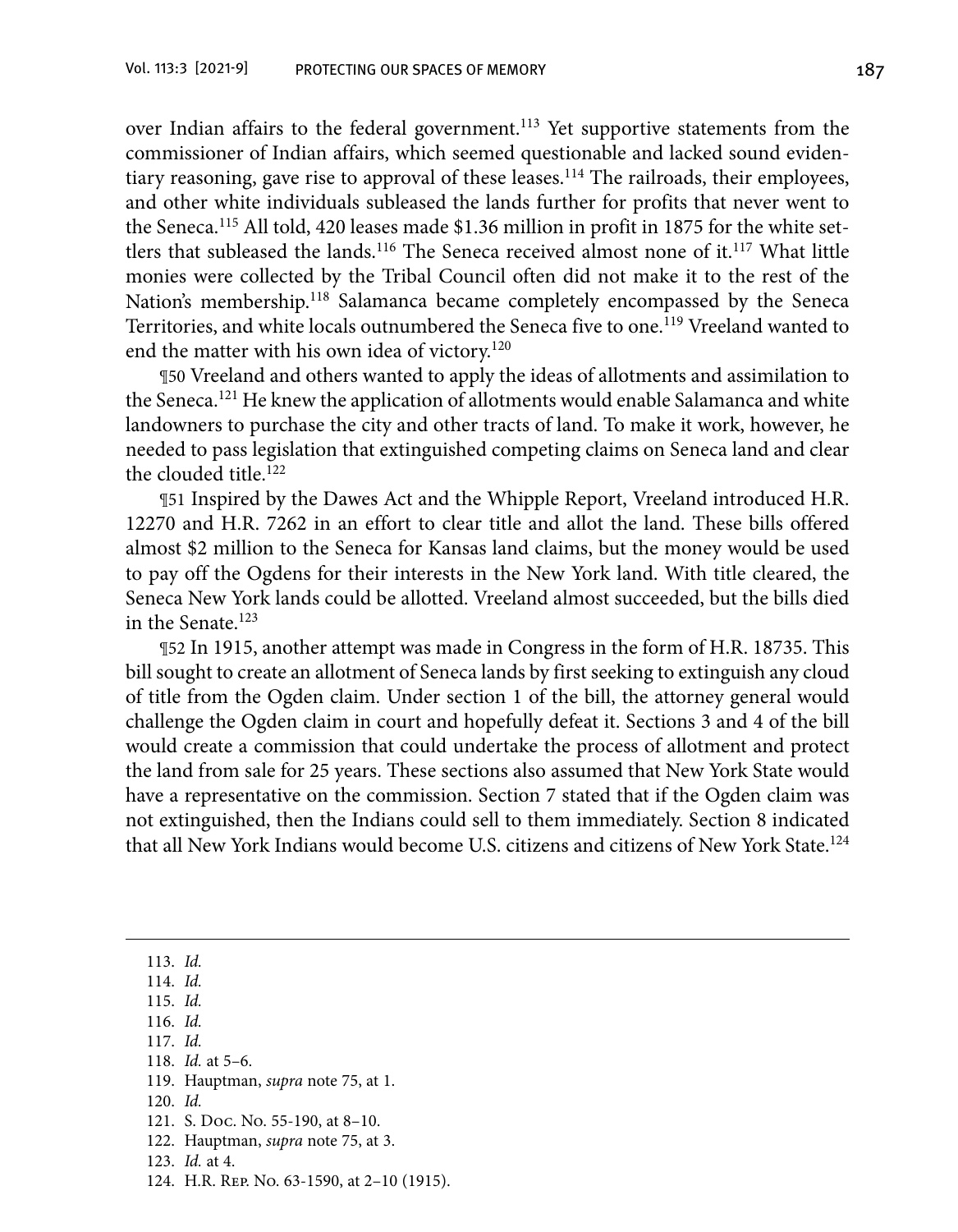over Indian affairs to the federal government.<sup>113</sup> Yet supportive statements from the commissioner of Indian affairs, which seemed questionable and lacked sound evidentiary reasoning, gave rise to approval of these leases.114 The railroads, their employees, and other white individuals subleased the lands further for profits that never went to the Seneca.115 All told, 420 leases made \$1.36 million in profit in 1875 for the white settlers that subleased the lands.<sup>116</sup> The Seneca received almost none of it.<sup>117</sup> What little monies were collected by the Tribal Council often did not make it to the rest of the Nation's membership.<sup>118</sup> Salamanca became completely encompassed by the Seneca Territories, and white locals outnumbered the Seneca five to one.<sup>119</sup> Vreeland wanted to end the matter with his own idea of victory.<sup>120</sup>

¶50 Vreeland and others wanted to apply the ideas of allotments and assimilation to the Seneca.121 He knew the application of allotments would enable Salamanca and white landowners to purchase the city and other tracts of land. To make it work, however, he needed to pass legislation that extinguished competing claims on Seneca land and clear the clouded title.122

¶51 Inspired by the Dawes Act and the Whipple Report, Vreeland introduced H.R. 12270 and H.R. 7262 in an effort to clear title and allot the land. These bills offered almost \$2 million to the Seneca for Kansas land claims, but the money would be used to pay off the Ogdens for their interests in the New York land. With title cleared, the Seneca New York lands could be allotted. Vreeland almost succeeded, but the bills died in the Senate.<sup>123</sup>

¶52 In 1915, another attempt was made in Congress in the form of H.R. 18735. This bill sought to create an allotment of Seneca lands by first seeking to extinguish any cloud of title from the Ogden claim. Under section 1 of the bill, the attorney general would challenge the Ogden claim in court and hopefully defeat it. Sections 3 and 4 of the bill would create a commission that could undertake the process of allotment and protect the land from sale for 25 years. These sections also assumed that New York State would have a representative on the commission. Section 7 stated that if the Ogden claim was not extinguished, then the Indians could sell to them immediately. Section 8 indicated that all New York Indians would become U.S. citizens and citizens of New York State.124

 113. *Id.* 114. *Id.* 115. *Id.* 116. *Id.* 117. *Id.* 118. *Id.* at 5–6. 119. Hauptman, *supra* note 75, at 1. 120. *Id.* 121. S. Doc. No. 55-190, at 8–10. 122. Hauptman, *supra* note 75, at 3. 123. *Id.* at 4. 124. H.R. Rep. No. 63-1590, at 2–10 (1915).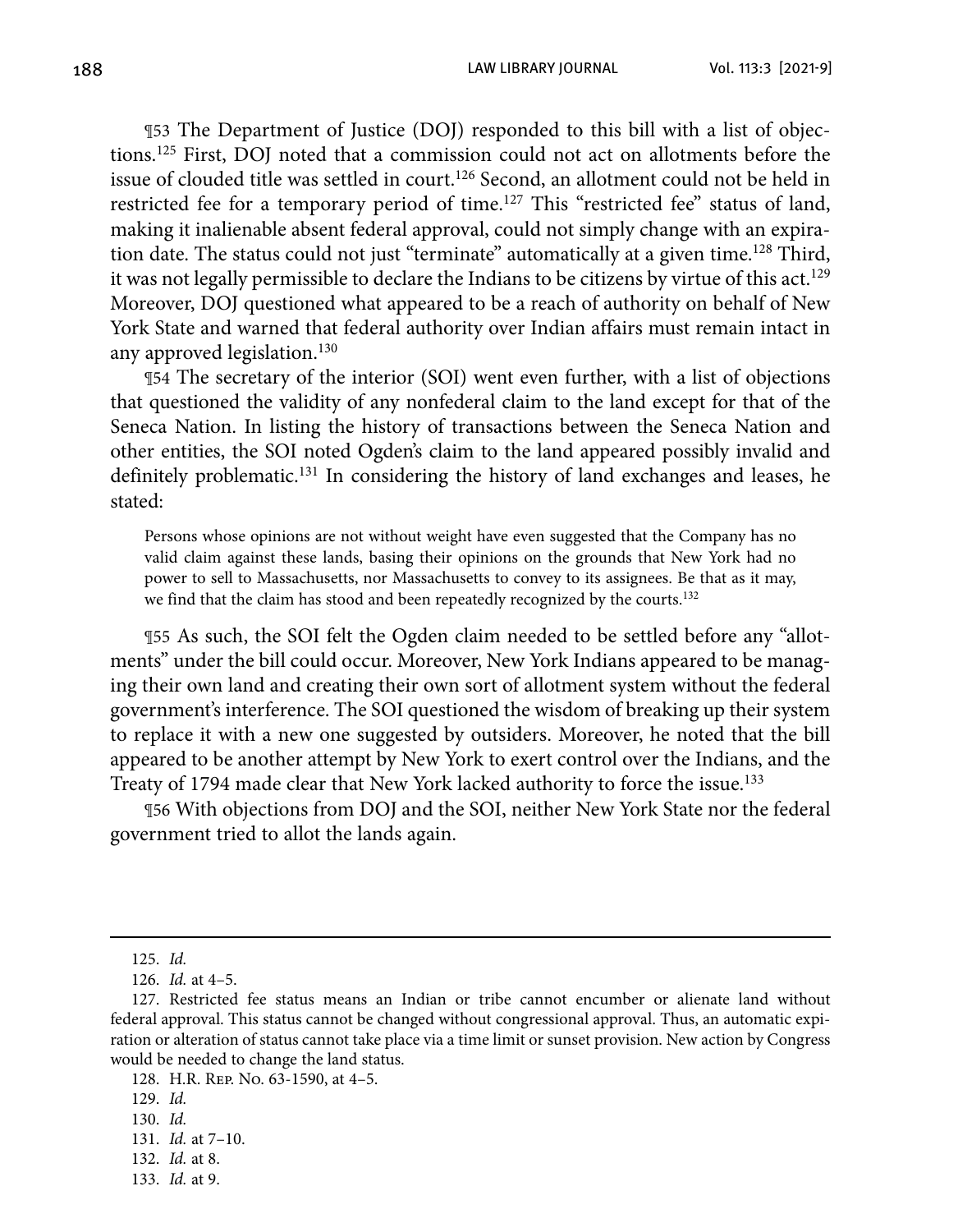188 LAW LIBRARY JOURNAL Vol. 113:3 [2021-9]

¶53 The Department of Justice (DOJ) responded to this bill with a list of objections.125 First, DOJ noted that a commission could not act on allotments before the issue of clouded title was settled in court.<sup>126</sup> Second, an allotment could not be held in restricted fee for a temporary period of time.<sup>127</sup> This "restricted fee" status of land, making it inalienable absent federal approval, could not simply change with an expiration date. The status could not just "terminate" automatically at a given time.128 Third, it was not legally permissible to declare the Indians to be citizens by virtue of this act.<sup>129</sup> Moreover, DOJ questioned what appeared to be a reach of authority on behalf of New York State and warned that federal authority over Indian affairs must remain intact in any approved legislation.<sup>130</sup>

¶54 The secretary of the interior (SOI) went even further, with a list of objections that questioned the validity of any nonfederal claim to the land except for that of the Seneca Nation. In listing the history of transactions between the Seneca Nation and other entities, the SOI noted Ogden's claim to the land appeared possibly invalid and definitely problematic.131 In considering the history of land exchanges and leases, he stated:

Persons whose opinions are not without weight have even suggested that the Company has no valid claim against these lands, basing their opinions on the grounds that New York had no power to sell to Massachusetts, nor Massachusetts to convey to its assignees. Be that as it may, we find that the claim has stood and been repeatedly recognized by the courts.<sup>132</sup>

¶55 As such, the SOI felt the Ogden claim needed to be settled before any "allotments" under the bill could occur. Moreover, New York Indians appeared to be managing their own land and creating their own sort of allotment system without the federal government's interference. The SOI questioned the wisdom of breaking up their system to replace it with a new one suggested by outsiders. Moreover, he noted that the bill appeared to be another attempt by New York to exert control over the Indians, and the Treaty of 1794 made clear that New York lacked authority to force the issue.<sup>133</sup>

¶56 With objections from DOJ and the SOI, neither New York State nor the federal government tried to allot the lands again.

<sup>125.</sup> *Id.*

<sup>126.</sup> *Id.* at 4–5.

 <sup>127.</sup> Restricted fee status means an Indian or tribe cannot encumber or alienate land without federal approval. This status cannot be changed without congressional approval. Thus, an automatic expiration or alteration of status cannot take place via a time limit or sunset provision. New action by Congress would be needed to change the land status.

<sup>128.</sup> H.R. Rep. No. 63-1590, at 4–5.

<sup>129.</sup> *Id.*

<sup>130.</sup> *Id.*

<sup>131.</sup> *Id.* at 7–10.

 <sup>132.</sup> *Id.* at 8.

 <sup>133.</sup> *Id.* at 9.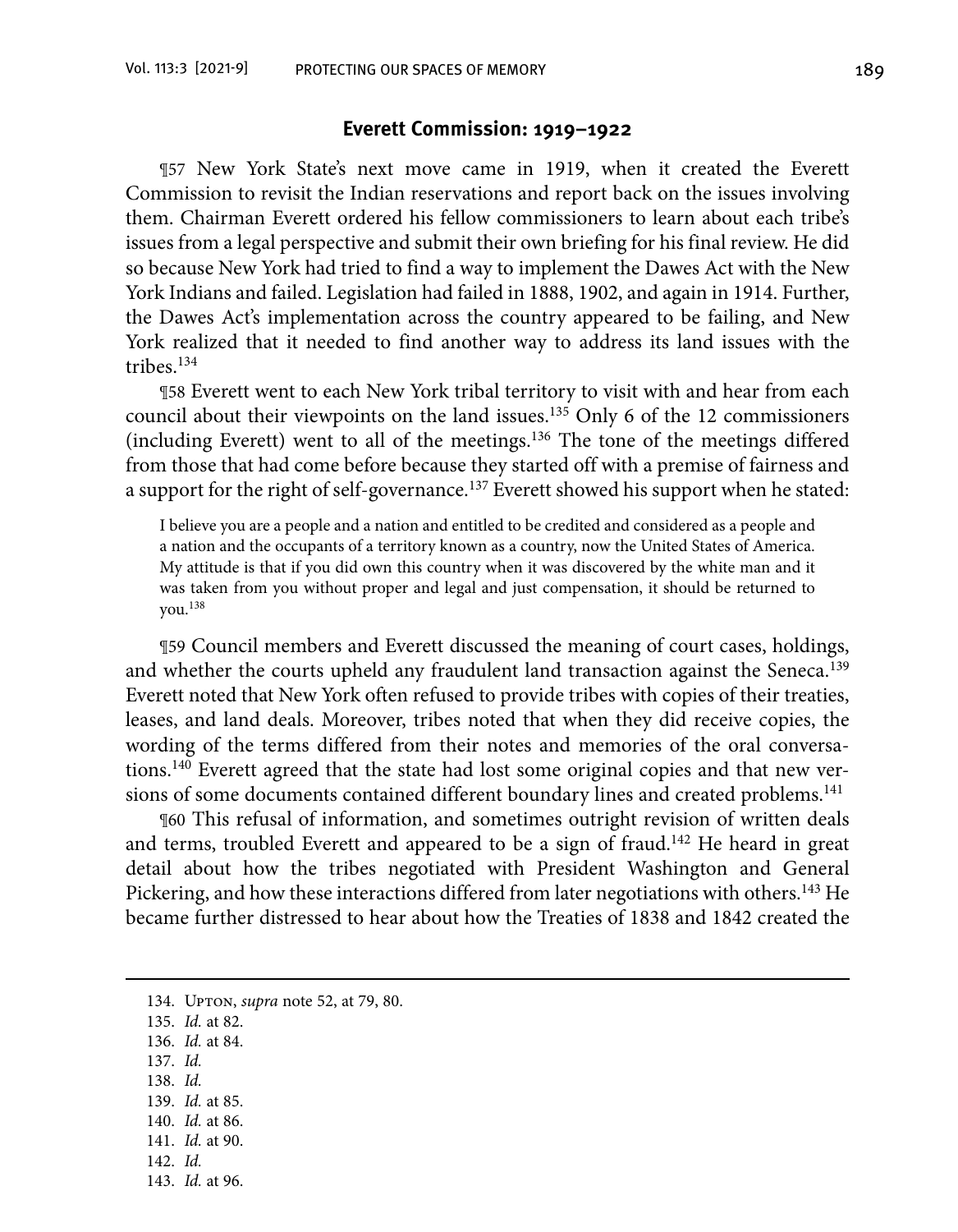#### **Everett Commission: 1919–1922**

¶57 New York State's next move came in 1919, when it created the Everett Commission to revisit the Indian reservations and report back on the issues involving them. Chairman Everett ordered his fellow commissioners to learn about each tribe's issues from a legal perspective and submit their own briefing for his final review. He did so because New York had tried to find a way to implement the Dawes Act with the New York Indians and failed. Legislation had failed in 1888, 1902, and again in 1914. Further, the Dawes Act's implementation across the country appeared to be failing, and New York realized that it needed to find another way to address its land issues with the tribes.134

¶58 Everett went to each New York tribal territory to visit with and hear from each council about their viewpoints on the land issues.135 Only 6 of the 12 commissioners (including Everett) went to all of the meetings.136 The tone of the meetings differed from those that had come before because they started off with a premise of fairness and a support for the right of self-governance.<sup>137</sup> Everett showed his support when he stated:

I believe you are a people and a nation and entitled to be credited and considered as a people and a nation and the occupants of a territory known as a country, now the United States of America. My attitude is that if you did own this country when it was discovered by the white man and it was taken from you without proper and legal and just compensation, it should be returned to you.138

¶59 Council members and Everett discussed the meaning of court cases, holdings, and whether the courts upheld any fraudulent land transaction against the Seneca.<sup>139</sup> Everett noted that New York often refused to provide tribes with copies of their treaties, leases, and land deals. Moreover, tribes noted that when they did receive copies, the wording of the terms differed from their notes and memories of the oral conversations.<sup>140</sup> Everett agreed that the state had lost some original copies and that new versions of some documents contained different boundary lines and created problems.<sup>141</sup>

¶60 This refusal of information, and sometimes outright revision of written deals and terms, troubled Everett and appeared to be a sign of fraud.<sup>142</sup> He heard in great detail about how the tribes negotiated with President Washington and General Pickering, and how these interactions differed from later negotiations with others.143 He became further distressed to hear about how the Treaties of 1838 and 1842 created the

- 136. *Id.* at 84.
- 137. *Id.*
- 138. *Id.*
- 139. *Id.* at 85.
- 140. *Id.* at 86.
- 141. *Id.* at 90.
- 142. *Id.*
- 143. *Id.* at 96.

<sup>134.</sup> Upton, *supra* note 52, at 79, 80.

<sup>135.</sup> *Id.* at 82.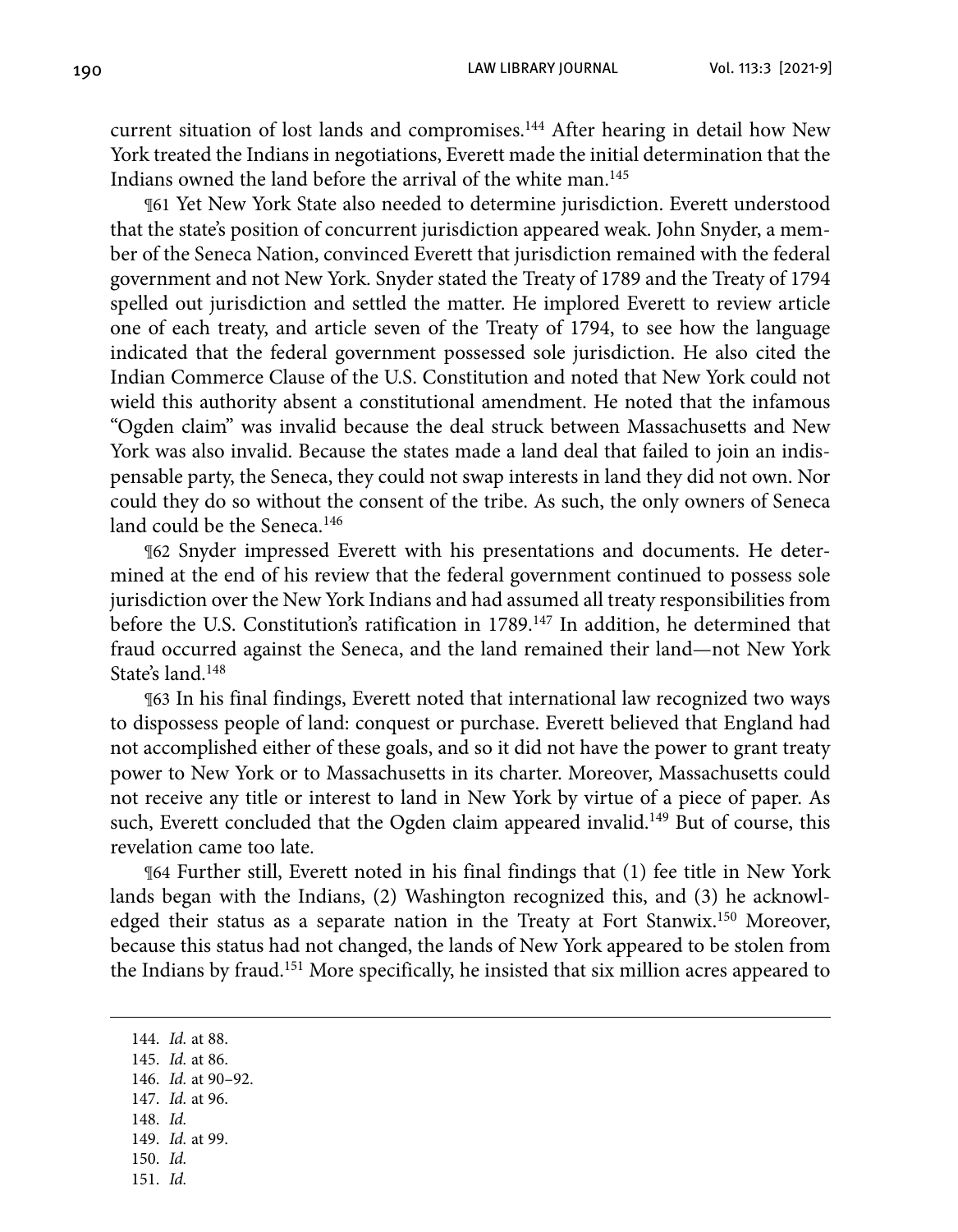current situation of lost lands and compromises.<sup>144</sup> After hearing in detail how New York treated the Indians in negotiations, Everett made the initial determination that the Indians owned the land before the arrival of the white man.145

¶61 Yet New York State also needed to determine jurisdiction. Everett understood that the state's position of concurrent jurisdiction appeared weak. John Snyder, a member of the Seneca Nation, convinced Everett that jurisdiction remained with the federal government and not New York. Snyder stated the Treaty of 1789 and the Treaty of 1794 spelled out jurisdiction and settled the matter. He implored Everett to review article one of each treaty, and article seven of the Treaty of 1794, to see how the language indicated that the federal government possessed sole jurisdiction. He also cited the Indian Commerce Clause of the U.S. Constitution and noted that New York could not wield this authority absent a constitutional amendment. He noted that the infamous "Ogden claim" was invalid because the deal struck between Massachusetts and New York was also invalid. Because the states made a land deal that failed to join an indispensable party, the Seneca, they could not swap interests in land they did not own. Nor could they do so without the consent of the tribe. As such, the only owners of Seneca land could be the Seneca.<sup>146</sup>

¶62 Snyder impressed Everett with his presentations and documents. He determined at the end of his review that the federal government continued to possess sole jurisdiction over the New York Indians and had assumed all treaty responsibilities from before the U.S. Constitution's ratification in 1789.<sup>147</sup> In addition, he determined that fraud occurred against the Seneca, and the land remained their land—not New York State's land 148

¶63 In his final findings, Everett noted that international law recognized two ways to dispossess people of land: conquest or purchase. Everett believed that England had not accomplished either of these goals, and so it did not have the power to grant treaty power to New York or to Massachusetts in its charter. Moreover, Massachusetts could not receive any title or interest to land in New York by virtue of a piece of paper. As such, Everett concluded that the Ogden claim appeared invalid.<sup>149</sup> But of course, this revelation came too late.

¶64 Further still, Everett noted in his final findings that (1) fee title in New York lands began with the Indians, (2) Washington recognized this, and (3) he acknowledged their status as a separate nation in the Treaty at Fort Stanwix.150 Moreover, because this status had not changed, the lands of New York appeared to be stolen from the Indians by fraud.151 More specifically, he insisted that six million acres appeared to

144. *Id.* at 88. 145. *Id.* at 86.

- 146. *Id.* at 90–92.
- 147. *Id.* at 96.
- 148. *Id.* 149. *Id.* at 99.
- 150. *Id.*
- 
- 151. *Id.*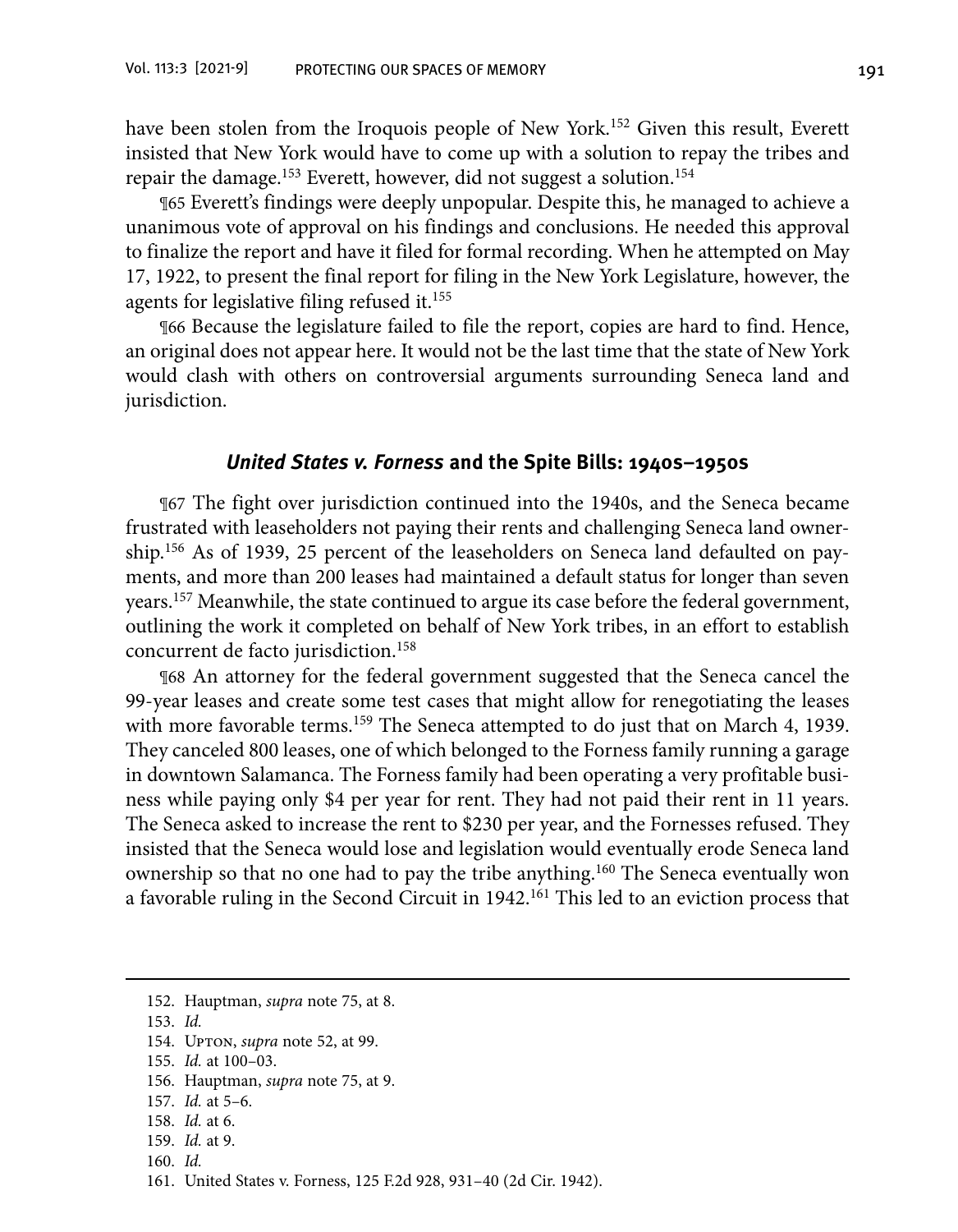have been stolen from the Iroquois people of New York.<sup>152</sup> Given this result, Everett insisted that New York would have to come up with a solution to repay the tribes and repair the damage.<sup>153</sup> Everett, however, did not suggest a solution.<sup>154</sup>

¶65 Everett's findings were deeply unpopular. Despite this, he managed to achieve a unanimous vote of approval on his findings and conclusions. He needed this approval to finalize the report and have it filed for formal recording. When he attempted on May 17, 1922, to present the final report for filing in the New York Legislature, however, the agents for legislative filing refused it.<sup>155</sup>

¶66 Because the legislature failed to file the report, copies are hard to find. Hence, an original does not appear here. It would not be the last time that the state of New York would clash with others on controversial arguments surrounding Seneca land and jurisdiction.

#### **United States v. Forness and the Spite Bills: 1940s–1950s**

¶67 The fight over jurisdiction continued into the 1940s, and the Seneca became frustrated with leaseholders not paying their rents and challenging Seneca land ownership.156 As of 1939, 25 percent of the leaseholders on Seneca land defaulted on payments, and more than 200 leases had maintained a default status for longer than seven years.157 Meanwhile, the state continued to argue its case before the federal government, outlining the work it completed on behalf of New York tribes, in an effort to establish concurrent de facto jurisdiction.158

¶68 An attorney for the federal government suggested that the Seneca cancel the 99-year leases and create some test cases that might allow for renegotiating the leases with more favorable terms.<sup>159</sup> The Seneca attempted to do just that on March 4, 1939. They canceled 800 leases, one of which belonged to the Forness family running a garage in downtown Salamanca. The Forness family had been operating a very profitable business while paying only \$4 per year for rent. They had not paid their rent in 11 years. The Seneca asked to increase the rent to \$230 per year, and the Fornesses refused. They insisted that the Seneca would lose and legislation would eventually erode Seneca land ownership so that no one had to pay the tribe anything.160 The Seneca eventually won a favorable ruling in the Second Circuit in 1942.<sup>161</sup> This led to an eviction process that

155. *Id.* at 100–03.

157. *Id.* at 5–6.

- 159. *Id.* at 9.
- 160. *Id.*

 <sup>152.</sup> Hauptman, *supra* note 75, at 8.

 <sup>153.</sup> *Id.*

 <sup>154.</sup> Upton, *supra* note 52, at 99.

 <sup>156.</sup> Hauptman, *supra* note 75, at 9.

 <sup>158.</sup> *Id.* at 6.

 <sup>161.</sup> United States v. Forness, 125 F.2d 928, 931–40 (2d Cir. 1942).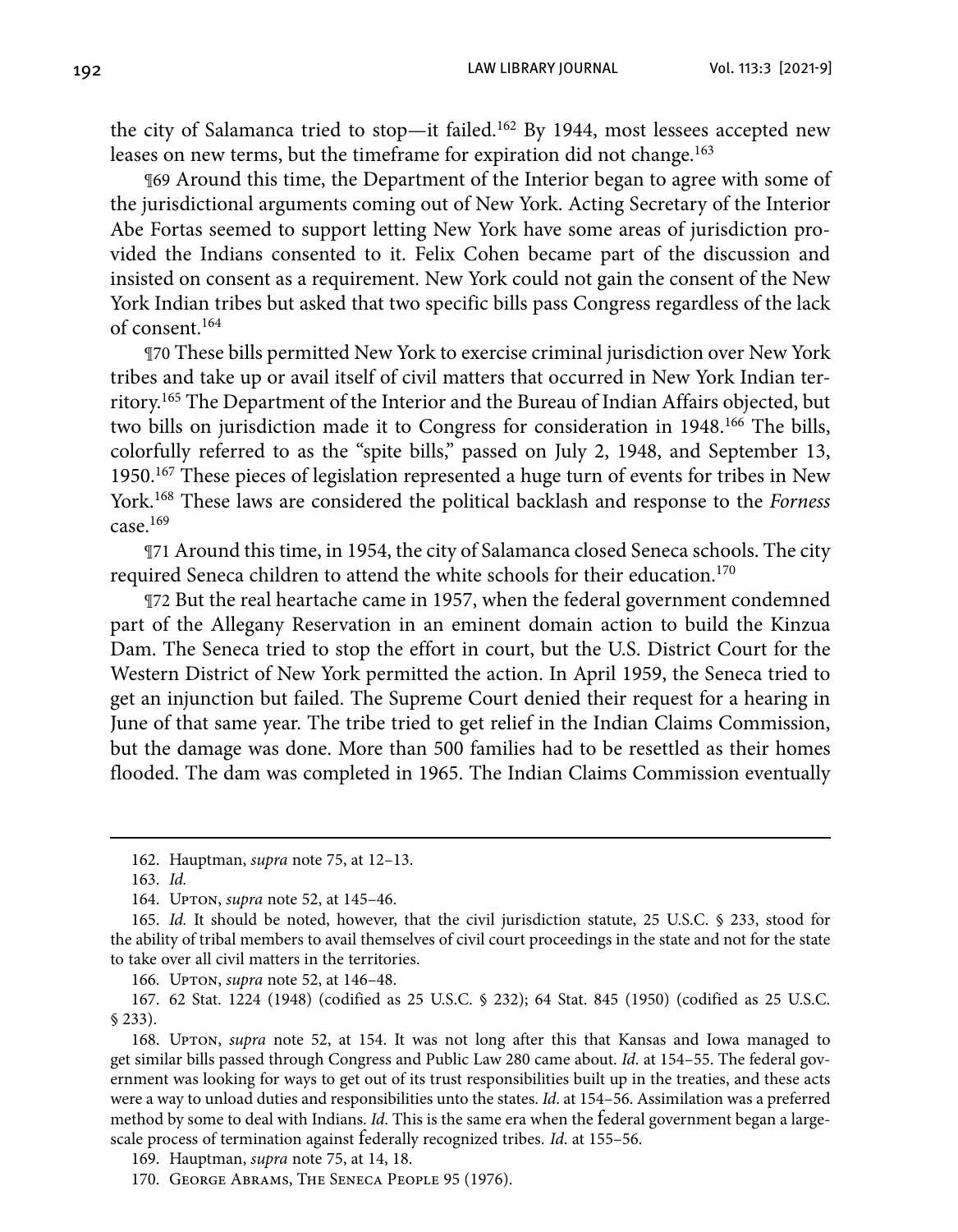192 LAW LIBRARY JOURNAL Vol. 113:3 [2021-9]

the city of Salamanca tried to stop—it failed.162 By 1944, most lessees accepted new leases on new terms, but the timeframe for expiration did not change.<sup>163</sup>

¶69 Around this time, the Department of the Interior began to agree with some of the jurisdictional arguments coming out of New York. Acting Secretary of the Interior Abe Fortas seemed to support letting New York have some areas of jurisdiction provided the Indians consented to it. Felix Cohen became part of the discussion and insisted on consent as a requirement. New York could not gain the consent of the New York Indian tribes but asked that two specific bills pass Congress regardless of the lack of consent.164

¶70 These bills permitted New York to exercise criminal jurisdiction over New York tribes and take up or avail itself of civil matters that occurred in New York Indian territory.165 The Department of the Interior and the Bureau of Indian Affairs objected, but two bills on jurisdiction made it to Congress for consideration in 1948.<sup>166</sup> The bills, colorfully referred to as the "spite bills," passed on July 2, 1948, and September 13, 1950.167 These pieces of legislation represented a huge turn of events for tribes in New York.168 These laws are considered the political backlash and response to the *Forness* case.169

¶71 Around this time, in 1954, the city of Salamanca closed Seneca schools. The city required Seneca children to attend the white schools for their education.<sup>170</sup>

¶72 But the real heartache came in 1957, when the federal government condemned part of the Allegany Reservation in an eminent domain action to build the Kinzua Dam. The Seneca tried to stop the effort in court, but the U.S. District Court for the Western District of New York permitted the action. In April 1959, the Seneca tried to get an injunction but failed. The Supreme Court denied their request for a hearing in June of that same year. The tribe tried to get relief in the Indian Claims Commission, but the damage was done. More than 500 families had to be resettled as their homes flooded. The dam was completed in 1965. The Indian Claims Commission eventually

166. Upton, *supra* note 52, at 146–48.

167. 62 Stat. 1224 (1948) (codified as 25 U.S.C. § 232); 64 Stat. 845 (1950) (codified as 25 U.S.C. § 233).

168. Upton, *supra* note 52, at 154. It was not long after this that Kansas and Iowa managed to get similar bills passed through Congress and Public Law 280 came about. *Id*. at 154–55. The federal government was looking for ways to get out of its trust responsibilities built up in the treaties, and these acts were a way to unload duties and responsibilities unto the states. *Id*. at 154–56. Assimilation was a preferred method by some to deal with Indians. *Id*. This is the same era when the federal government began a largescale process of termination against federally recognized tribes. *Id*. at 155–56.

<sup>162.</sup> Hauptman, *supra* note 75, at 12–13.

<sup>163.</sup> *Id.*

<sup>164.</sup> Upton, *supra* note 52, at 145–46.

<sup>165.</sup> *Id.* It should be noted, however, that the civil jurisdiction statute, 25 U.S.C. § 233, stood for the ability of tribal members to avail themselves of civil court proceedings in the state and not for the state to take over all civil matters in the territories.

 <sup>169.</sup> Hauptman, *supra* note 75, at 14, 18.

 <sup>170.</sup> George Abrams, The Seneca People 95 (1976).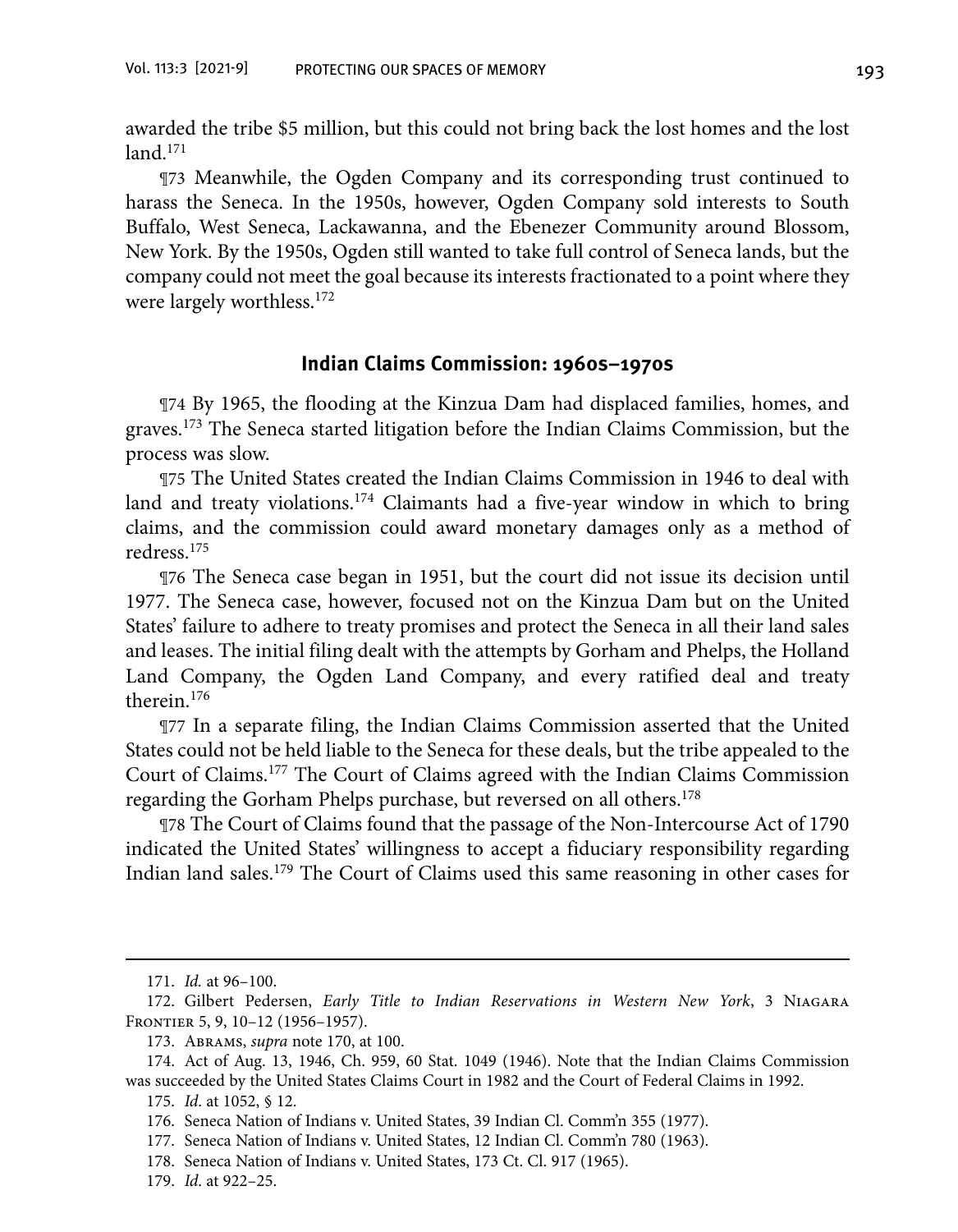awarded the tribe \$5 million, but this could not bring back the lost homes and the lost  $land.<sup>171</sup>$ 

¶73 Meanwhile, the Ogden Company and its corresponding trust continued to harass the Seneca. In the 1950s, however, Ogden Company sold interests to South Buffalo, West Seneca, Lackawanna, and the Ebenezer Community around Blossom, New York. By the 1950s, Ogden still wanted to take full control of Seneca lands, but the company could not meet the goal because its interests fractionated to a point where they were largely worthless.<sup>172</sup>

#### **Indian Claims Commission: 1960s–1970s**

¶74 By 1965, the flooding at the Kinzua Dam had displaced families, homes, and graves.173 The Seneca started litigation before the Indian Claims Commission, but the process was slow.

¶75 The United States created the Indian Claims Commission in 1946 to deal with land and treaty violations.<sup>174</sup> Claimants had a five-year window in which to bring claims, and the commission could award monetary damages only as a method of redress.175

¶76 The Seneca case began in 1951, but the court did not issue its decision until 1977. The Seneca case, however, focused not on the Kinzua Dam but on the United States' failure to adhere to treaty promises and protect the Seneca in all their land sales and leases. The initial filing dealt with the attempts by Gorham and Phelps, the Holland Land Company, the Ogden Land Company, and every ratified deal and treaty therein.176

¶77 In a separate filing, the Indian Claims Commission asserted that the United States could not be held liable to the Seneca for these deals, but the tribe appealed to the Court of Claims.177 The Court of Claims agreed with the Indian Claims Commission regarding the Gorham Phelps purchase, but reversed on all others.<sup>178</sup>

¶78 The Court of Claims found that the passage of the Non-Intercourse Act of 1790 indicated the United States' willingness to accept a fiduciary responsibility regarding Indian land sales.179 The Court of Claims used this same reasoning in other cases for

<sup>171.</sup> *Id.* at 96–100.

<sup>172.</sup> Gilbert Pedersen, *Early Title to Indian Reservations in Western New York*, 3 Niagara Frontier 5, 9, 10–12 (1956–1957).

 <sup>173.</sup> Abrams, *supra* note 170, at 100.

 <sup>174.</sup> Act of Aug. 13, 1946, Ch. 959, 60 Stat. 1049 (1946). Note that the Indian Claims Commission was succeeded by the United States Claims Court in 1982 and the Court of Federal Claims in 1992.

 <sup>175.</sup> *Id*. at 1052, § 12.

 <sup>176.</sup> Seneca Nation of Indians v. United States, 39 Indian Cl. Comm'n 355 (1977).

 <sup>177.</sup> Seneca Nation of Indians v. United States, 12 Indian Cl. Comm'n 780 (1963).

 <sup>178.</sup> Seneca Nation of Indians v. United States, 173 Ct. Cl. 917 (1965).

 <sup>179.</sup> *Id*. at 922–25.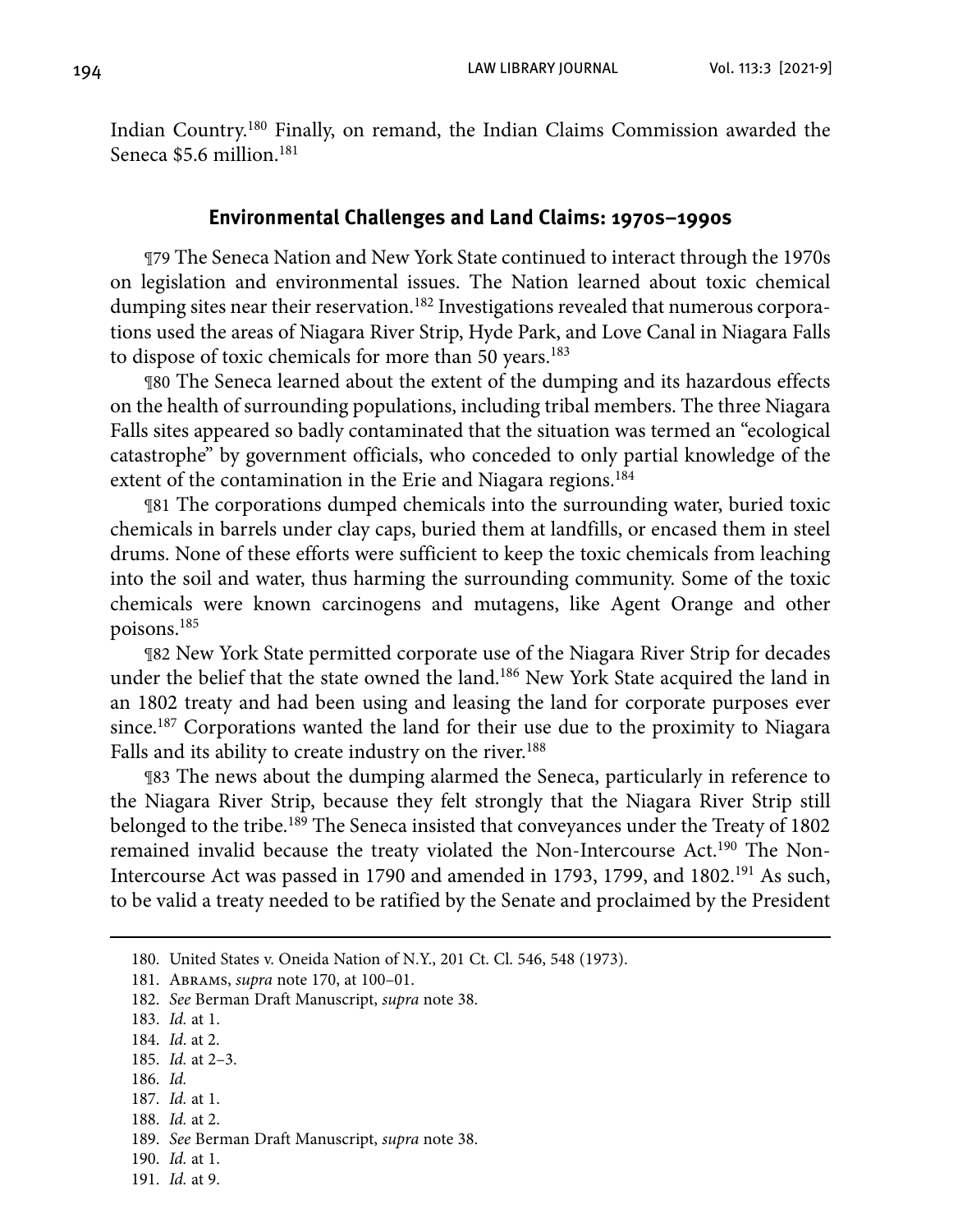Indian Country.180 Finally, on remand, the Indian Claims Commission awarded the Seneca \$5.6 million.<sup>181</sup>

#### **Environmental Challenges and Land Claims: 1970s–1990s**

¶79 The Seneca Nation and New York State continued to interact through the 1970s on legislation and environmental issues. The Nation learned about toxic chemical dumping sites near their reservation.<sup>182</sup> Investigations revealed that numerous corporations used the areas of Niagara River Strip, Hyde Park, and Love Canal in Niagara Falls to dispose of toxic chemicals for more than 50 years.<sup>183</sup>

¶80 The Seneca learned about the extent of the dumping and its hazardous effects on the health of surrounding populations, including tribal members. The three Niagara Falls sites appeared so badly contaminated that the situation was termed an "ecological catastrophe" by government officials, who conceded to only partial knowledge of the extent of the contamination in the Erie and Niagara regions.<sup>184</sup>

¶81 The corporations dumped chemicals into the surrounding water, buried toxic chemicals in barrels under clay caps, buried them at landfills, or encased them in steel drums. None of these efforts were sufficient to keep the toxic chemicals from leaching into the soil and water, thus harming the surrounding community. Some of the toxic chemicals were known carcinogens and mutagens, like Agent Orange and other poisons.185

¶82 New York State permitted corporate use of the Niagara River Strip for decades under the belief that the state owned the land.186 New York State acquired the land in an 1802 treaty and had been using and leasing the land for corporate purposes ever since.187 Corporations wanted the land for their use due to the proximity to Niagara Falls and its ability to create industry on the river.<sup>188</sup>

¶83 The news about the dumping alarmed the Seneca, particularly in reference to the Niagara River Strip, because they felt strongly that the Niagara River Strip still belonged to the tribe.<sup>189</sup> The Seneca insisted that conveyances under the Treaty of 1802 remained invalid because the treaty violated the Non-Intercourse Act.190 The Non-Intercourse Act was passed in 1790 and amended in 1793, 1799, and 1802.191 As such, to be valid a treaty needed to be ratified by the Senate and proclaimed by the President

- 183. *Id.* at 1.
- 184. *Id*. at 2.
- 185. *Id.* at 2–3.
- 186. *Id.*
- 187. *Id.* at 1. 188. *Id.* at 2.
- 
- 189. *See* Berman Draft Manuscript, *supra* note 38.
- 190. *Id.* at 1.
- 191. *Id.* at 9.

 <sup>180.</sup> United States v. Oneida Nation of N.Y., 201 Ct. Cl. 546, 548 (1973).

 <sup>181.</sup> Abrams, *supra* note 170, at 100–01.

 <sup>182.</sup> *See* Berman Draft Manuscript, *supra* note 38.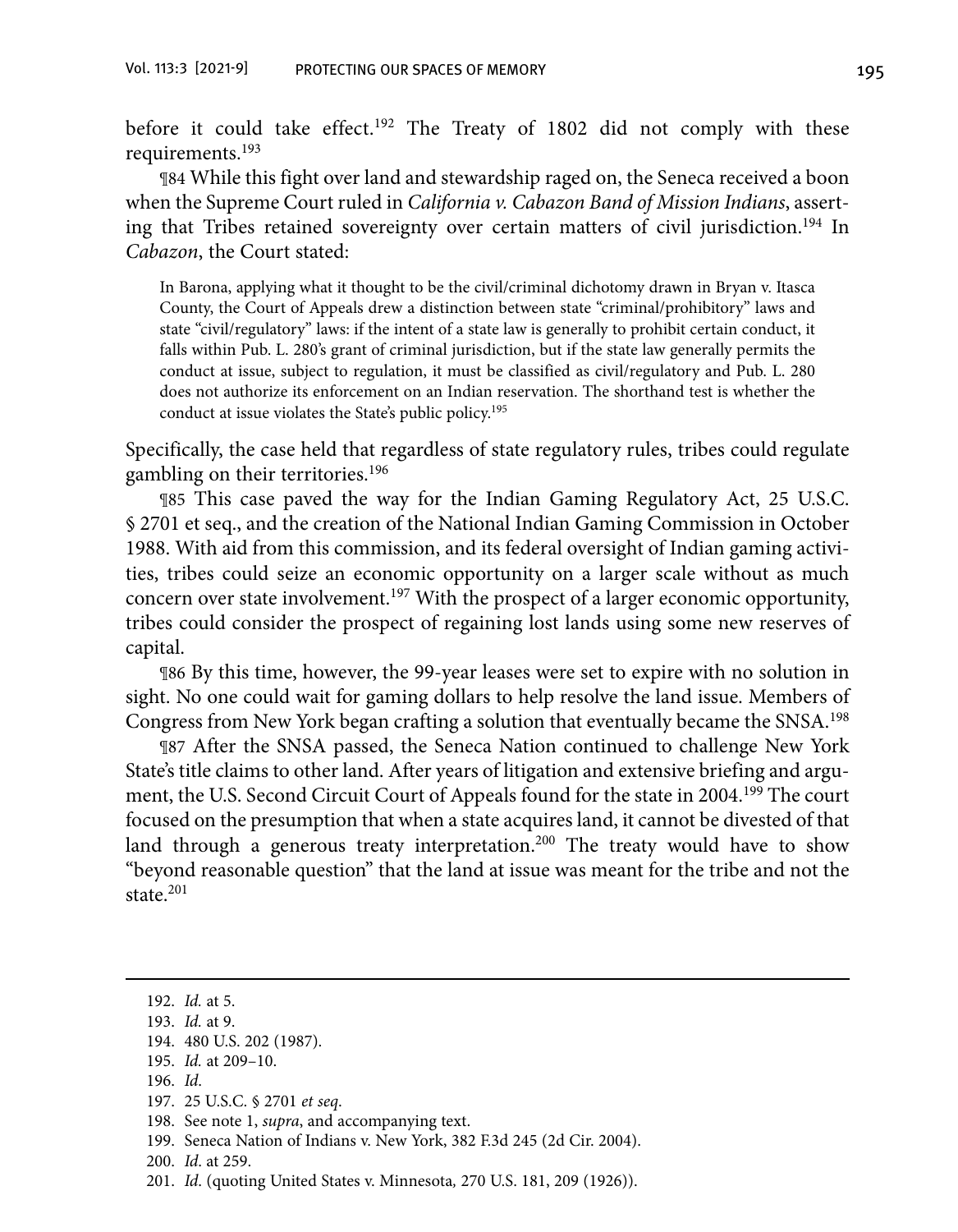before it could take effect.192 The Treaty of 1802 did not comply with these requirements.193

¶84 While this fight over land and stewardship raged on, the Seneca received a boon when the Supreme Court ruled in *California v. Cabazon Band of Mission Indians*, asserting that Tribes retained sovereignty over certain matters of civil jurisdiction.<sup>194</sup> In *Cabazon*, the Court stated:

In Barona, applying what it thought to be the civil/criminal dichotomy drawn in Bryan v. Itasca County, the Court of Appeals drew a distinction between state "criminal/prohibitory" laws and state "civil/regulatory" laws: if the intent of a state law is generally to prohibit certain conduct, it falls within Pub. L. 280's grant of criminal jurisdiction, but if the state law generally permits the conduct at issue, subject to regulation, it must be classified as civil/regulatory and Pub. L. 280 does not authorize its enforcement on an Indian reservation. The shorthand test is whether the conduct at issue violates the State's public policy.195

Specifically, the case held that regardless of state regulatory rules, tribes could regulate gambling on their territories.196

¶85 This case paved the way for the Indian Gaming Regulatory Act, 25 U.S.C. § 2701 et seq., and the creation of the National Indian Gaming Commission in October 1988. With aid from this commission, and its federal oversight of Indian gaming activities, tribes could seize an economic opportunity on a larger scale without as much concern over state involvement.197 With the prospect of a larger economic opportunity, tribes could consider the prospect of regaining lost lands using some new reserves of capital.

¶86 By this time, however, the 99-year leases were set to expire with no solution in sight. No one could wait for gaming dollars to help resolve the land issue. Members of Congress from New York began crafting a solution that eventually became the SNSA.198

¶87 After the SNSA passed, the Seneca Nation continued to challenge New York State's title claims to other land. After years of litigation and extensive briefing and argument, the U.S. Second Circuit Court of Appeals found for the state in 2004.<sup>199</sup> The court focused on the presumption that when a state acquires land, it cannot be divested of that land through a generous treaty interpretation.<sup>200</sup> The treaty would have to show "beyond reasonable question" that the land at issue was meant for the tribe and not the state.201

- 199. Seneca Nation of Indians v. New York, 382 F.3d 245 (2d Cir. 2004).
- 200. *Id*. at 259.
- 201. *Id*. (quoting United States v. Minnesota*,* 270 U.S. 181, 209 (1926)).

<sup>192.</sup> *Id.* at 5.

<sup>193.</sup> *Id.* at 9.

<sup>194. 480</sup> U.S. 202 (1987).

<sup>195.</sup> *Id.* at 209–10.

<sup>196.</sup> *Id*.

<sup>197. 25</sup> U.S.C. § 2701 *et seq*.

 <sup>198.</sup> See note 1, *supra*, and accompanying text.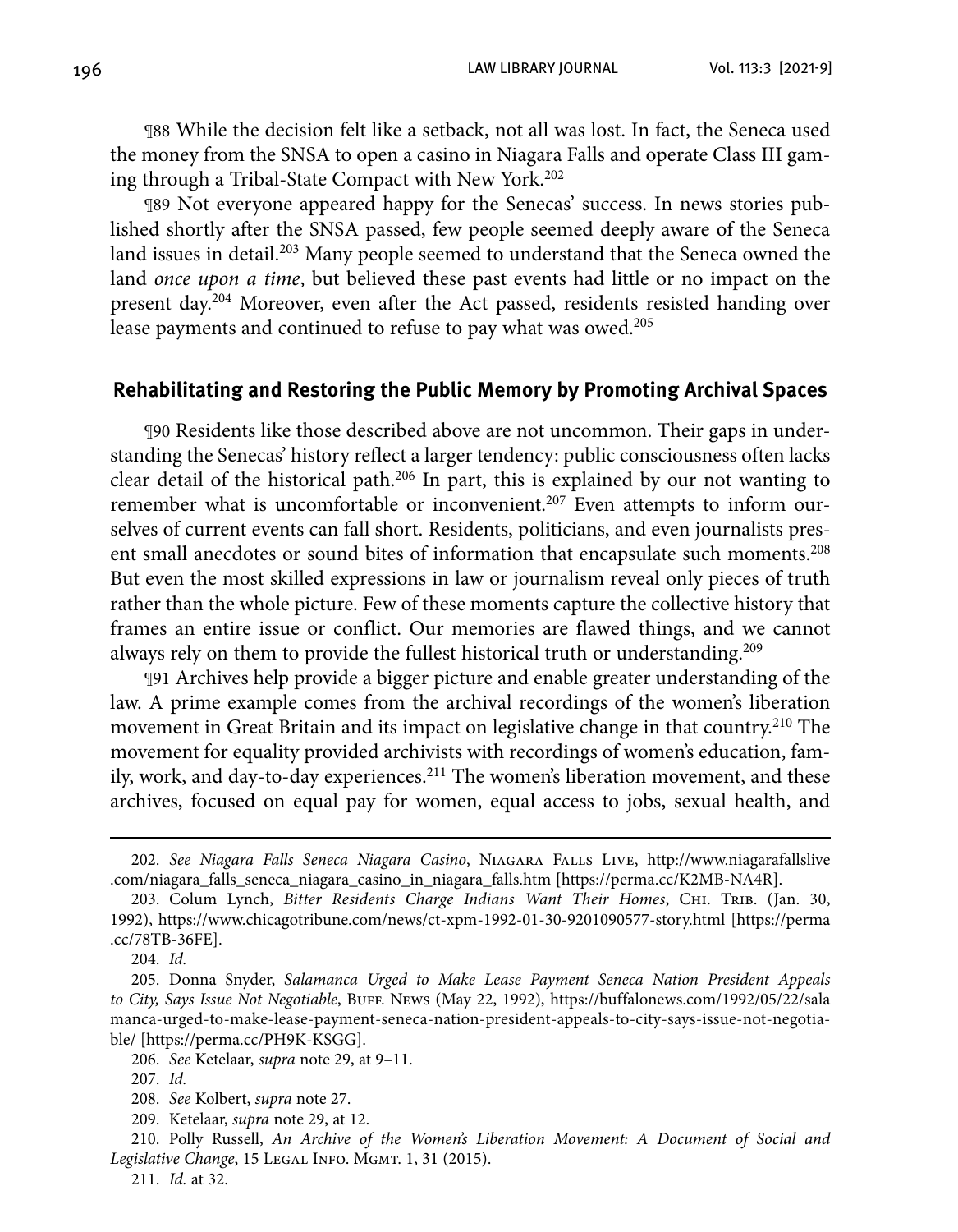196 LAW LIBRARY JOURNAL Vol. 113:3 [2021-9]

¶88 While the decision felt like a setback, not all was lost. In fact, the Seneca used the money from the SNSA to open a casino in Niagara Falls and operate Class III gaming through a Tribal-State Compact with New York.202

¶89 Not everyone appeared happy for the Senecas' success. In news stories published shortly after the SNSA passed, few people seemed deeply aware of the Seneca land issues in detail.<sup>203</sup> Many people seemed to understand that the Seneca owned the land *once upon a time*, but believed these past events had little or no impact on the present day.204 Moreover, even after the Act passed, residents resisted handing over lease payments and continued to refuse to pay what was owed.<sup>205</sup>

#### **Rehabilitating and Restoring the Public Memory by Promoting Archival Spaces**

¶90 Residents like those described above are not uncommon. Their gaps in understanding the Senecas' history reflect a larger tendency: public consciousness often lacks clear detail of the historical path.206 In part, this is explained by our not wanting to remember what is uncomfortable or inconvenient.<sup>207</sup> Even attempts to inform ourselves of current events can fall short. Residents, politicians, and even journalists present small anecdotes or sound bites of information that encapsulate such moments.<sup>208</sup> But even the most skilled expressions in law or journalism reveal only pieces of truth rather than the whole picture. Few of these moments capture the collective history that frames an entire issue or conflict. Our memories are flawed things, and we cannot always rely on them to provide the fullest historical truth or understanding.<sup>209</sup>

¶91 Archives help provide a bigger picture and enable greater understanding of the law. A prime example comes from the archival recordings of the women's liberation movement in Great Britain and its impact on legislative change in that country.210 The movement for equality provided archivists with recordings of women's education, family, work, and day-to-day experiences.<sup>211</sup> The women's liberation movement, and these archives, focused on equal pay for women, equal access to jobs, sexual health, and

211. *Id.* at 32.

<sup>202.</sup> *See Niagara Falls Seneca Niagara Casino*, Niagara Falls Live, [http://www.niagarafallslive](http://www.niagarafallslive.com/niagara_falls_seneca_niagara_casino_in_niagara_falls.htm) [.com/niagara\\_falls\\_seneca\\_niagara\\_casino\\_in\\_niagara\\_falls.htm](http://www.niagarafallslive.com/niagara_falls_seneca_niagara_casino_in_niagara_falls.htm) [\[https://perma.cc/K2MB-NA4R\].](https://perma.cc/K2MB-NA4R])

 <sup>203.</sup> Colum Lynch, *Bitter Residents Charge Indians Want Their Homes*, Chi. Trib. (Jan. 30, 1992), <https://www.chicagotribune.com/news/ct-xpm-1992-01-30-9201090577-story.html>[[https://perma](https://perma.cc/78TB-36FE) [.cc/78TB-36FE\]](https://perma.cc/78TB-36FE).

 <sup>204.</sup> *Id.*

 <sup>205.</sup> Donna Snyder, *Salamanca Urged to Make Lease Payment Seneca Nation President Appeals*  to City, Says Issue Not Negotiable, BUFF. News (May 22, 1992), [https://buffalonews.com/1992/05/22/sala](https://buffalonews.com/1992/05/22/salamanca-urged-to-make-lease-payment-seneca-nation-president-appeals-to-city-says-issue-not-negotiable/) [manca-urged-to-make-lease-payment-seneca-nation-president-appeals-to-city-says-issue-not-negotia](https://buffalonews.com/1992/05/22/salamanca-urged-to-make-lease-payment-seneca-nation-president-appeals-to-city-says-issue-not-negotiable/)[ble/](https://buffalonews.com/1992/05/22/salamanca-urged-to-make-lease-payment-seneca-nation-president-appeals-to-city-says-issue-not-negotiable/) [[https://perma.cc/PH9K-KSGG\].](https://perma.cc/PH9K-KSGG])

 <sup>206.</sup> *See* Ketelaar, *supra* note 29, at 9–11.

 <sup>207.</sup> *Id.*

 <sup>208.</sup> *See* Kolbert, *supra* note 27.

 <sup>209.</sup> Ketelaar, *supra* note 29, at 12.

 <sup>210.</sup> Polly Russell, *An Archive of the Women's Liberation Movement: A Document of Social and*  Legislative Change, 15 LEGAL INFO. MGMT. 1, 31 (2015).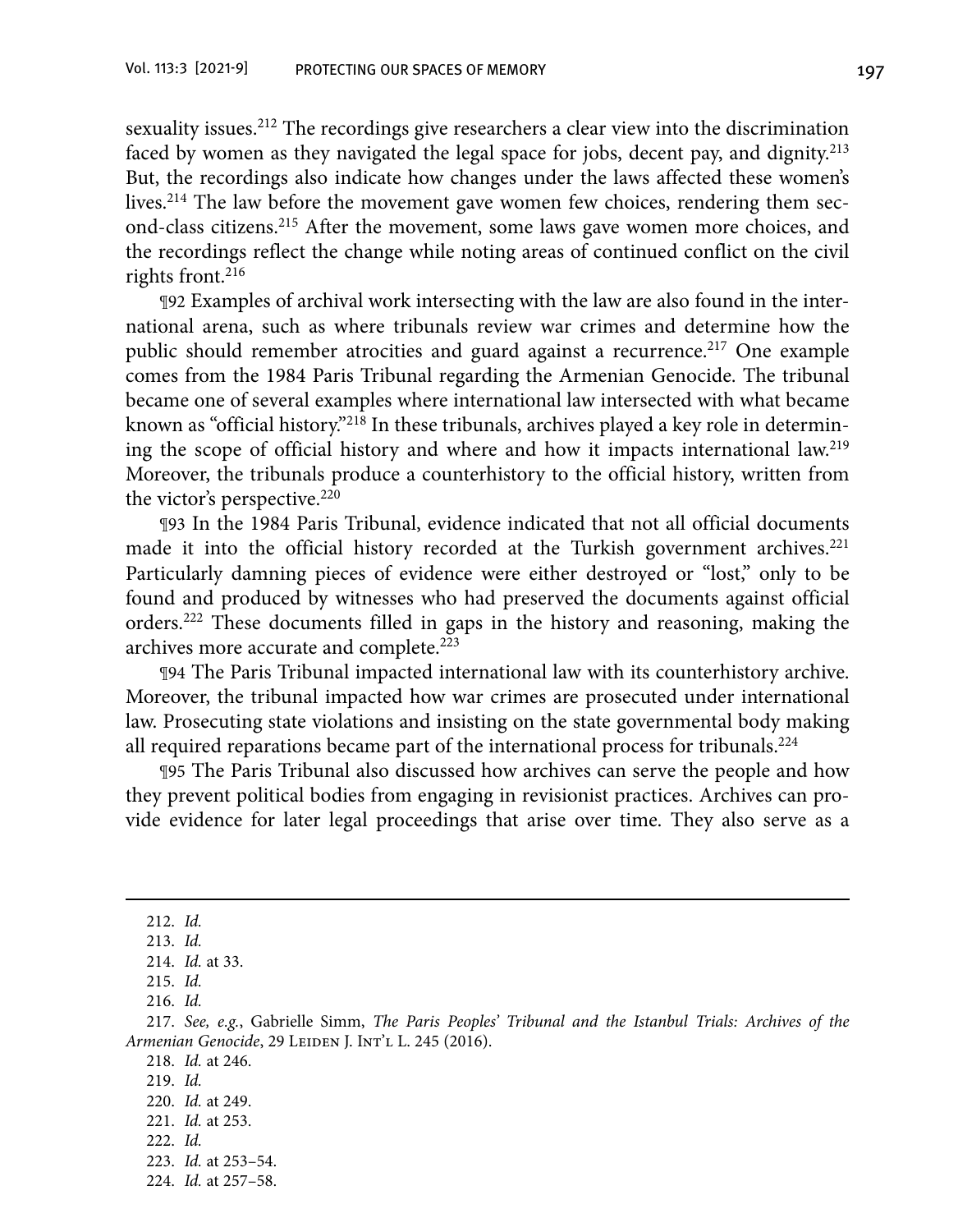sexuality issues.212 The recordings give researchers a clear view into the discrimination faced by women as they navigated the legal space for jobs, decent pay, and dignity.<sup>213</sup> But, the recordings also indicate how changes under the laws affected these women's lives.<sup>214</sup> The law before the movement gave women few choices, rendering them second-class citizens.215 After the movement, some laws gave women more choices, and the recordings reflect the change while noting areas of continued conflict on the civil rights front.216

¶92 Examples of archival work intersecting with the law are also found in the international arena, such as where tribunals review war crimes and determine how the public should remember atrocities and guard against a recurrence.<sup>217</sup> One example comes from the 1984 Paris Tribunal regarding the Armenian Genocide. The tribunal became one of several examples where international law intersected with what became known as "official history."218 In these tribunals, archives played a key role in determining the scope of official history and where and how it impacts international law.219 Moreover, the tribunals produce a counterhistory to the official history, written from the victor's perspective.<sup>220</sup>

¶93 In the 1984 Paris Tribunal, evidence indicated that not all official documents made it into the official history recorded at the Turkish government archives.<sup>221</sup> Particularly damning pieces of evidence were either destroyed or "lost," only to be found and produced by witnesses who had preserved the documents against official orders.222 These documents filled in gaps in the history and reasoning, making the archives more accurate and complete.223

¶94 The Paris Tribunal impacted international law with its counterhistory archive. Moreover, the tribunal impacted how war crimes are prosecuted under international law. Prosecuting state violations and insisting on the state governmental body making all required reparations became part of the international process for tribunals.<sup>224</sup>

¶95 The Paris Tribunal also discussed how archives can serve the people and how they prevent political bodies from engaging in revisionist practices. Archives can provide evidence for later legal proceedings that arise over time. They also serve as a

220. *Id.* at 249.

222. *Id.*

<sup>212.</sup> *Id.*

<sup>213.</sup> *Id.*

<sup>214.</sup> *Id.* at 33.

<sup>215.</sup> *Id.*

<sup>216.</sup> *Id.*

<sup>217.</sup> *See, e.g.*, Gabrielle Simm, *The Paris Peoples' Tribunal and the Istanbul Trials: Archives of the*  Armenian Genocide, 29 LEIDEN J. INT'L L. 245 (2016).

 <sup>218.</sup> *Id.* at 246.

 <sup>219.</sup> *Id.*

 <sup>221.</sup> *Id.* at 253.

 <sup>223.</sup> *Id.* at 253–54.

 <sup>224.</sup> *Id.* at 257–58.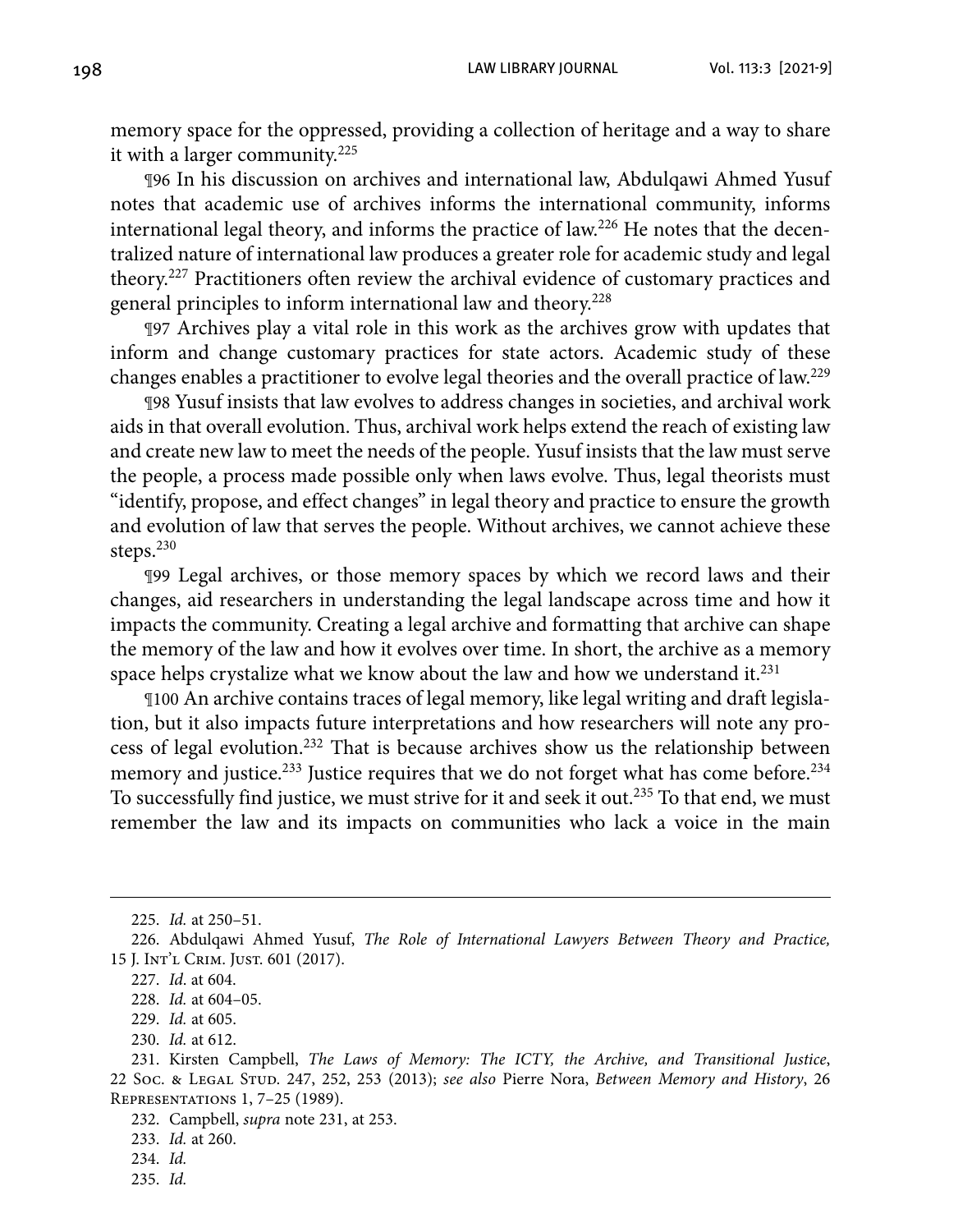memory space for the oppressed, providing a collection of heritage and a way to share it with a larger community.225

¶96 In his discussion on archives and international law, Abdulqawi Ahmed Yusuf notes that academic use of archives informs the international community, informs international legal theory, and informs the practice of law.226 He notes that the decentralized nature of international law produces a greater role for academic study and legal theory.227 Practitioners often review the archival evidence of customary practices and general principles to inform international law and theory.228

¶97 Archives play a vital role in this work as the archives grow with updates that inform and change customary practices for state actors. Academic study of these changes enables a practitioner to evolve legal theories and the overall practice of law.229

¶98 Yusuf insists that law evolves to address changes in societies, and archival work aids in that overall evolution. Thus, archival work helps extend the reach of existing law and create new law to meet the needs of the people. Yusuf insists that the law must serve the people, a process made possible only when laws evolve. Thus, legal theorists must "identify, propose, and effect changes" in legal theory and practice to ensure the growth and evolution of law that serves the people. Without archives, we cannot achieve these steps.<sup>230</sup>

¶99 Legal archives, or those memory spaces by which we record laws and their changes, aid researchers in understanding the legal landscape across time and how it impacts the community. Creating a legal archive and formatting that archive can shape the memory of the law and how it evolves over time. In short, the archive as a memory space helps crystalize what we know about the law and how we understand it.<sup>231</sup>

¶100 An archive contains traces of legal memory, like legal writing and draft legislation, but it also impacts future interpretations and how researchers will note any process of legal evolution.232 That is because archives show us the relationship between memory and justice.<sup>233</sup> Justice requires that we do not forget what has come before.<sup>234</sup> To successfully find justice, we must strive for it and seek it out.235 To that end, we must remember the law and its impacts on communities who lack a voice in the main

235. *Id.*

<sup>225.</sup> *Id.* at 250–51.

 <sup>226.</sup> Abdulqawi Ahmed Yusuf, *The Role of International Lawyers Between Theory and Practice,*  15 J. Int'l Crim. Just. 601 (2017).

 <sup>227.</sup> *Id*. at 604.

 <sup>228.</sup> *Id.* at 604–05.

 <sup>229.</sup> *Id.* at 605.

 <sup>230.</sup> *Id.* at 612.

 <sup>231.</sup> Kirsten Campbell, *The Laws of Memory: The ICTY, the Archive, and Transitional Justice*, 22 Soc. & Legal Stud. 247, 252, 253 (2013); *see also* Pierre Nora, *Between Memory and History*, 26 Representations 1, 7–25 (1989).

 <sup>232.</sup> Campbell, *supra* note 231, at 253.

 <sup>233.</sup> *Id.* at 260.

 <sup>234.</sup> *Id.*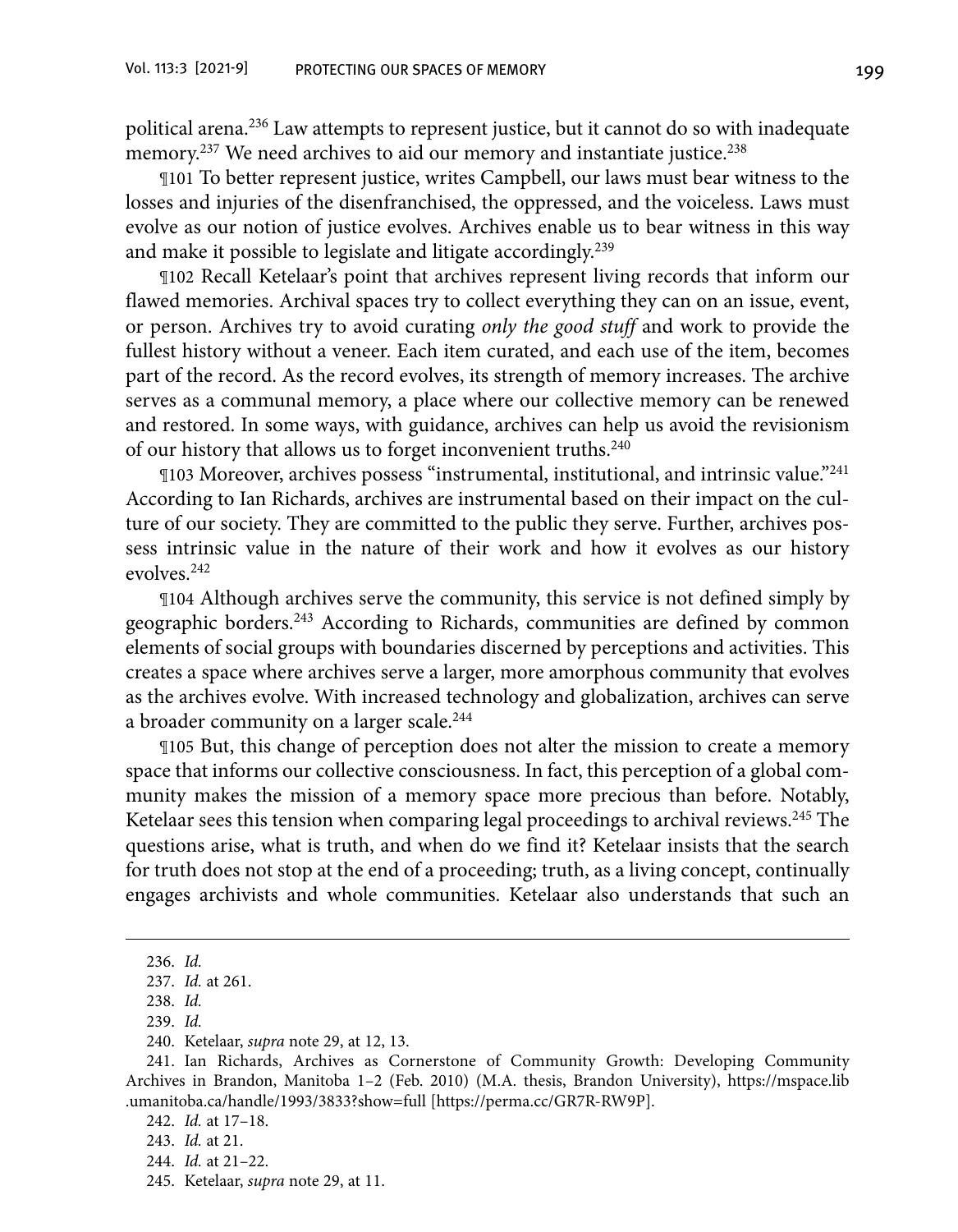political arena.236 Law attempts to represent justice, but it cannot do so with inadequate memory.<sup>237</sup> We need archives to aid our memory and instantiate justice.<sup>238</sup>

¶101 To better represent justice, writes Campbell, our laws must bear witness to the losses and injuries of the disenfranchised, the oppressed, and the voiceless. Laws must evolve as our notion of justice evolves. Archives enable us to bear witness in this way and make it possible to legislate and litigate accordingly.<sup>239</sup>

¶102 Recall Ketelaar's point that archives represent living records that inform our flawed memories. Archival spaces try to collect everything they can on an issue, event, or person. Archives try to avoid curating *only the good stuff* and work to provide the fullest history without a veneer. Each item curated, and each use of the item, becomes part of the record. As the record evolves, its strength of memory increases. The archive serves as a communal memory, a place where our collective memory can be renewed and restored. In some ways, with guidance, archives can help us avoid the revisionism of our history that allows us to forget inconvenient truths.240

¶103 Moreover, archives possess "instrumental, institutional, and intrinsic value."241 According to Ian Richards, archives are instrumental based on their impact on the culture of our society. They are committed to the public they serve. Further, archives possess intrinsic value in the nature of their work and how it evolves as our history evolves.242

¶104 Although archives serve the community, this service is not defined simply by geographic borders.<sup>243</sup> According to Richards, communities are defined by common elements of social groups with boundaries discerned by perceptions and activities. This creates a space where archives serve a larger, more amorphous community that evolves as the archives evolve. With increased technology and globalization, archives can serve a broader community on a larger scale.244

¶105 But, this change of perception does not alter the mission to create a memory space that informs our collective consciousness. In fact, this perception of a global community makes the mission of a memory space more precious than before. Notably, Ketelaar sees this tension when comparing legal proceedings to archival reviews.<sup>245</sup> The questions arise, what is truth, and when do we find it? Ketelaar insists that the search for truth does not stop at the end of a proceeding; truth, as a living concept, continually engages archivists and whole communities. Ketelaar also understands that such an

<sup>236.</sup> *Id.*

<sup>237.</sup> *Id.* at 261.

<sup>238.</sup> *Id.*

<sup>239.</sup> *Id.*

<sup>240.</sup> Ketelaar, *supra* note 29, at 12, 13.

<sup>241.</sup> Ian Richards, Archives as Cornerstone of Community Growth: Developing Community Archives in Brandon, Manitoba 1–2 (Feb. 2010) (M.A. thesis, Brandon University), [https://mspace.lib](https://mspace.lib.umanitoba.ca/handle/1993/3833?show=full) [.umanitoba.ca/handle/1993/3833?show=full](https://mspace.lib.umanitoba.ca/handle/1993/3833?show=full) [<https://perma.cc/GR7R-RW9P>[\].](https://perma.cc/GR7R-RW9P])

<sup>242.</sup> *Id.* at 17–18.

<sup>243.</sup> *Id.* at 21.

<sup>244.</sup> *Id.* at 21–22.

<sup>245.</sup> Ketelaar, *supra* note 29, at 11.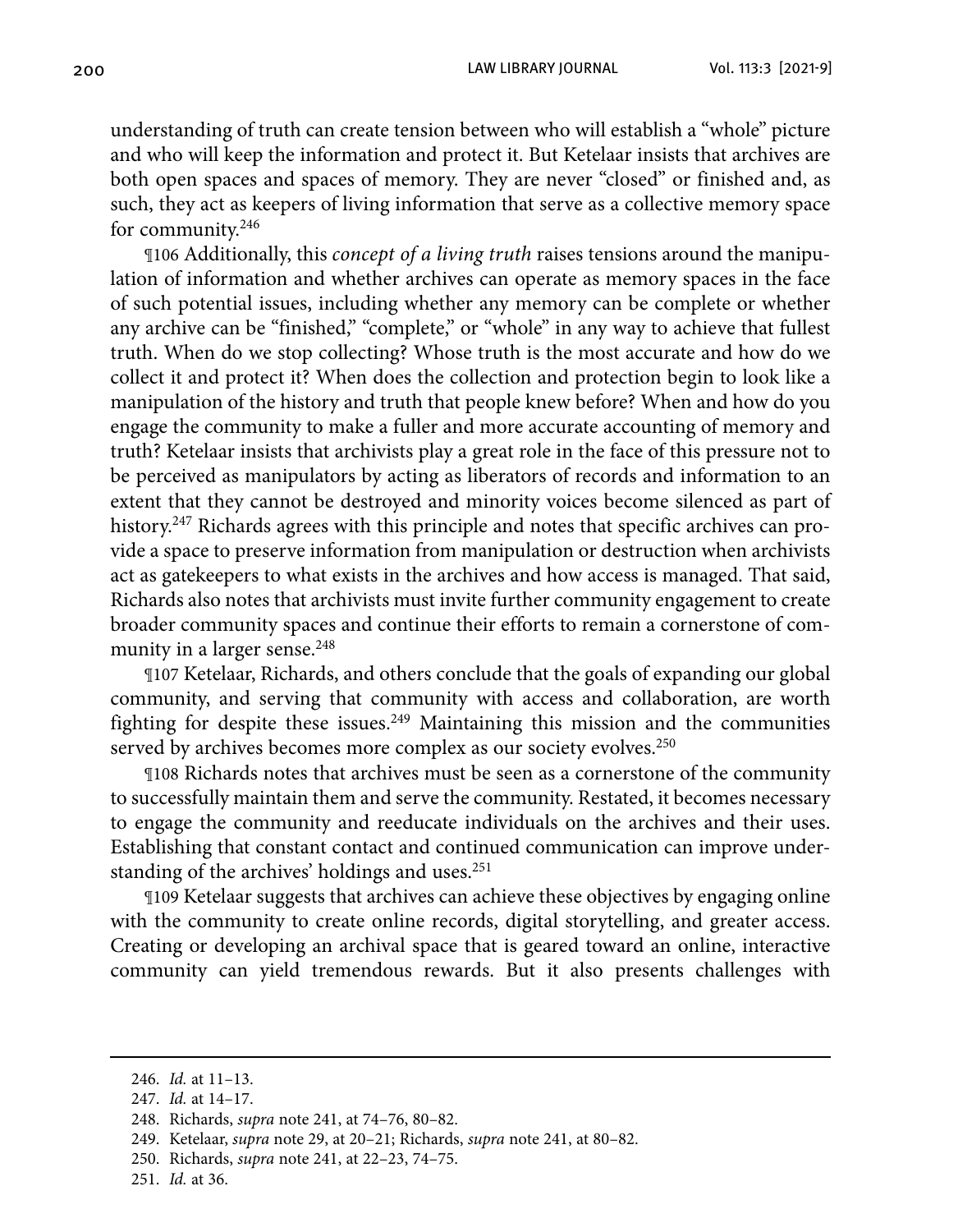understanding of truth can create tension between who will establish a "whole" picture and who will keep the information and protect it. But Ketelaar insists that archives are both open spaces and spaces of memory. They are never "closed" or finished and, as such, they act as keepers of living information that serve as a collective memory space for community.246

¶106 Additionally, this *concept of a living truth* raises tensions around the manipulation of information and whether archives can operate as memory spaces in the face of such potential issues, including whether any memory can be complete or whether any archive can be "finished," "complete," or "whole" in any way to achieve that fullest truth. When do we stop collecting? Whose truth is the most accurate and how do we collect it and protect it? When does the collection and protection begin to look like a manipulation of the history and truth that people knew before? When and how do you engage the community to make a fuller and more accurate accounting of memory and truth? Ketelaar insists that archivists play a great role in the face of this pressure not to be perceived as manipulators by acting as liberators of records and information to an extent that they cannot be destroyed and minority voices become silenced as part of history.<sup>247</sup> Richards agrees with this principle and notes that specific archives can provide a space to preserve information from manipulation or destruction when archivists act as gatekeepers to what exists in the archives and how access is managed. That said, Richards also notes that archivists must invite further community engagement to create broader community spaces and continue their efforts to remain a cornerstone of community in a larger sense.<sup>248</sup>

¶107 Ketelaar, Richards, and others conclude that the goals of expanding our global community, and serving that community with access and collaboration, are worth fighting for despite these issues.249 Maintaining this mission and the communities served by archives becomes more complex as our society evolves.<sup>250</sup>

¶108 Richards notes that archives must be seen as a cornerstone of the community to successfully maintain them and serve the community. Restated, it becomes necessary to engage the community and reeducate individuals on the archives and their uses. Establishing that constant contact and continued communication can improve understanding of the archives' holdings and uses.<sup>251</sup>

¶109 Ketelaar suggests that archives can achieve these objectives by engaging online with the community to create online records, digital storytelling, and greater access. Creating or developing an archival space that is geared toward an online, interactive community can yield tremendous rewards. But it also presents challenges with

<sup>246.</sup> *Id.* at 11–13.

 <sup>247.</sup> *Id.* at 14–17.

 <sup>248.</sup> Richards, *supra* note 241, at 74–76, 80–82.

 <sup>249.</sup> Ketelaar, *supra* note 29, at 20–21; Richards, *supra* note 241, at 80–82.

<sup>250.</sup> Richards, *supra* note 241, at 22–23, 74–75.

 <sup>251.</sup> *Id.* at 36.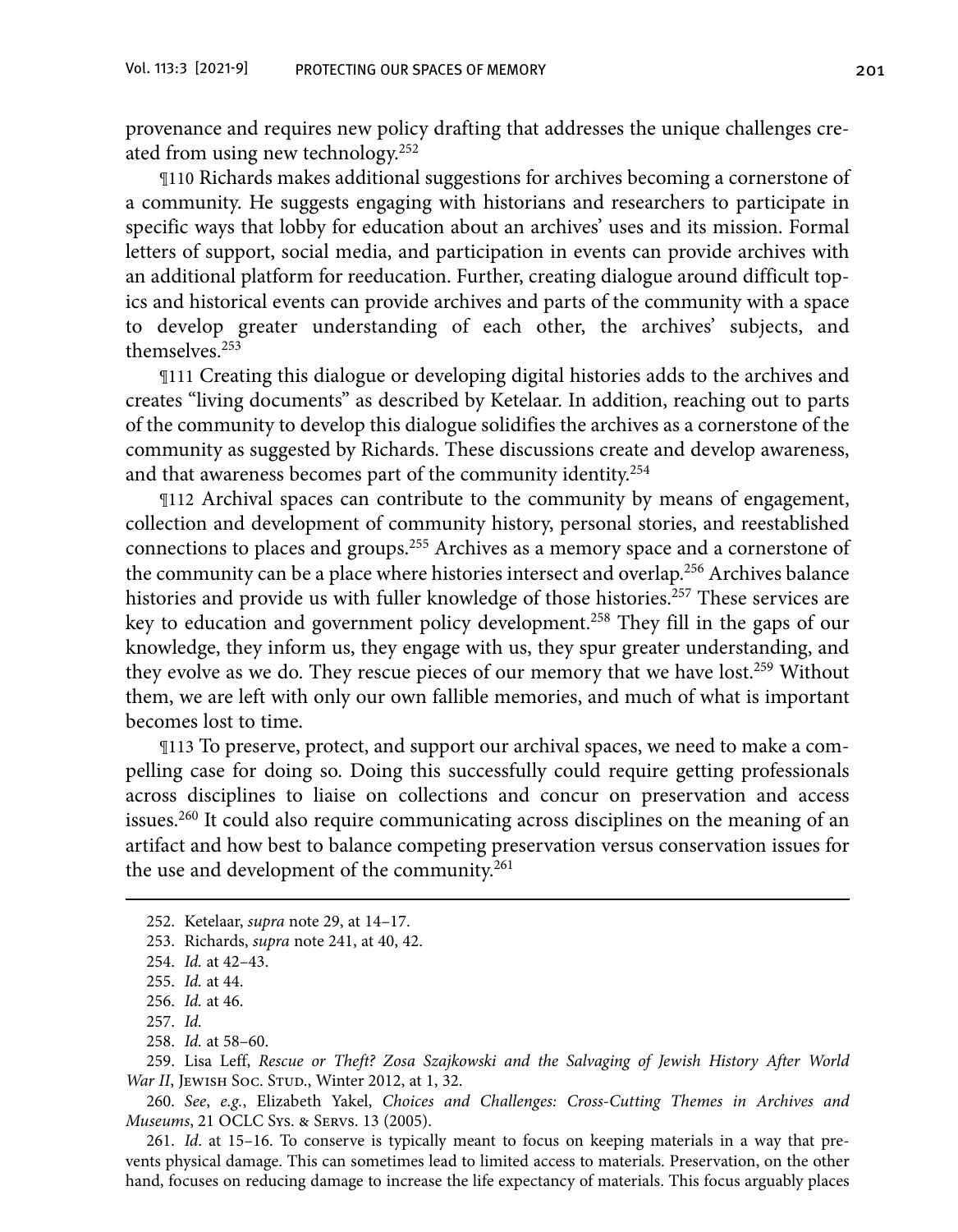provenance and requires new policy drafting that addresses the unique challenges created from using new technology.252

¶110 Richards makes additional suggestions for archives becoming a cornerstone of a community. He suggests engaging with historians and researchers to participate in specific ways that lobby for education about an archives' uses and its mission. Formal letters of support, social media, and participation in events can provide archives with an additional platform for reeducation. Further, creating dialogue around difficult topics and historical events can provide archives and parts of the community with a space to develop greater understanding of each other, the archives' subjects, and themselves.253

¶111 Creating this dialogue or developing digital histories adds to the archives and creates "living documents" as described by Ketelaar. In addition, reaching out to parts of the community to develop this dialogue solidifies the archives as a cornerstone of the community as suggested by Richards. These discussions create and develop awareness, and that awareness becomes part of the community identity.254

¶112 Archival spaces can contribute to the community by means of engagement, collection and development of community history, personal stories, and reestablished connections to places and groups.255 Archives as a memory space and a cornerstone of the community can be a place where histories intersect and overlap.<sup>256</sup> Archives balance histories and provide us with fuller knowledge of those histories.<sup>257</sup> These services are key to education and government policy development.258 They fill in the gaps of our knowledge, they inform us, they engage with us, they spur greater understanding, and they evolve as we do. They rescue pieces of our memory that we have lost.<sup>259</sup> Without them, we are left with only our own fallible memories, and much of what is important becomes lost to time.

¶113 To preserve, protect, and support our archival spaces, we need to make a compelling case for doing so. Doing this successfully could require getting professionals across disciplines to liaise on collections and concur on preservation and access issues.260 It could also require communicating across disciplines on the meaning of an artifact and how best to balance competing preservation versus conservation issues for the use and development of the community.<sup>261</sup>

258. *Id.* at 58–60.

259. Lisa Leff, *Rescue or Theft? Zosa Szajkowski and the Salvaging of Jewish History After World War II*, JEWISH Soc. STUD., Winter 2012, at 1, 32.

260. *See*, *e.g.*, Elizabeth Yakel, *Choices and Challenges: Cross-Cutting Themes in Archives and Museums*, 21 OCLC Sys. & Servs. 13 (2005).

 261. *Id*. at 15–16. To conserve is typically meant to focus on keeping materials in a way that prevents physical damage. This can sometimes lead to limited access to materials. Preservation, on the other hand, focuses on reducing damage to increase the life expectancy of materials. This focus arguably places

<sup>252.</sup> Ketelaar, *supra* note 29, at 14–17.

<sup>253.</sup> Richards, *supra* note 241, at 40, 42.

 <sup>254.</sup> *Id.* at 42–43.

<sup>255.</sup> *Id.* at 44.

<sup>256.</sup> *Id.* at 46.

<sup>257.</sup> *Id.*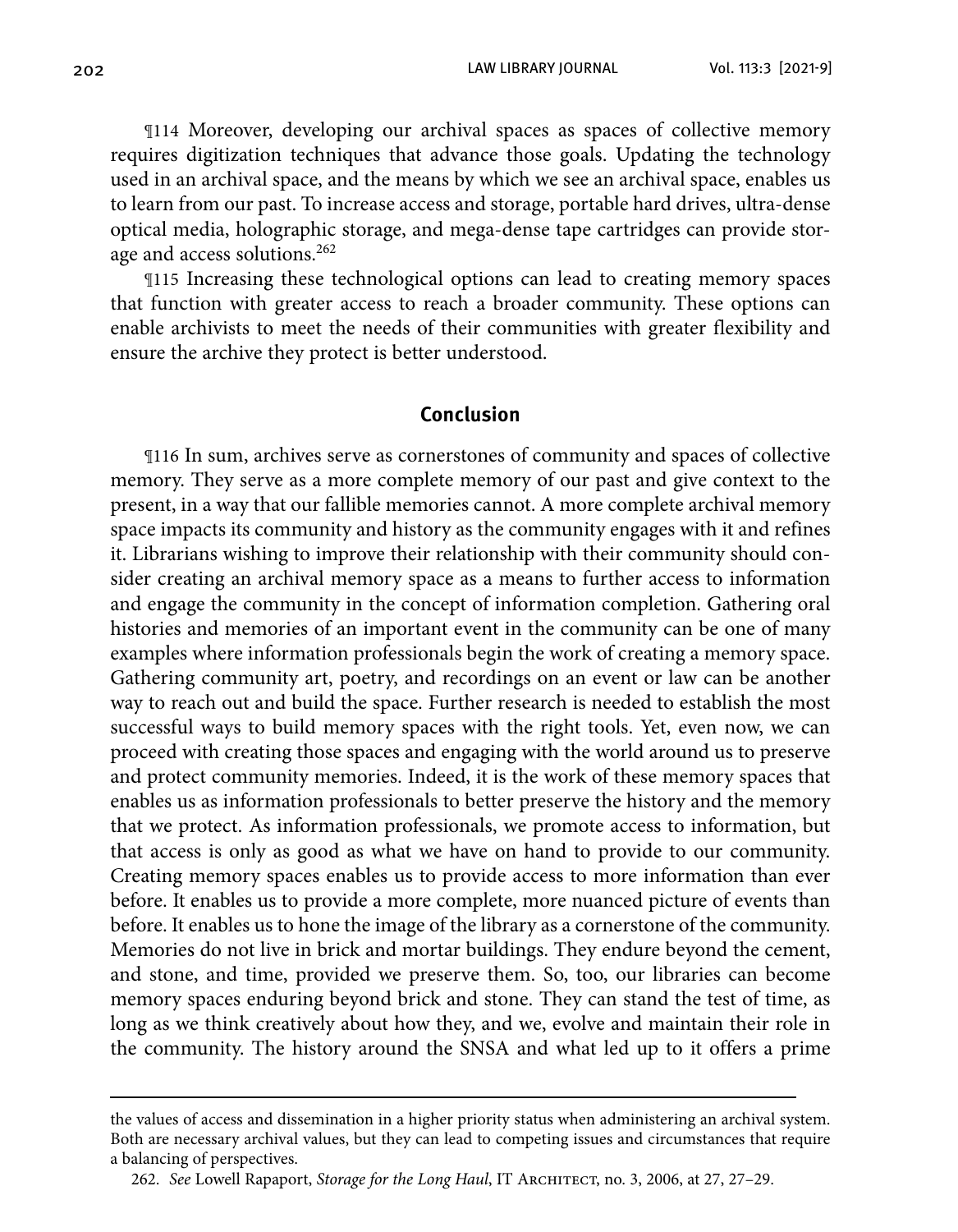202 LAW LIBRARY JOURNAL Vol. 113:3 [2021-9]

¶114 Moreover, developing our archival spaces as spaces of collective memory requires digitization techniques that advance those goals. Updating the technology used in an archival space, and the means by which we see an archival space, enables us to learn from our past. To increase access and storage, portable hard drives, ultra-dense optical media, holographic storage, and mega-dense tape cartridges can provide storage and access solutions.262

¶115 Increasing these technological options can lead to creating memory spaces that function with greater access to reach a broader community. These options can enable archivists to meet the needs of their communities with greater flexibility and ensure the archive they protect is better understood.

#### **Conclusion**

¶116 In sum, archives serve as cornerstones of community and spaces of collective memory. They serve as a more complete memory of our past and give context to the present, in a way that our fallible memories cannot. A more complete archival memory space impacts its community and history as the community engages with it and refines it. Librarians wishing to improve their relationship with their community should consider creating an archival memory space as a means to further access to information and engage the community in the concept of information completion. Gathering oral histories and memories of an important event in the community can be one of many examples where information professionals begin the work of creating a memory space. Gathering community art, poetry, and recordings on an event or law can be another way to reach out and build the space. Further research is needed to establish the most successful ways to build memory spaces with the right tools. Yet, even now, we can proceed with creating those spaces and engaging with the world around us to preserve and protect community memories. Indeed, it is the work of these memory spaces that enables us as information professionals to better preserve the history and the memory that we protect. As information professionals, we promote access to information, but that access is only as good as what we have on hand to provide to our community. Creating memory spaces enables us to provide access to more information than ever before. It enables us to provide a more complete, more nuanced picture of events than before. It enables us to hone the image of the library as a cornerstone of the community. Memories do not live in brick and mortar buildings. They endure beyond the cement, and stone, and time, provided we preserve them. So, too, our libraries can become memory spaces enduring beyond brick and stone. They can stand the test of time, as long as we think creatively about how they, and we, evolve and maintain their role in the community. The history around the SNSA and what led up to it offers a prime

the values of access and dissemination in a higher priority status when administering an archival system. Both are necessary archival values, but they can lead to competing issues and circumstances that require a balancing of perspectives.

<sup>262.</sup> *See* Lowell Rapaport, *Storage for the Long Haul*, IT Architect, no. 3, 2006, at 27, 27–29.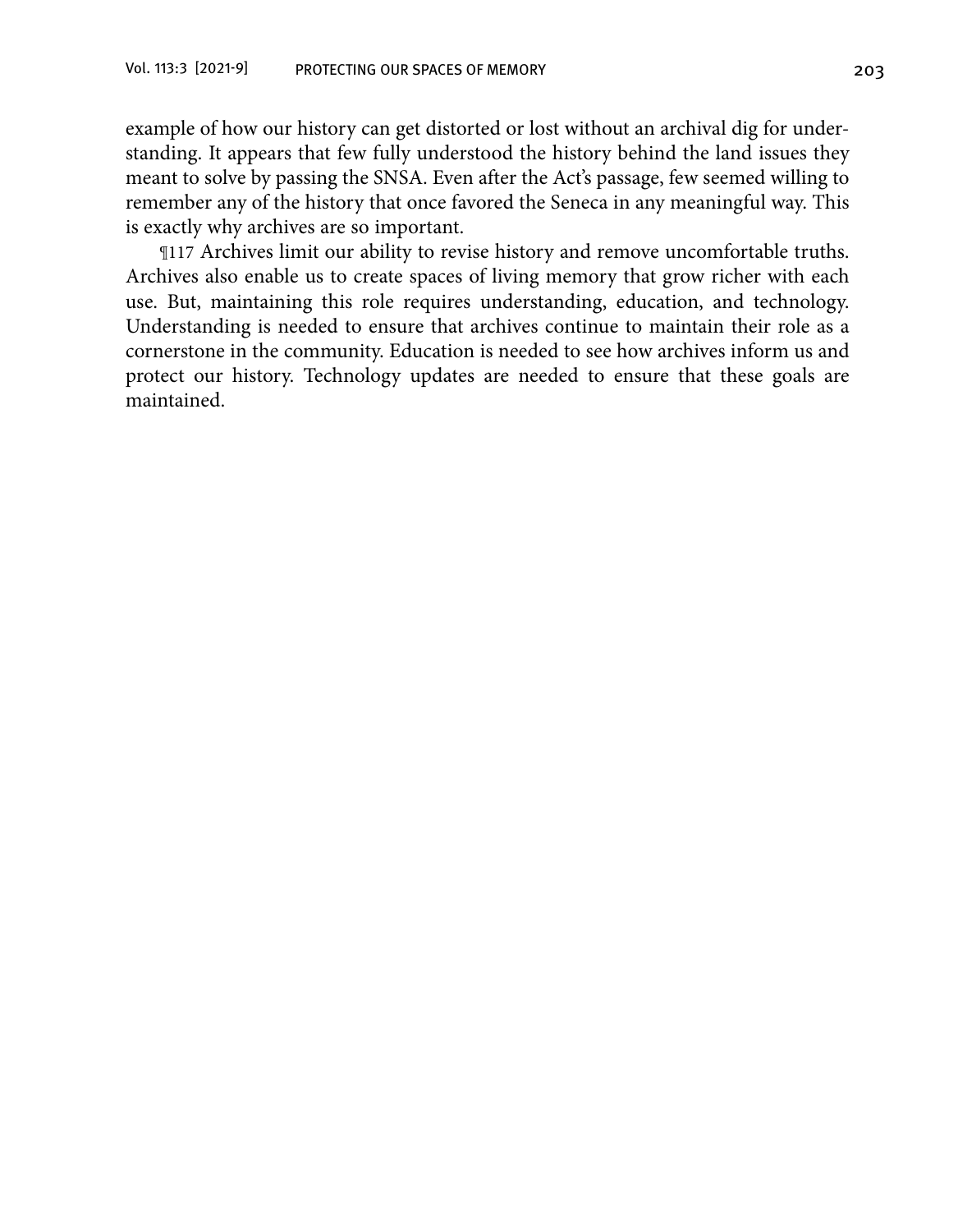example of how our history can get distorted or lost without an archival dig for understanding. It appears that few fully understood the history behind the land issues they meant to solve by passing the SNSA. Even after the Act's passage, few seemed willing to remember any of the history that once favored the Seneca in any meaningful way. This is exactly why archives are so important.

¶117 Archives limit our ability to revise history and remove uncomfortable truths. Archives also enable us to create spaces of living memory that grow richer with each use. But, maintaining this role requires understanding, education, and technology. Understanding is needed to ensure that archives continue to maintain their role as a cornerstone in the community. Education is needed to see how archives inform us and protect our history. Technology updates are needed to ensure that these goals are maintained.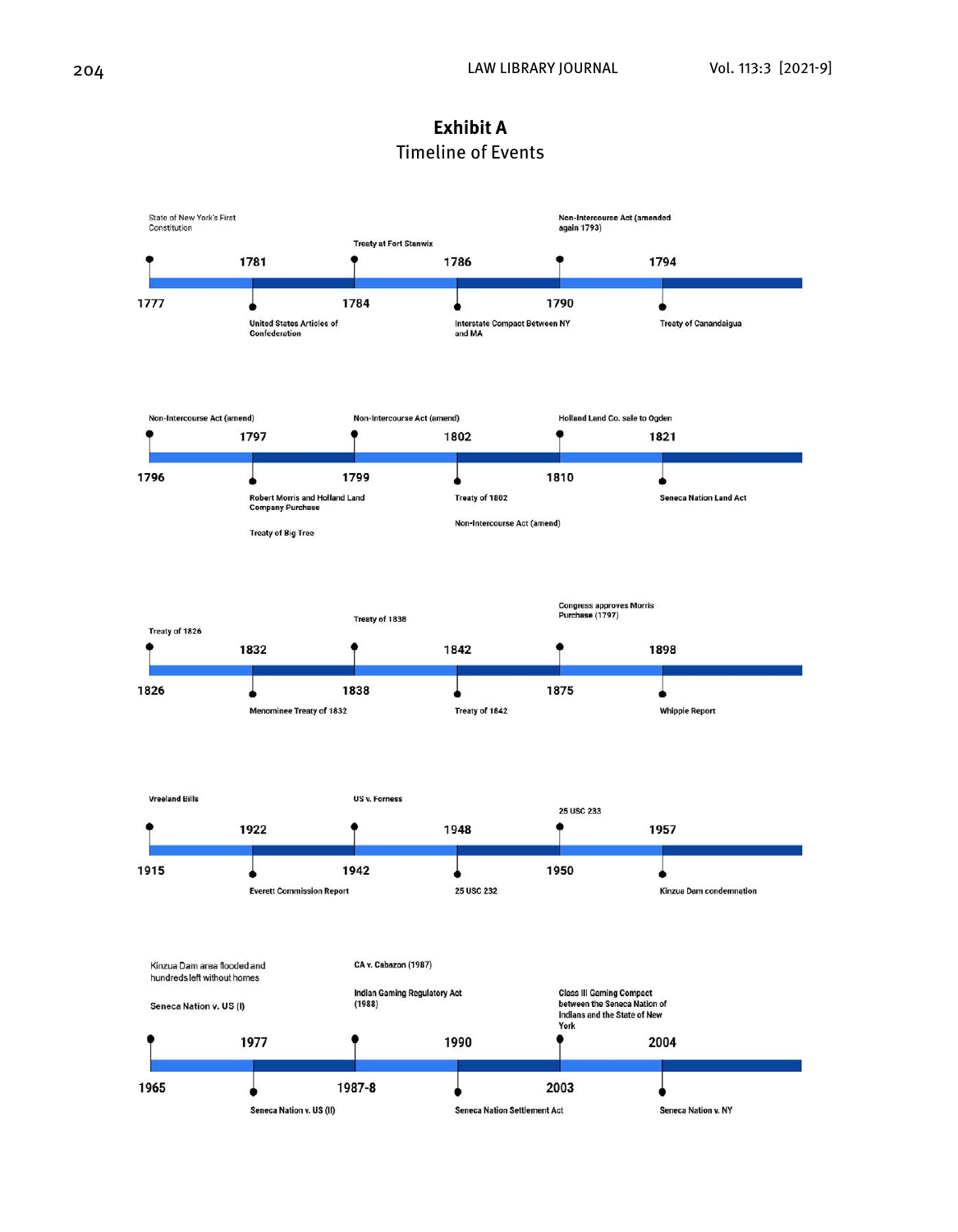

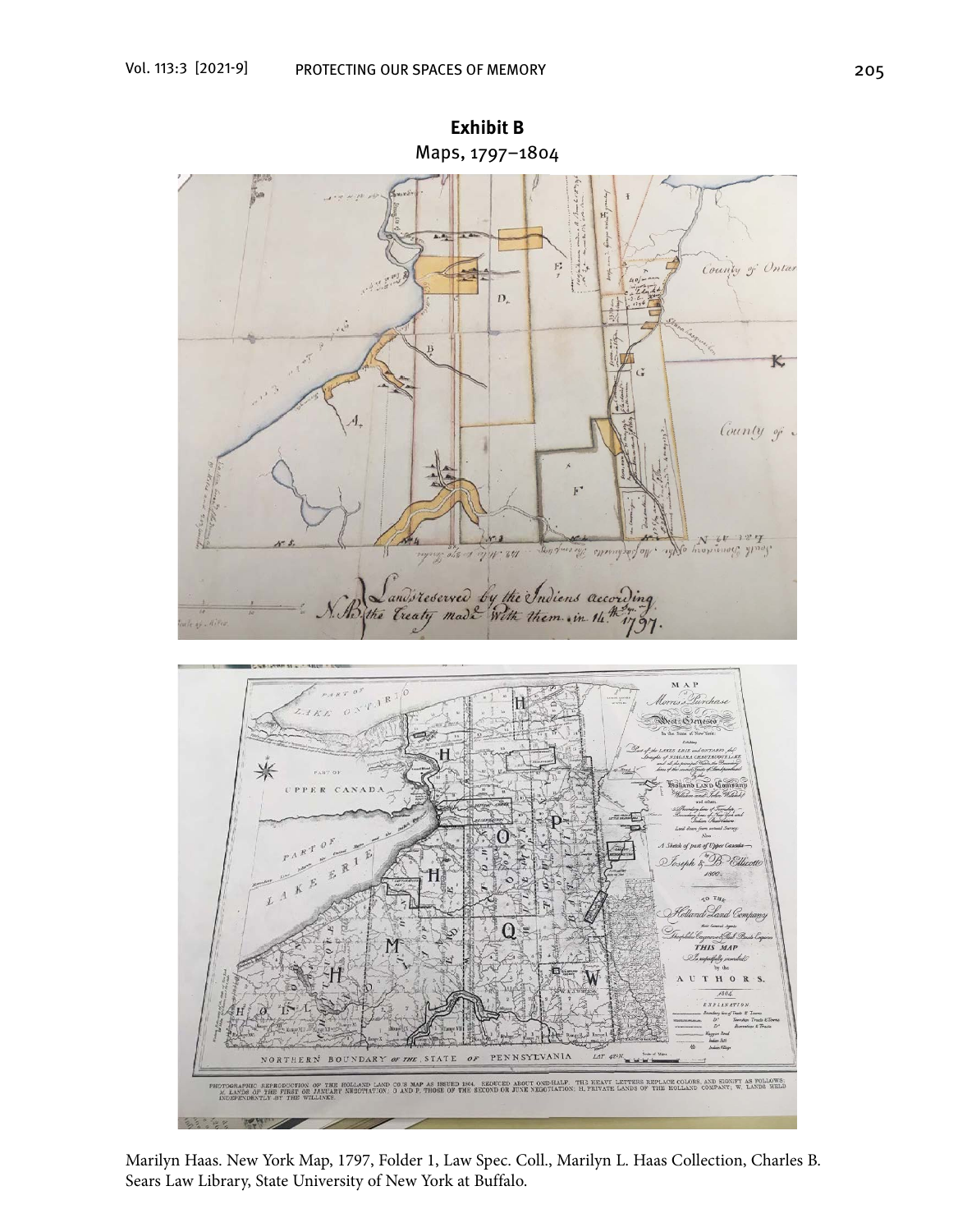

**Exhibit B** Maps, 1797–1804

Marilyn Haas. New York Map, 1797, Folder 1, Law Spec. Coll., Marilyn L. Haas Collection, Charles B. Sears Law Library, State University of New York at Buffalo.

**100 MW**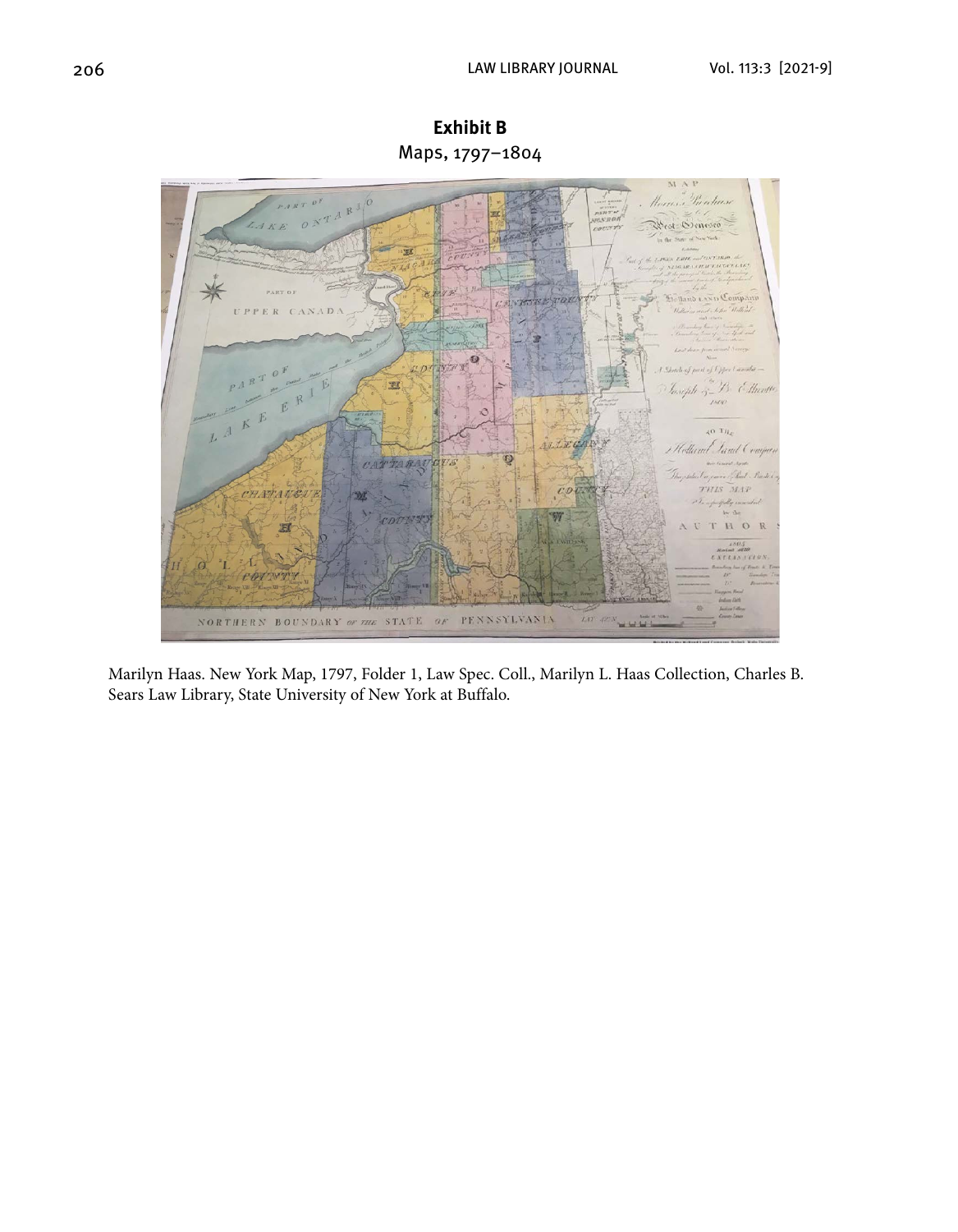

**Exhibit B** Maps, 1797–1804

Marilyn Haas. New York Map, 1797, Folder 1, Law Spec. Coll., Marilyn L. Haas Collection, Charles B. Sears Law Library, State University of New York at Buffalo.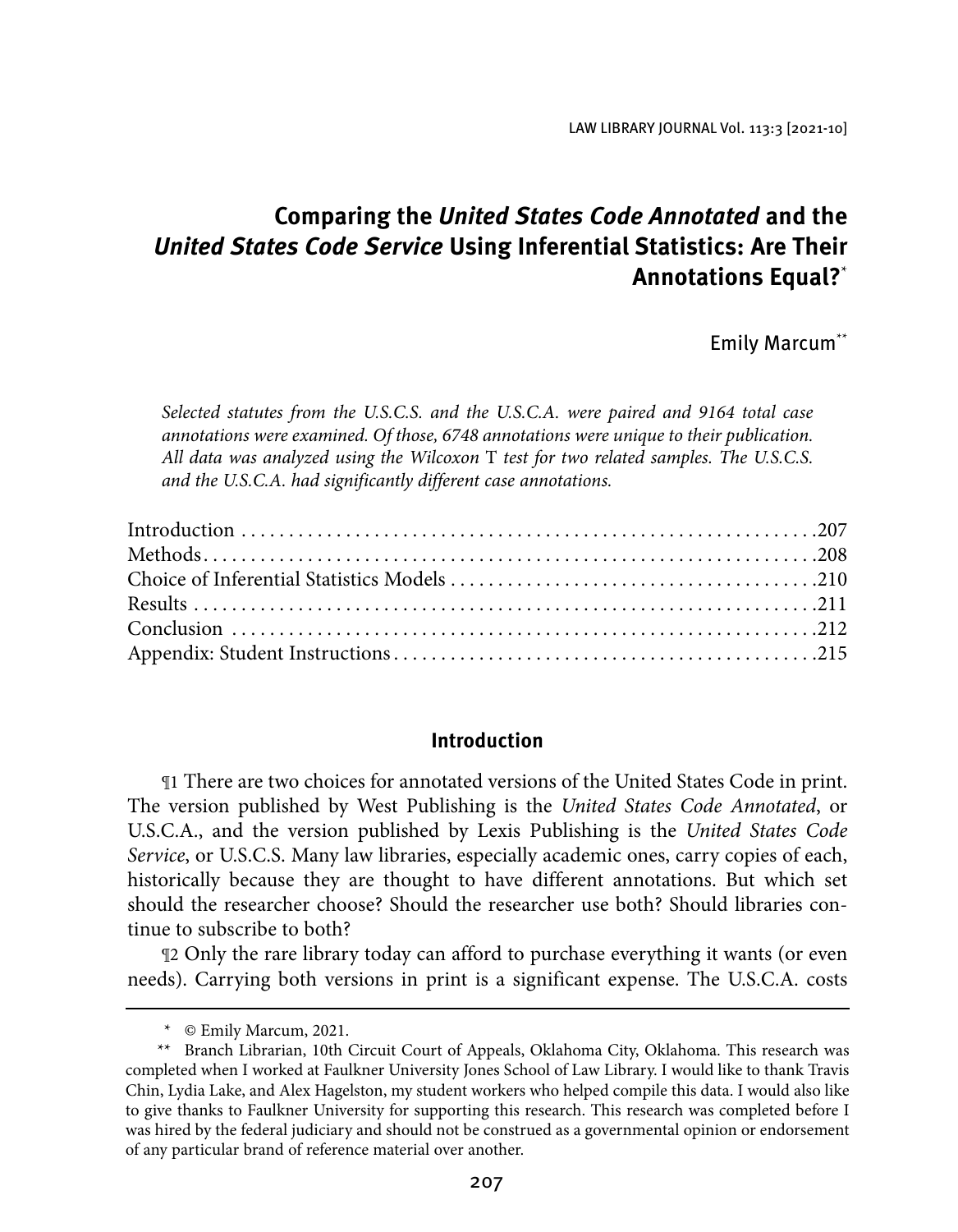LAW LIBRARY JOURNAL Vol. 113:3 [2021-10]

## **Comparing the United States Code Annotated and the United States Code Service Using Inferential Statistics: Are Their Annotations Equal?**\*

Emily Marcum\*\*

*Selected statutes from the U.S.C.S. and the U.S.C.A. were paired and 9164 total case annotations were examined. Of those, 6748 annotations were unique to their publication. All data was analyzed using the Wilcoxon* T *test for two related samples. The U.S.C.S. and the U.S.C.A. had significantly different case annotations.*

#### **Introduction**

¶1 There are two choices for annotated versions of the United States Code in print. The version published by West Publishing is the *United States Code Annotated*, or U.S.C.A., and the version published by Lexis Publishing is the *United States Code Service*, or U.S.C.S. Many law libraries, especially academic ones, carry copies of each, historically because they are thought to have different annotations. But which set should the researcher choose? Should the researcher use both? Should libraries continue to subscribe to both?

¶2 Only the rare library today can afford to purchase everything it wants (or even needs). Carrying both versions in print is a significant expense. The U.S.C.A. costs

<sup>\*</sup> © Emily Marcum, 2021.

<sup>\*\*</sup> Branch Librarian, 10th Circuit Court of Appeals, Oklahoma City, Oklahoma. This research was completed when I worked at Faulkner University Jones School of Law Library. I would like to thank Travis Chin, Lydia Lake, and Alex Hagelston, my student workers who helped compile this data. I would also like to give thanks to Faulkner University for supporting this research. This research was completed before I was hired by the federal judiciary and should not be construed as a governmental opinion or endorsement of any particular brand of reference material over another.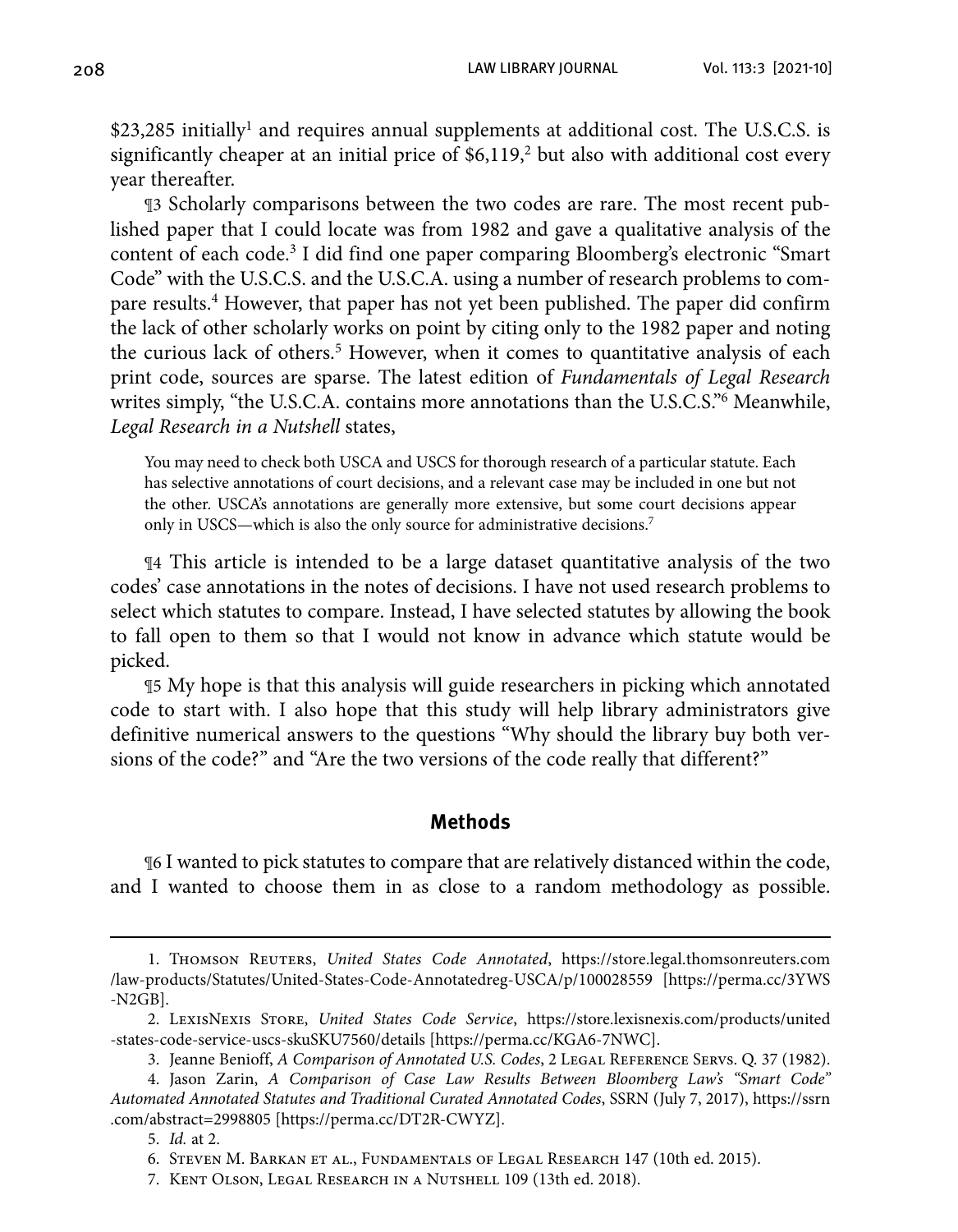\$23,285 initially<sup>1</sup> and requires annual supplements at additional cost. The U.S.C.S. is significantly cheaper at an initial price of  $$6,119,^2$  but also with additional cost every year thereafter.

¶3 Scholarly comparisons between the two codes are rare. The most recent published paper that I could locate was from 1982 and gave a qualitative analysis of the content of each code.<sup>3</sup> I did find one paper comparing Bloomberg's electronic "Smart Code" with the U.S.C.S. and the U.S.C.A. using a number of research problems to compare results.<sup>4</sup> However, that paper has not yet been published. The paper did confirm the lack of other scholarly works on point by citing only to the 1982 paper and noting the curious lack of others.<sup>5</sup> However, when it comes to quantitative analysis of each print code, sources are sparse. The latest edition of *Fundamentals of Legal Research* writes simply, "the U.S.C.A. contains more annotations than the U.S.C.S."6 Meanwhile, *Legal Research in a Nutshell* states,

You may need to check both USCA and USCS for thorough research of a particular statute. Each has selective annotations of court decisions, and a relevant case may be included in one but not the other. USCA's annotations are generally more extensive, but some court decisions appear only in USCS—which is also the only source for administrative decisions.7

¶4 This article is intended to be a large dataset quantitative analysis of the two codes' case annotations in the notes of decisions. I have not used research problems to select which statutes to compare. Instead, I have selected statutes by allowing the book to fall open to them so that I would not know in advance which statute would be picked.

¶5 My hope is that this analysis will guide researchers in picking which annotated code to start with. I also hope that this study will help library administrators give definitive numerical answers to the questions "Why should the library buy both versions of the code?" and "Are the two versions of the code really that different?"

#### **Methods**

¶6 I wanted to pick statutes to compare that are relatively distanced within the code, and I wanted to choose them in as close to a random methodology as possible.

<sup>1.</sup> Thomson Reuters, *United States Code Annotated*, [https://store.legal.thomsonreuters.com](https://store.legal.thomsonreuters.com/law-products/Statutes/United-States-Code-Annotatedreg-USCA/p/100028559) [/law-products/Statutes/United-States-Code-Annotatedreg-USCA/p/100028559](https://store.legal.thomsonreuters.com/law-products/Statutes/United-States-Code-Annotatedreg-USCA/p/100028559) [[https://perma.cc/3YWS](https://perma.cc/3YWS-N2GB) [-N2GB\]](https://perma.cc/3YWS-N2GB).

<sup>2.</sup> LexisNexis Store, *United States Code Service*, [https://store.lexisnexis.com/products/united](https://store.lexisnexis.com/products/united-states-code-service-uscs-skuSKU7560/details) [-states-code-service-uscs-skuSKU7560/details](https://store.lexisnexis.com/products/united-states-code-service-uscs-skuSKU7560/details) [\[https://perma.cc/KGA6-7NWC\].](https://perma.cc/KGA6-7NWC])

<sup>3.</sup> Jeanne Benioff, *A Comparison of Annotated U.S. Codes*, 2 Legal Reference Servs. Q. 37 (1982).

 <sup>4.</sup> Jason Zarin, *A Comparison of Case Law Results Between Bloomberg Law's "Smart Code" Automated Annotated Statutes and Traditional Curated Annotated Codes*, SSRN (July 7, 2017), [https://ssrn](https://ssrn.com/abstract=2998805) [.com/abstract=2998805](https://ssrn.com/abstract=2998805) [[https://perma.cc/DT2R-CWYZ\].](https://perma.cc/DT2R-CWYZ])

 <sup>5.</sup> *Id.* at 2.

 <sup>6.</sup> Steven M. Barkan et al., Fundamentals of Legal Research 147 (10th ed. 2015).

 <sup>7.</sup> Kent Olson, Legal Research in a Nutshell 109 (13th ed. 2018).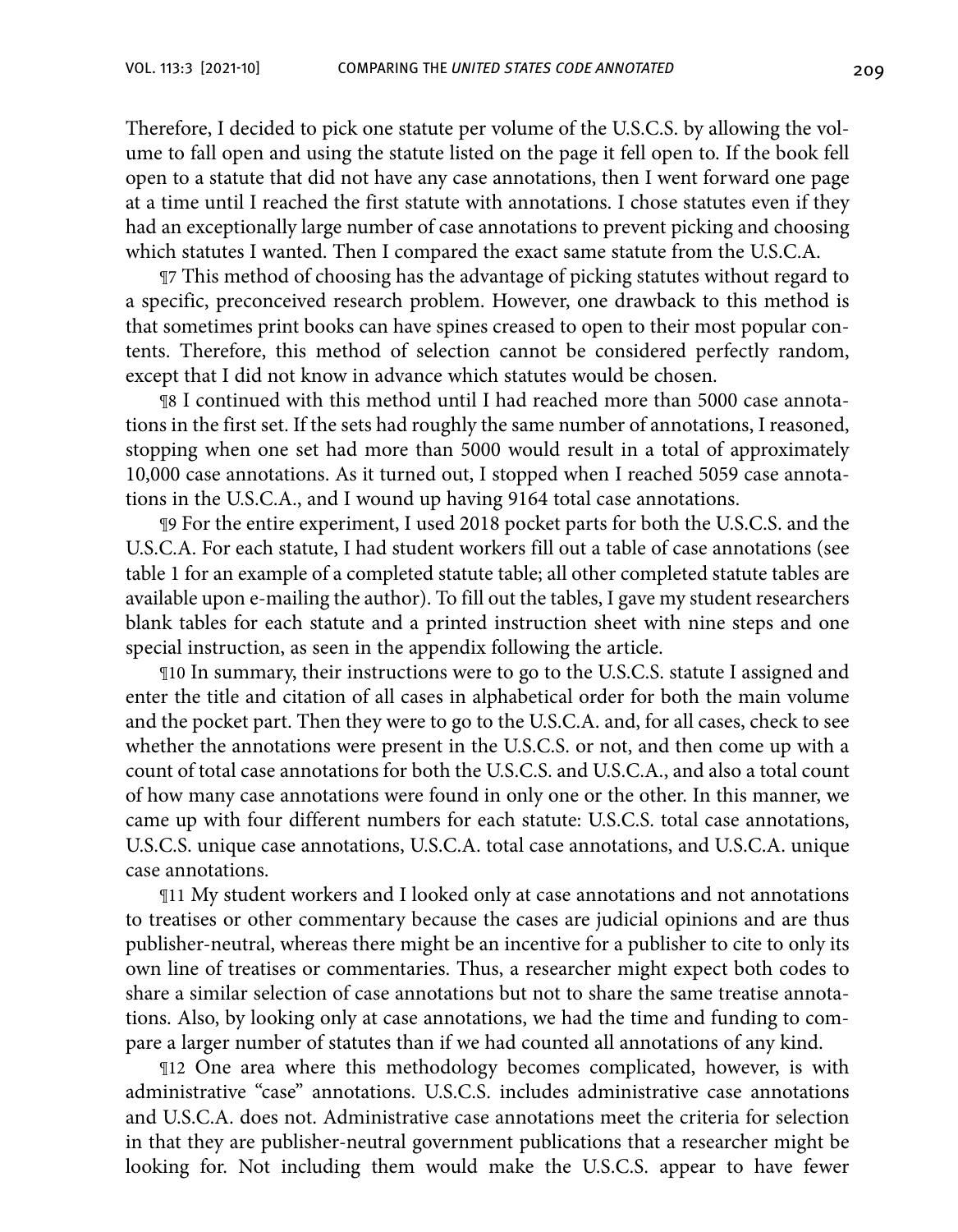Therefore, I decided to pick one statute per volume of the U.S.C.S. by allowing the volume to fall open and using the statute listed on the page it fell open to. If the book fell open to a statute that did not have any case annotations, then I went forward one page at a time until I reached the first statute with annotations. I chose statutes even if they had an exceptionally large number of case annotations to prevent picking and choosing which statutes I wanted. Then I compared the exact same statute from the U.S.C.A.

¶7 This method of choosing has the advantage of picking statutes without regard to a specific, preconceived research problem. However, one drawback to this method is that sometimes print books can have spines creased to open to their most popular contents. Therefore, this method of selection cannot be considered perfectly random, except that I did not know in advance which statutes would be chosen.

¶8 I continued with this method until I had reached more than 5000 case annotations in the first set. If the sets had roughly the same number of annotations, I reasoned, stopping when one set had more than 5000 would result in a total of approximately 10,000 case annotations. As it turned out, I stopped when I reached 5059 case annotations in the U.S.C.A., and I wound up having 9164 total case annotations.

¶9 For the entire experiment, I used 2018 pocket parts for both the U.S.C.S. and the U.S.C.A. For each statute, I had student workers fill out a table of case annotations (see table 1 for an example of a completed statute table; all other completed statute tables are available upon e-mailing the author). To fill out the tables, I gave my student researchers blank tables for each statute and a printed instruction sheet with nine steps and one special instruction, as seen in the appendix following the article.

¶10 In summary, their instructions were to go to the U.S.C.S. statute I assigned and enter the title and citation of all cases in alphabetical order for both the main volume and the pocket part. Then they were to go to the U.S.C.A. and, for all cases, check to see whether the annotations were present in the U.S.C.S. or not, and then come up with a count of total case annotations for both the U.S.C.S. and U.S.C.A., and also a total count of how many case annotations were found in only one or the other. In this manner, we came up with four different numbers for each statute: U.S.C.S. total case annotations, U.S.C.S. unique case annotations, U.S.C.A. total case annotations, and U.S.C.A. unique case annotations.

¶11 My student workers and I looked only at case annotations and not annotations to treatises or other commentary because the cases are judicial opinions and are thus publisher-neutral, whereas there might be an incentive for a publisher to cite to only its own line of treatises or commentaries. Thus, a researcher might expect both codes to share a similar selection of case annotations but not to share the same treatise annotations. Also, by looking only at case annotations, we had the time and funding to compare a larger number of statutes than if we had counted all annotations of any kind.

¶12 One area where this methodology becomes complicated, however, is with administrative "case" annotations. U.S.C.S. includes administrative case annotations and U.S.C.A. does not. Administrative case annotations meet the criteria for selection in that they are publisher-neutral government publications that a researcher might be looking for. Not including them would make the U.S.C.S. appear to have fewer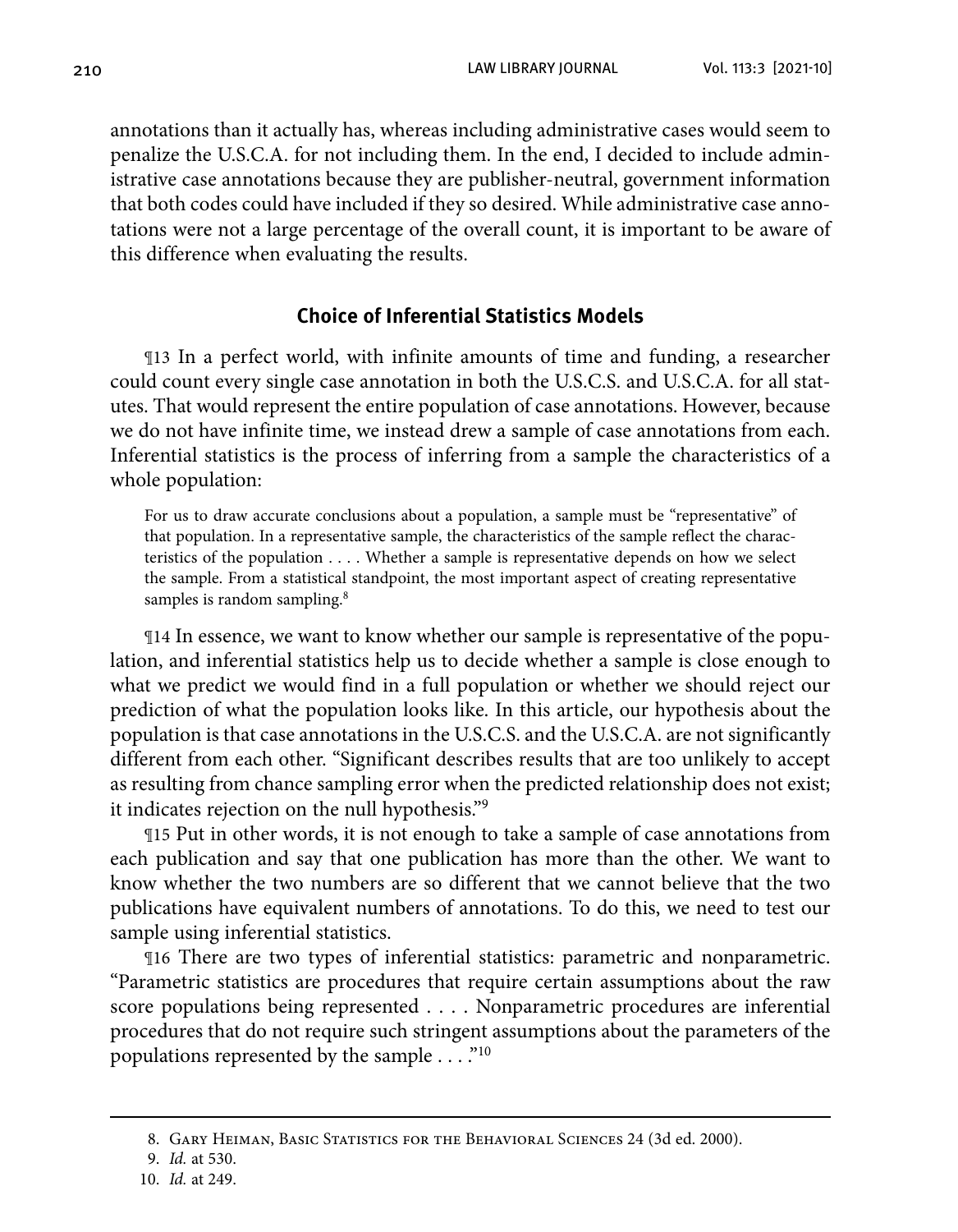annotations than it actually has, whereas including administrative cases would seem to penalize the U.S.C.A. for not including them. In the end, I decided to include administrative case annotations because they are publisher-neutral, government information that both codes could have included if they so desired. While administrative case annotations were not a large percentage of the overall count, it is important to be aware of this difference when evaluating the results.

#### **Choice of Inferential Statistics Models**

¶13 In a perfect world, with infinite amounts of time and funding, a researcher could count every single case annotation in both the U.S.C.S. and U.S.C.A. for all statutes. That would represent the entire population of case annotations. However, because we do not have infinite time, we instead drew a sample of case annotations from each. Inferential statistics is the process of inferring from a sample the characteristics of a whole population:

For us to draw accurate conclusions about a population, a sample must be "representative" of that population. In a representative sample, the characteristics of the sample reflect the characteristics of the population . . . . Whether a sample is representative depends on how we select the sample. From a statistical standpoint, the most important aspect of creating representative samples is random sampling.<sup>8</sup>

¶14 In essence, we want to know whether our sample is representative of the population, and inferential statistics help us to decide whether a sample is close enough to what we predict we would find in a full population or whether we should reject our prediction of what the population looks like. In this article, our hypothesis about the population is that case annotations in the U.S.C.S. and the U.S.C.A. are not significantly different from each other. "Significant describes results that are too unlikely to accept as resulting from chance sampling error when the predicted relationship does not exist; it indicates rejection on the null hypothesis."9

¶15 Put in other words, it is not enough to take a sample of case annotations from each publication and say that one publication has more than the other. We want to know whether the two numbers are so different that we cannot believe that the two publications have equivalent numbers of annotations. To do this, we need to test our sample using inferential statistics.

¶16 There are two types of inferential statistics: parametric and nonparametric. "Parametric statistics are procedures that require certain assumptions about the raw score populations being represented . . . . Nonparametric procedures are inferential procedures that do not require such stringent assumptions about the parameters of the populations represented by the sample . . . ."<sup>10</sup>

<sup>8.</sup> Gary Heiman, Basic Statistics for the Behavioral Sciences 24 (3d ed. 2000).

<sup>9.</sup> *Id.* at 530.

 <sup>10.</sup> *Id.* at 249.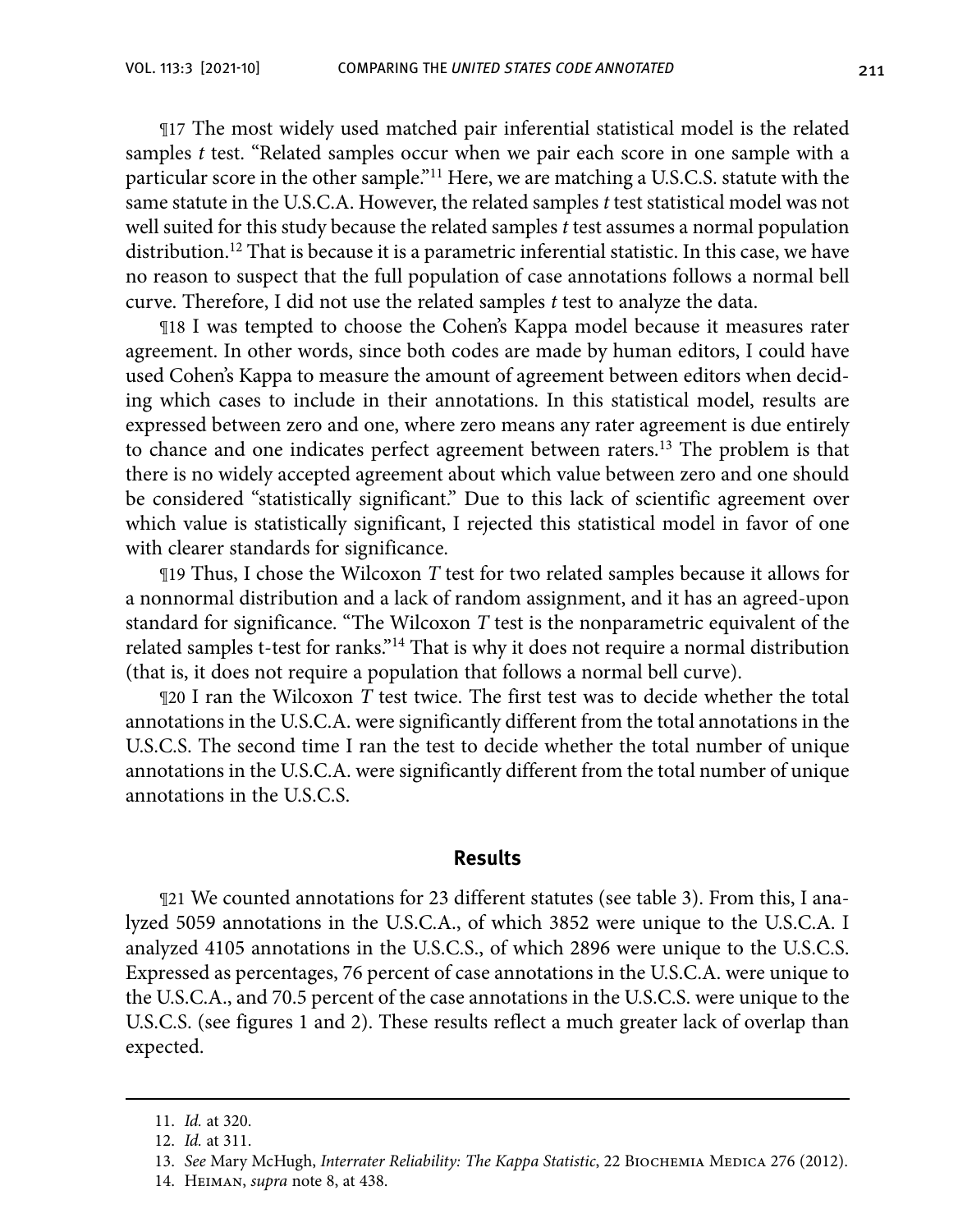¶17 The most widely used matched pair inferential statistical model is the related samples *t* test. "Related samples occur when we pair each score in one sample with a particular score in the other sample."11 Here, we are matching a U.S.C.S. statute with the same statute in the U.S.C.A. However, the related samples *t* test statistical model was not well suited for this study because the related samples *t* test assumes a normal population distribution.<sup>12</sup> That is because it is a parametric inferential statistic. In this case, we have no reason to suspect that the full population of case annotations follows a normal bell curve. Therefore, I did not use the related samples *t* test to analyze the data.

¶18 I was tempted to choose the Cohen's Kappa model because it measures rater agreement. In other words, since both codes are made by human editors, I could have used Cohen's Kappa to measure the amount of agreement between editors when deciding which cases to include in their annotations. In this statistical model, results are expressed between zero and one, where zero means any rater agreement is due entirely to chance and one indicates perfect agreement between raters.13 The problem is that there is no widely accepted agreement about which value between zero and one should be considered "statistically significant." Due to this lack of scientific agreement over which value is statistically significant, I rejected this statistical model in favor of one with clearer standards for significance.

¶19 Thus, I chose the Wilcoxon *T* test for two related samples because it allows for a nonnormal distribution and a lack of random assignment, and it has an agreed-upon standard for significance. "The Wilcoxon *T* test is the nonparametric equivalent of the related samples t-test for ranks."14 That is why it does not require a normal distribution (that is, it does not require a population that follows a normal bell curve).

¶20 I ran the Wilcoxon *T* test twice. The first test was to decide whether the total annotations in the U.S.C.A. were significantly different from the total annotations in the U.S.C.S. The second time I ran the test to decide whether the total number of unique annotations in the U.S.C.A. were significantly different from the total number of unique annotations in the U.S.C.S.

#### **Results**

¶21 We counted annotations for 23 different statutes (see table 3). From this, I analyzed 5059 annotations in the U.S.C.A., of which 3852 were unique to the U.S.C.A. I analyzed 4105 annotations in the U.S.C.S., of which 2896 were unique to the U.S.C.S. Expressed as percentages, 76 percent of case annotations in the U.S.C.A. were unique to the U.S.C.A., and 70.5 percent of the case annotations in the U.S.C.S. were unique to the U.S.C.S. (see figures 1 and 2). These results reflect a much greater lack of overlap than expected.

<sup>11.</sup> *Id.* at 320.

<sup>12.</sup> *Id.* at 311.

<sup>13.</sup> See Mary McHugh, *Interrater Reliability: The Kappa Statistic*, 22 BIOCHEMIA MEDICA 276 (2012).

 <sup>14.</sup> Heiman, *supra* note 8, at 438.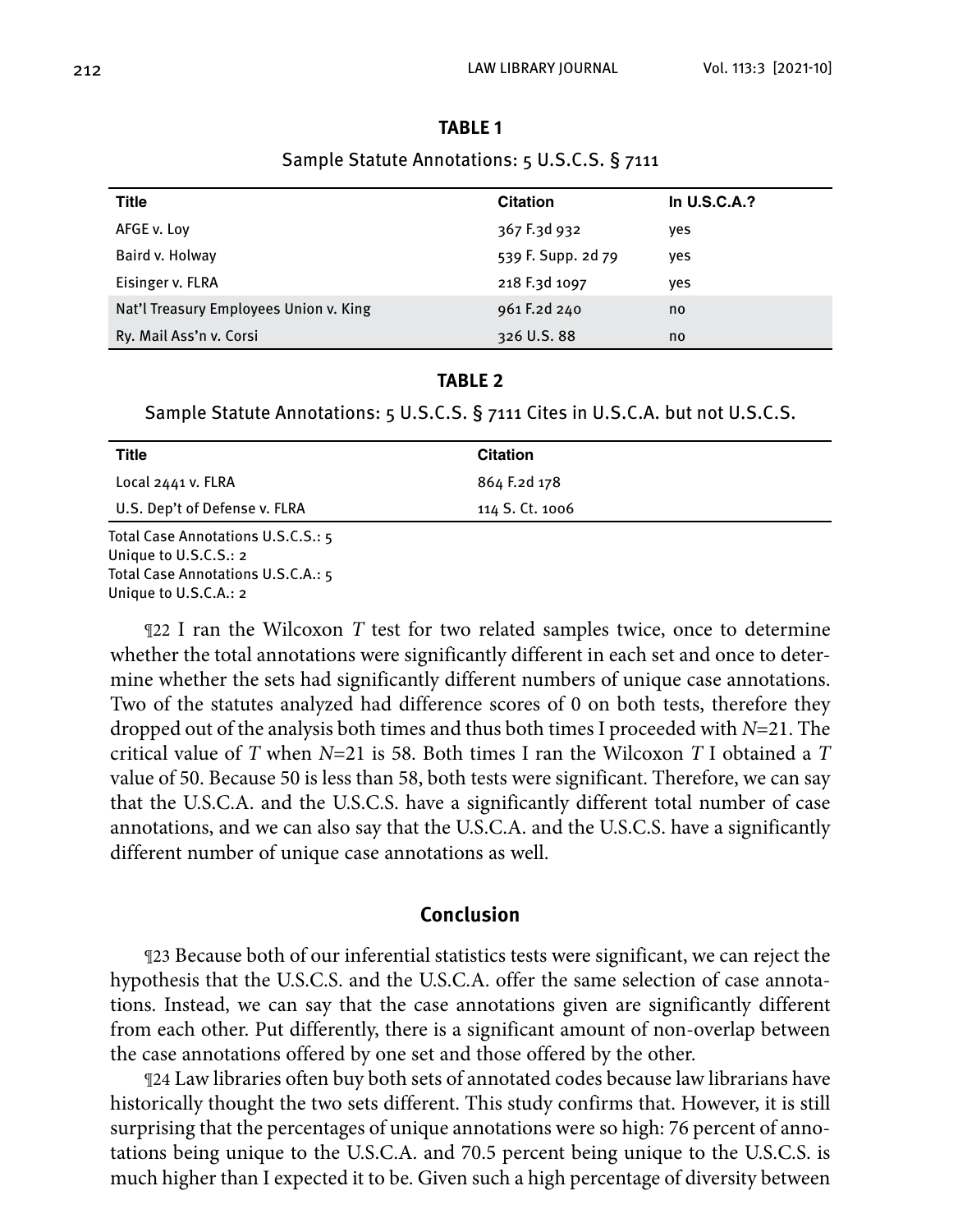|  | н |  |  |
|--|---|--|--|
|--|---|--|--|

Sample Statute Annotations: 5 U.S.C.S. § 7111

| Title                                  | <b>Citation</b>    | In $U.S.C.A.?$ |
|----------------------------------------|--------------------|----------------|
| AFGE v. Lov                            | 367 F.3d 932       | yes            |
| Baird v. Holway                        | 539 F. Supp. 2d 79 | yes            |
| Eisinger v. FLRA                       | 218 F.3d 1097      | ves            |
| Nat'l Treasury Employees Union v. King | 961 F.2d 240       | no             |
| Ry. Mail Ass'n v. Corsi                | 326 U.S. 88        | no             |

#### **TABLE 2**

Sample Statute Annotations: 5 U.S.C.S. § 7111 Cites in U.S.C.A. but not U.S.C.S.

| <b>Title</b>                                 | <b>Citation</b> |  |
|----------------------------------------------|-----------------|--|
| Local 2441 v. FLRA                           | 864 F.2d 178    |  |
| U.S. Dep't of Defense v. FLRA                | 114 S. Ct. 1006 |  |
| Total Case Annotations U.S.C.S.: 5           |                 |  |
| Unique to U.S.C.S.: 2                        |                 |  |
| Total Case Annotations II $S \cap A \cdot r$ |                 |  |

Total Case Annotations U.S.C.A.: 5 Unique to U.S.C.A.: 2

¶22 I ran the Wilcoxon *T* test for two related samples twice, once to determine whether the total annotations were significantly different in each set and once to determine whether the sets had significantly different numbers of unique case annotations. Two of the statutes analyzed had difference scores of 0 on both tests, therefore they dropped out of the analysis both times and thus both times I proceeded with *N*=21. The critical value of *T* when *N*=21 is 58. Both times I ran the Wilcoxon *T* I obtained a *T* value of 50. Because 50 is less than 58, both tests were significant. Therefore, we can say that the U.S.C.A. and the U.S.C.S. have a significantly different total number of case annotations, and we can also say that the U.S.C.A. and the U.S.C.S. have a significantly different number of unique case annotations as well.

#### **Conclusion**

¶23 Because both of our inferential statistics tests were significant, we can reject the hypothesis that the U.S.C.S. and the U.S.C.A. offer the same selection of case annotations. Instead, we can say that the case annotations given are significantly different from each other. Put differently, there is a significant amount of non-overlap between the case annotations offered by one set and those offered by the other.

¶24 Law libraries often buy both sets of annotated codes because law librarians have historically thought the two sets different. This study confirms that. However, it is still surprising that the percentages of unique annotations were so high: 76 percent of annotations being unique to the U.S.C.A. and 70.5 percent being unique to the U.S.C.S. is much higher than I expected it to be. Given such a high percentage of diversity between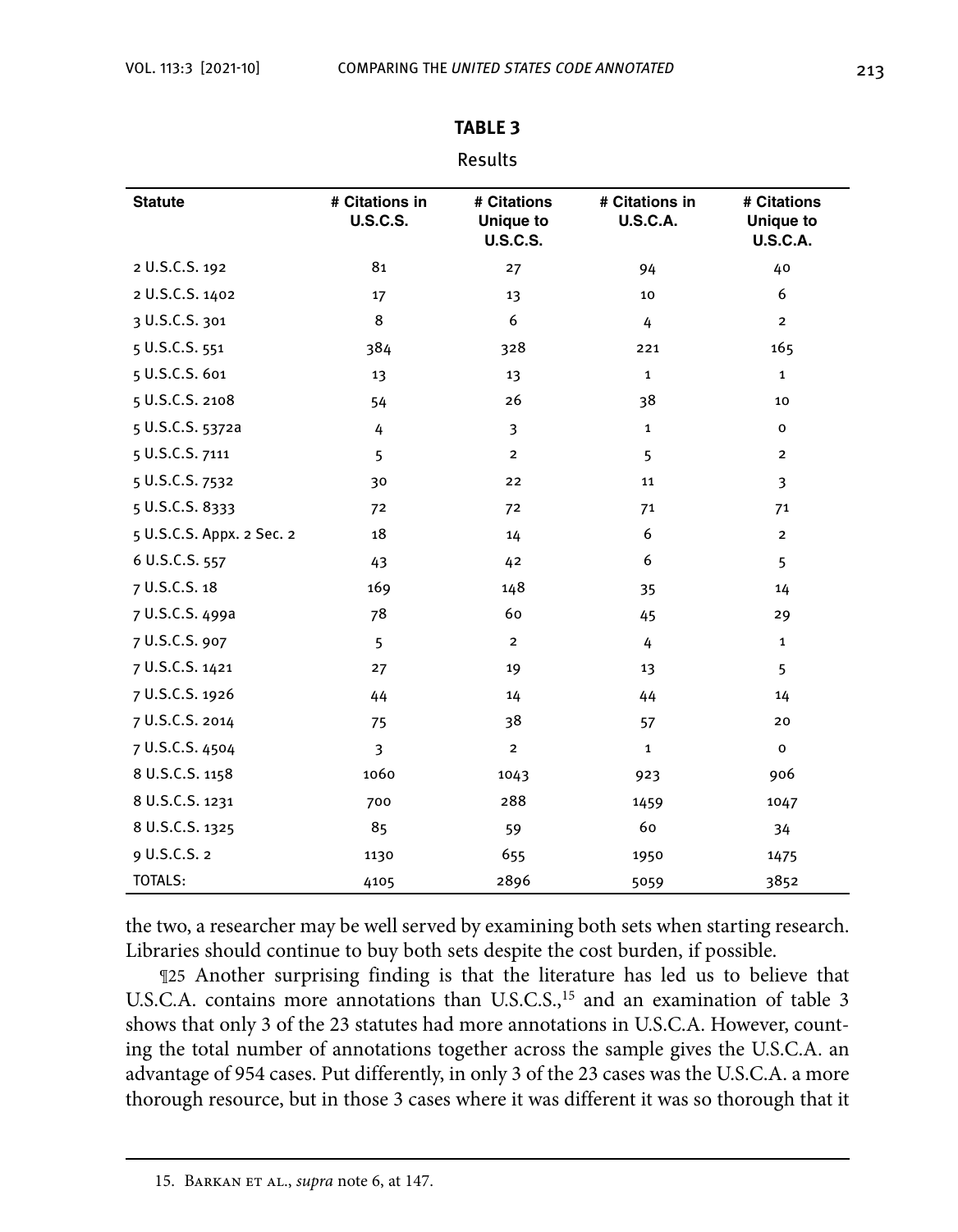| <b>Statute</b>            | # Citations in<br><b>U.S.C.S.</b> | # Citations<br>Unique to<br><b>U.S.C.S.</b> | # Citations in<br><b>U.S.C.A.</b> | # Citations<br>Unique to<br><b>U.S.C.A.</b> |
|---------------------------|-----------------------------------|---------------------------------------------|-----------------------------------|---------------------------------------------|
| 2 U.S.C.S. 192            | 81                                | 27                                          | 94                                | 40                                          |
| 2 U.S.C.S. 1402           | 17                                | 13                                          | 10                                | 6                                           |
| 3 U.S.C.S. 301            | 8                                 | 6                                           | 4                                 | $\overline{2}$                              |
| 5 U.S.C.S. 551            | 384                               | 328                                         | 221                               | 165                                         |
| 5 U.S.C.S. 601            | 13                                | 13                                          | $\mathbf{1}$                      | $\mathbf{1}$                                |
| 5 U.S.C.S. 2108           | 54                                | 26                                          | 38                                | 10                                          |
| 5 U.S.C.S. 5372a          | 4                                 | 3                                           | 1                                 | o                                           |
| 5 U.S.C.S. 7111           | 5                                 | $\overline{\mathbf{c}}$                     | 5                                 | $\overline{2}$                              |
| 5 U.S.C.S. 7532           | 30                                | 22                                          | 11                                | 3                                           |
| 5 U.S.C.S. 8333           | 72                                | 72                                          | 71                                | 71                                          |
| 5 U.S.C.S. Appx. 2 Sec. 2 | 18                                | 14                                          | 6                                 | $\overline{2}$                              |
| 6 U.S.C.S. 557            | 43                                | 42                                          | 6                                 | 5                                           |
| 7 U.S.C.S. 18             | 169                               | 148                                         | 35                                | 14                                          |
| 7 U.S.C.S. 499a           | 78                                | 60                                          | 45                                | 29                                          |
| 7 U.S.C.S. 907            | 5                                 | $\overline{2}$                              | 4                                 | $\mathbf{1}$                                |
| 7 U.S.C.S. 1421           | 27                                | 19                                          | 13                                | 5                                           |
| 7 U.S.C.S. 1926           | 44                                | 14                                          | 44                                | 14                                          |
| 7 U.S.C.S. 2014           | 75                                | 38                                          | 57                                | 20                                          |
| 7 U.S.C.S. 4504           | 3                                 | $\mathbf{2}$                                | $\mathbf{1}$                      | $\mathbf{o}$                                |
| 8 U.S.C.S. 1158           | 1060                              | 1043                                        | 923                               | 906                                         |
| 8 U.S.C.S. 1231           | 700                               | 288                                         | 1459                              | 1047                                        |
| 8 U.S.C.S. 1325           | 85                                | 59                                          | 60                                | 34                                          |
| 9 U.S.C.S. 2              | 1130                              | 655                                         | 1950                              | 1475                                        |
| <b>TOTALS:</b>            | 4105                              | 2896                                        | 5059                              | 3852                                        |

### **TABLE 3**

#### Results

the two, a researcher may be well served by examining both sets when starting research. Libraries should continue to buy both sets despite the cost burden, if possible.

¶25 Another surprising finding is that the literature has led us to believe that U.S.C.A. contains more annotations than U.S.C.S.,<sup>15</sup> and an examination of table 3 shows that only 3 of the 23 statutes had more annotations in U.S.C.A. However, counting the total number of annotations together across the sample gives the U.S.C.A. an advantage of 954 cases. Put differently, in only 3 of the 23 cases was the U.S.C.A. a more thorough resource, but in those 3 cases where it was different it was so thorough that it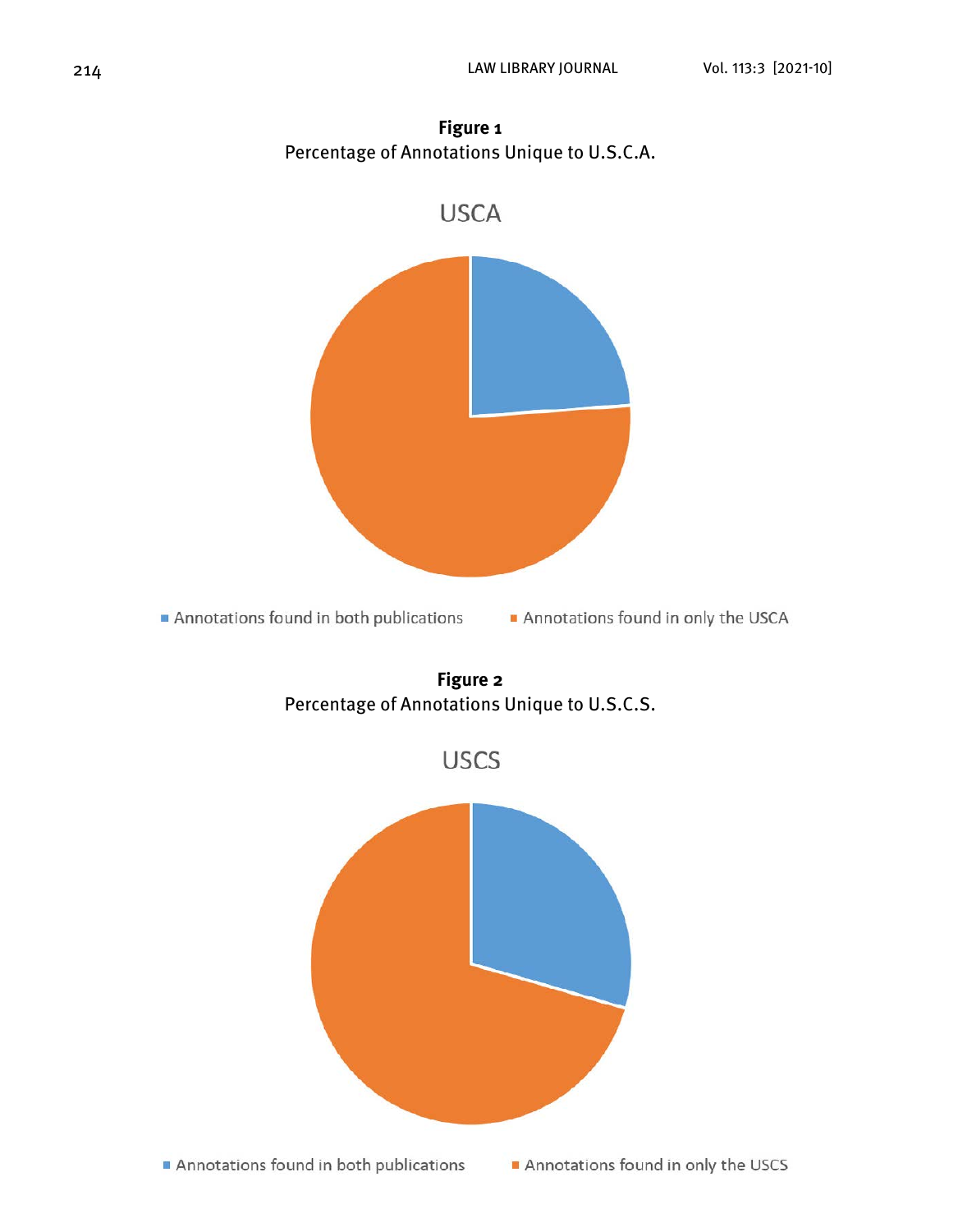

**Figure 1** Percentage of Annotations Unique to U.S.C.A.



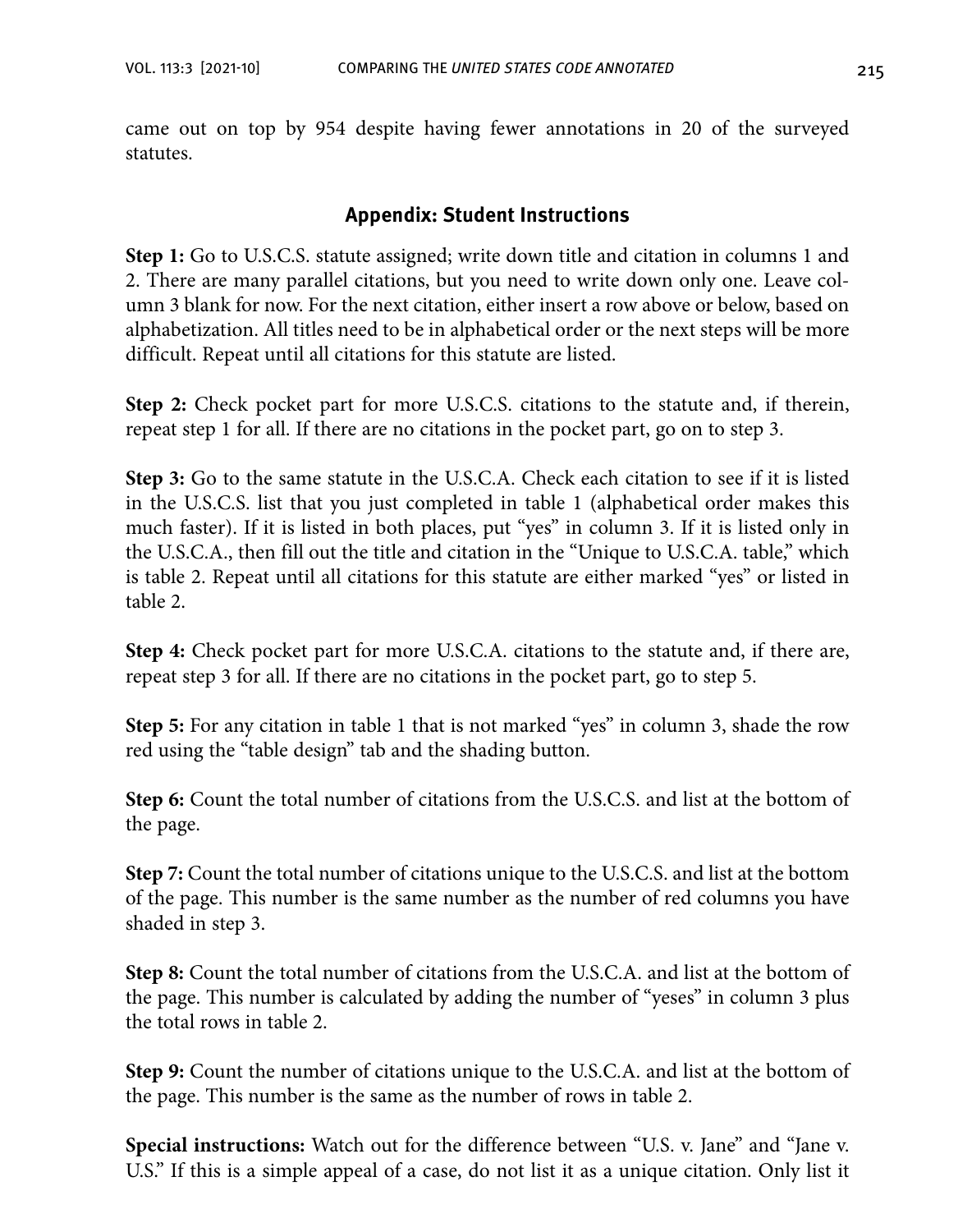came out on top by 954 despite having fewer annotations in 20 of the surveyed statutes.

### **Appendix: Student Instructions**

**Step 1:** Go to U.S.C.S. statute assigned; write down title and citation in columns 1 and 2. There are many parallel citations, but you need to write down only one. Leave column 3 blank for now. For the next citation, either insert a row above or below, based on alphabetization. All titles need to be in alphabetical order or the next steps will be more difficult. Repeat until all citations for this statute are listed.

**Step 2:** Check pocket part for more U.S.C.S. citations to the statute and, if therein, repeat step 1 for all. If there are no citations in the pocket part, go on to step 3.

**Step 3:** Go to the same statute in the U.S.C.A. Check each citation to see if it is listed in the U.S.C.S. list that you just completed in table 1 (alphabetical order makes this much faster). If it is listed in both places, put "yes" in column 3. If it is listed only in the U.S.C.A., then fill out the title and citation in the "Unique to U.S.C.A. table," which is table 2. Repeat until all citations for this statute are either marked "yes" or listed in table 2.

**Step 4:** Check pocket part for more U.S.C.A. citations to the statute and, if there are, repeat step 3 for all. If there are no citations in the pocket part, go to step 5.

**Step 5:** For any citation in table 1 that is not marked "yes" in column 3, shade the row red using the "table design" tab and the shading button.

**Step 6:** Count the total number of citations from the U.S.C.S. and list at the bottom of the page.

**Step 7:** Count the total number of citations unique to the U.S.C.S. and list at the bottom of the page. This number is the same number as the number of red columns you have shaded in step 3.

**Step 8:** Count the total number of citations from the U.S.C.A. and list at the bottom of the page. This number is calculated by adding the number of "yeses" in column 3 plus the total rows in table 2.

**Step 9:** Count the number of citations unique to the U.S.C.A. and list at the bottom of the page. This number is the same as the number of rows in table 2.

**Special instructions:** Watch out for the difference between "U.S. v. Jane" and "Jane v. U.S." If this is a simple appeal of a case, do not list it as a unique citation. Only list it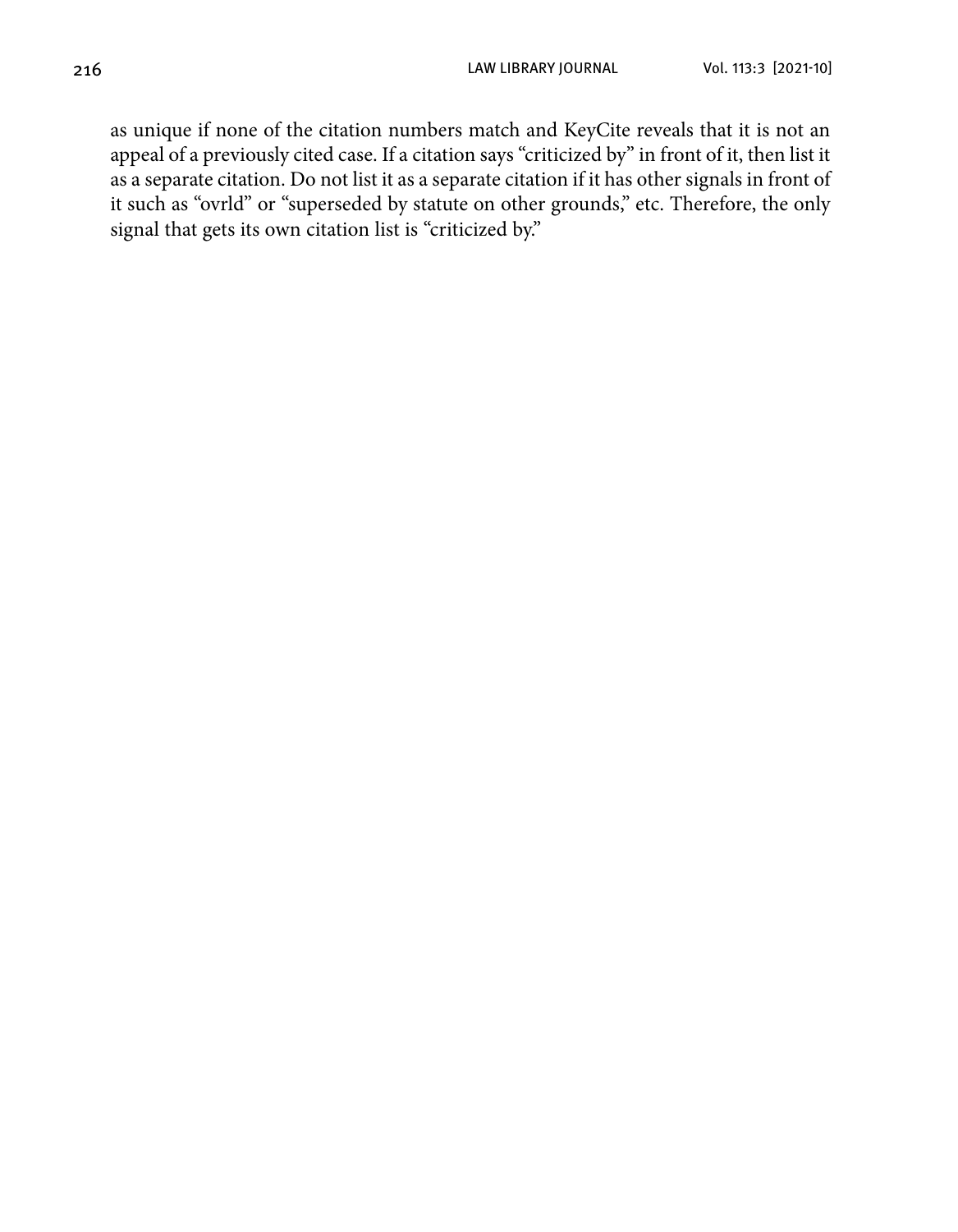as unique if none of the citation numbers match and KeyCite reveals that it is not an appeal of a previously cited case. If a citation says "criticized by" in front of it, then list it as a separate citation. Do not list it as a separate citation if it has other signals in front of it such as "ovrld" or "superseded by statute on other grounds," etc. Therefore, the only signal that gets its own citation list is "criticized by."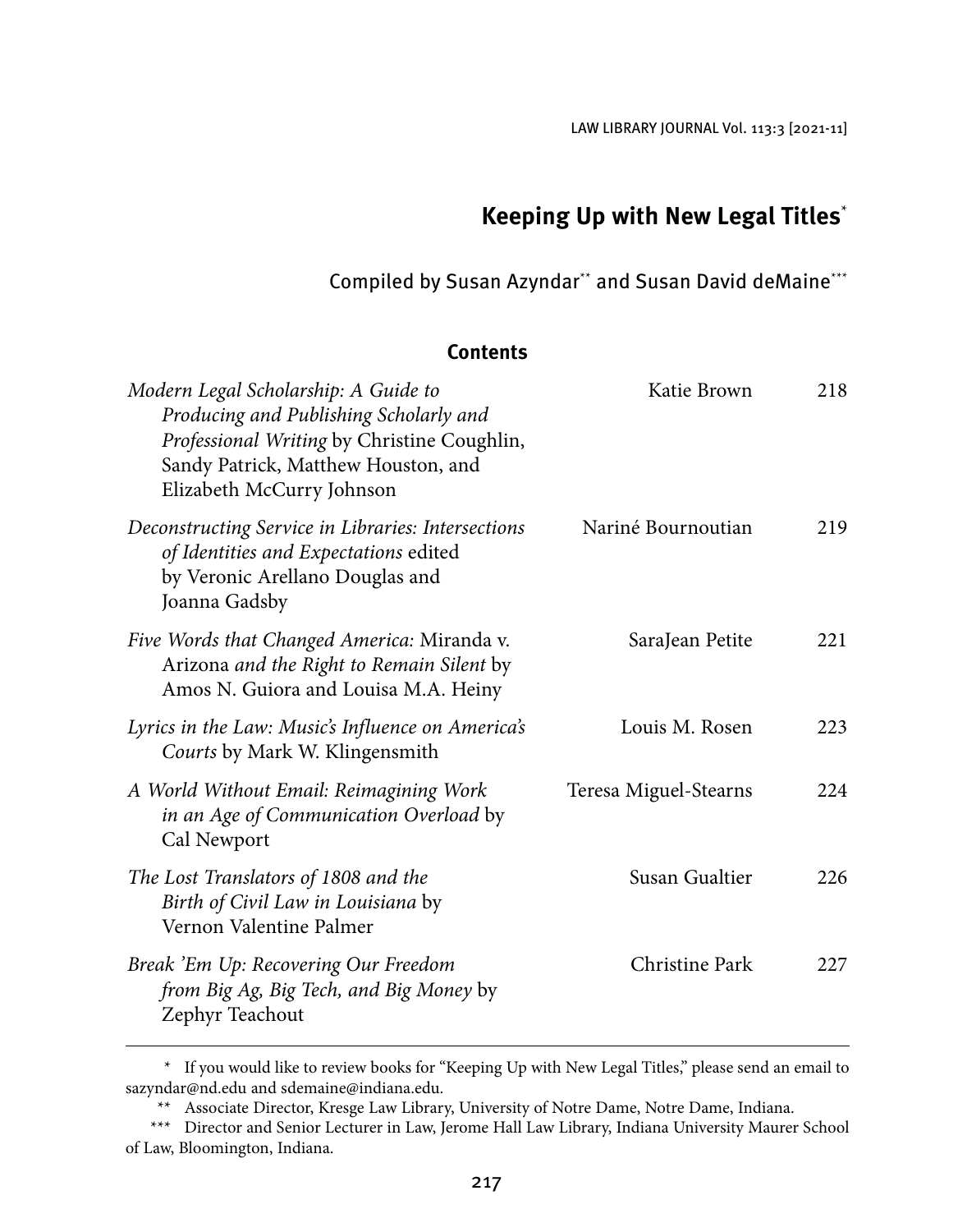LAW LIBRARY JOURNAL Vol. 113:3 [2021-11]

## **Keeping Up with New Legal Titles**\*

Compiled by Susan Azyndar\*\* and Susan David deMaine\*\*\*

#### **Contents**

| Modern Legal Scholarship: A Guide to<br>Producing and Publishing Scholarly and<br>Professional Writing by Christine Coughlin,<br>Sandy Patrick, Matthew Houston, and<br>Elizabeth McCurry Johnson | Katie Brown           | 218 |
|---------------------------------------------------------------------------------------------------------------------------------------------------------------------------------------------------|-----------------------|-----|
| Deconstructing Service in Libraries: Intersections<br>of Identities and Expectations edited<br>by Veronic Arellano Douglas and<br>Joanna Gadsby                                                   | Nariné Bournoutian    | 219 |
| Five Words that Changed America: Miranda v.<br>Arizona and the Right to Remain Silent by<br>Amos N. Guiora and Louisa M.A. Heiny                                                                  | SaraJean Petite       | 221 |
| Lyrics in the Law: Music's Influence on America's<br>Courts by Mark W. Klingensmith                                                                                                               | Louis M. Rosen        | 223 |
| A World Without Email: Reimagining Work<br>in an Age of Communication Overload by<br>Cal Newport                                                                                                  | Teresa Miguel-Stearns | 224 |
| The Lost Translators of 1808 and the<br>Birth of Civil Law in Louisiana by<br>Vernon Valentine Palmer                                                                                             | Susan Gualtier        | 226 |
| Break 'Em Up: Recovering Our Freedom<br>from Big Ag, Big Tech, and Big Money by<br>Zephyr Teachout                                                                                                | Christine Park        | 227 |

<sup>\*</sup> If you would like to review books for "Keeping Up with New Legal Titles," please send an email to [sazyndar@nd.edu an](mailto:sazyndar@nd.edu)d [sdemaine@indiana.edu.](mailto:sdemaine@indiana.edu)

<sup>\*\*</sup> Associate Director, Kresge Law Library, University of Notre Dame, Notre Dame, Indiana.

<sup>\*\*\*</sup> Director and Senior Lecturer in Law, Jerome Hall Law Library, Indiana University Maurer School of Law, Bloomington, Indiana.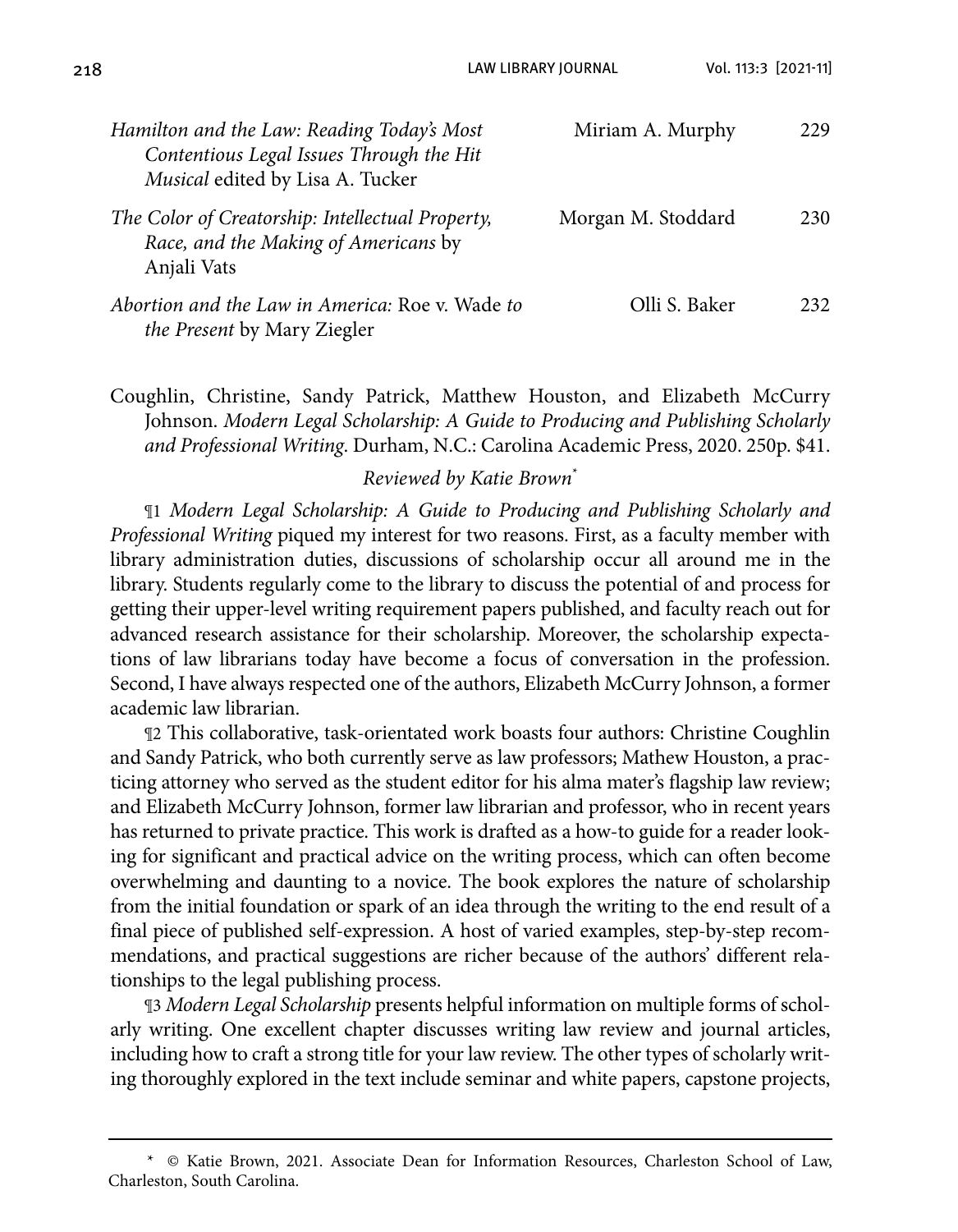218 LAW LIBRARY JOURNAL Vol. 113:3 [2021-11]

| Hamilton and the Law: Reading Today's Most<br>Contentious Legal Issues Through the Hit<br>Musical edited by Lisa A. Tucker | Miriam A. Murphy   | 229 |
|----------------------------------------------------------------------------------------------------------------------------|--------------------|-----|
| The Color of Creatorship: Intellectual Property,<br>Race, and the Making of Americans by<br>Anjali Vats                    | Morgan M. Stoddard | 230 |
| Abortion and the Law in America: Roe v. Wade to<br>the Present by Mary Ziegler                                             | Olli S. Baker      | 232 |

Coughlin, Christine, Sandy Patrick, Matthew Houston, and Elizabeth McCurry Johnson. *Modern Legal Scholarship: A Guide to Producing and Publishing Scholarly and Professional Writing*. Durham, N.C.: Carolina Academic Press, 2020. 250p. \$41.

#### *Reviewed by Katie Brown*\*

¶1 *Modern Legal Scholarship: A Guide to Producing and Publishing Scholarly and Professional Writing* piqued my interest for two reasons. First, as a faculty member with library administration duties, discussions of scholarship occur all around me in the library. Students regularly come to the library to discuss the potential of and process for getting their upper-level writing requirement papers published, and faculty reach out for advanced research assistance for their scholarship. Moreover, the scholarship expectations of law librarians today have become a focus of conversation in the profession. Second, I have always respected one of the authors, Elizabeth McCurry Johnson, a former academic law librarian.

¶2 This collaborative, task-orientated work boasts four authors: Christine Coughlin and Sandy Patrick, who both currently serve as law professors; Mathew Houston, a practicing attorney who served as the student editor for his alma mater's flagship law review; and Elizabeth McCurry Johnson, former law librarian and professor, who in recent years has returned to private practice. This work is drafted as a how-to guide for a reader looking for significant and practical advice on the writing process, which can often become overwhelming and daunting to a novice. The book explores the nature of scholarship from the initial foundation or spark of an idea through the writing to the end result of a final piece of published self-expression. A host of varied examples, step-by-step recommendations, and practical suggestions are richer because of the authors' different relationships to the legal publishing process.

¶3 *Modern Legal Scholarship* presents helpful information on multiple forms of scholarly writing. One excellent chapter discusses writing law review and journal articles, including how to craft a strong title for your law review. The other types of scholarly writing thoroughly explored in the text include seminar and white papers, capstone projects,

<sup>\*</sup> © Katie Brown, 2021. Associate Dean for Information Resources, Charleston School of Law, Charleston, South Carolina.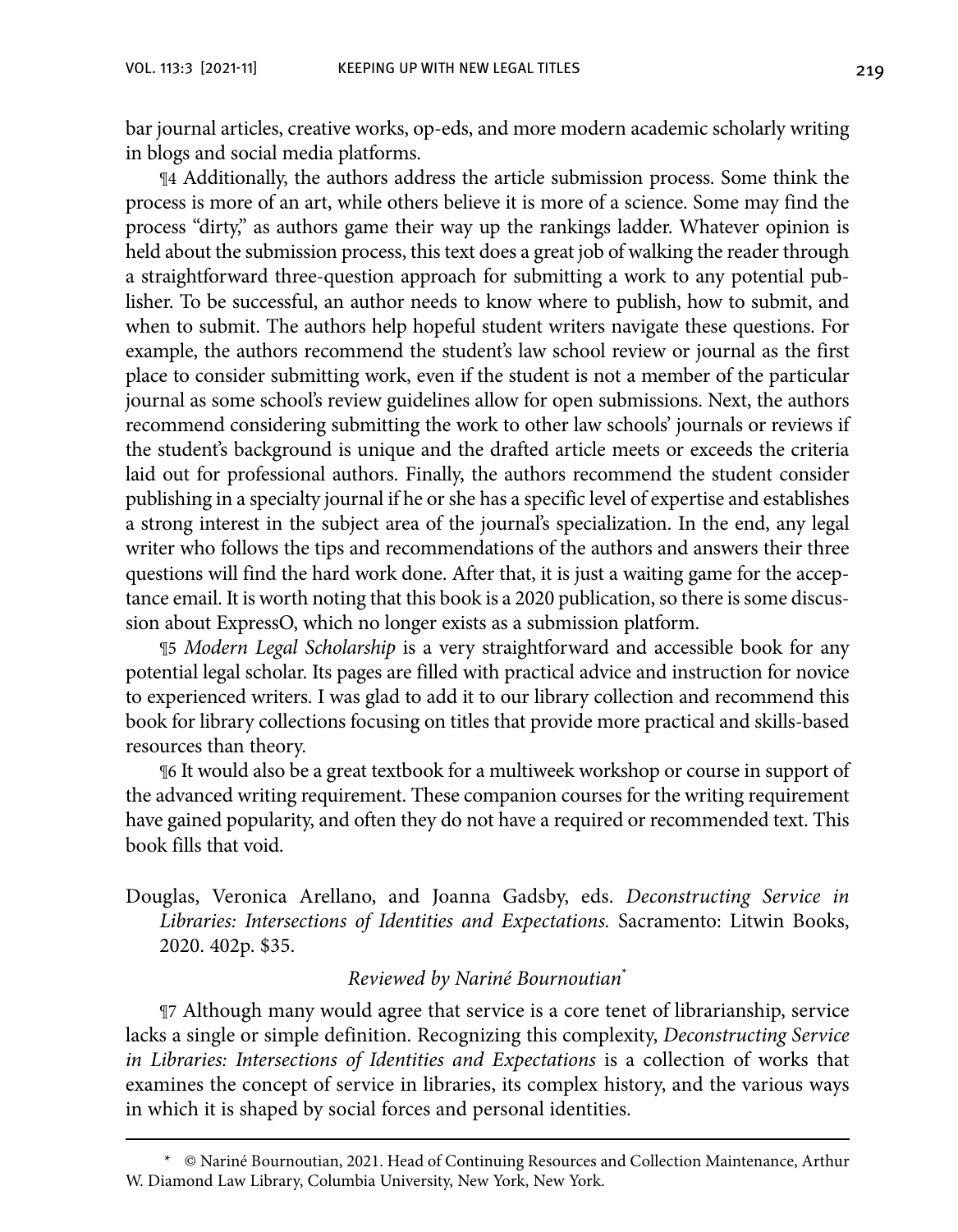bar journal articles, creative works, op-eds, and more modern academic scholarly writing in blogs and social media platforms.

¶4 Additionally, the authors address the article submission process. Some think the process is more of an art, while others believe it is more of a science. Some may find the process "dirty," as authors game their way up the rankings ladder. Whatever opinion is held about the submission process, this text does a great job of walking the reader through a straightforward three-question approach for submitting a work to any potential publisher. To be successful, an author needs to know where to publish, how to submit, and when to submit. The authors help hopeful student writers navigate these questions. For example, the authors recommend the student's law school review or journal as the first place to consider submitting work, even if the student is not a member of the particular journal as some school's review guidelines allow for open submissions. Next, the authors recommend considering submitting the work to other law schools' journals or reviews if the student's background is unique and the drafted article meets or exceeds the criteria laid out for professional authors. Finally, the authors recommend the student consider publishing in a specialty journal if he or she has a specific level of expertise and establishes a strong interest in the subject area of the journal's specialization. In the end, any legal writer who follows the tips and recommendations of the authors and answers their three questions will find the hard work done. After that, it is just a waiting game for the acceptance email. It is worth noting that this book is a 2020 publication, so there is some discussion about ExpressO, which no longer exists as a submission platform.

¶5 *Modern Legal Scholarship* is a very straightforward and accessible book for any potential legal scholar. Its pages are filled with practical advice and instruction for novice to experienced writers. I was glad to add it to our library collection and recommend this book for library collections focusing on titles that provide more practical and skills-based resources than theory.

¶6 It would also be a great textbook for a multiweek workshop or course in support of the advanced writing requirement. These companion courses for the writing requirement have gained popularity, and often they do not have a required or recommended text. This book fills that void.

Douglas, Veronica Arellano, and Joanna Gadsby, eds. *Deconstructing Service in Libraries: Intersections of Identities and Expectations.* Sacramento: Litwin Books, 2020. 402p. \$35.

#### *Reviewed by Nariné Bournoutian*\*

¶7 Although many would agree that service is a core tenet of librarianship, service lacks a single or simple definition. Recognizing this complexity, *Deconstructing Service in Libraries: Intersections of Identities and Expectations* is a collection of works that examines the concept of service in libraries, its complex history, and the various ways in which it is shaped by social forces and personal identities.

<sup>\*</sup> © Nariné Bournoutian, 2021. Head of Continuing Resources and Collection Maintenance, Arthur W. Diamond Law Library, Columbia University, New York, New York.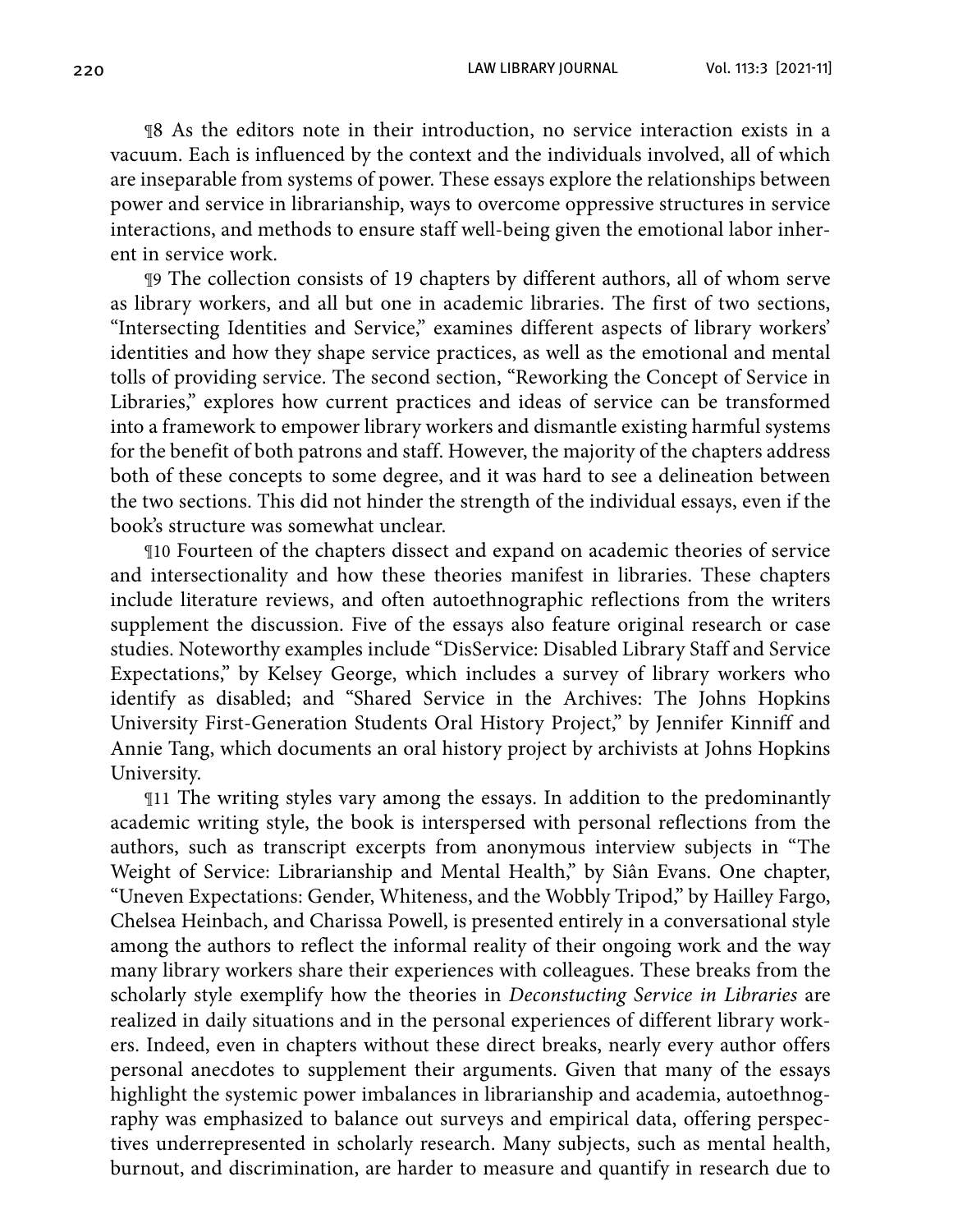220 LAW LIBRARY JOURNAL Vol. 113:3 [2021-11]

¶8 As the editors note in their introduction, no service interaction exists in a vacuum. Each is influenced by the context and the individuals involved, all of which are inseparable from systems of power. These essays explore the relationships between power and service in librarianship, ways to overcome oppressive structures in service interactions, and methods to ensure staff well-being given the emotional labor inherent in service work.

¶9 The collection consists of 19 chapters by different authors, all of whom serve as library workers, and all but one in academic libraries. The first of two sections, "Intersecting Identities and Service," examines different aspects of library workers' identities and how they shape service practices, as well as the emotional and mental tolls of providing service. The second section, "Reworking the Concept of Service in Libraries," explores how current practices and ideas of service can be transformed into a framework to empower library workers and dismantle existing harmful systems for the benefit of both patrons and staff. However, the majority of the chapters address both of these concepts to some degree, and it was hard to see a delineation between the two sections. This did not hinder the strength of the individual essays, even if the book's structure was somewhat unclear.

¶10 Fourteen of the chapters dissect and expand on academic theories of service and intersectionality and how these theories manifest in libraries. These chapters include literature reviews, and often autoethnographic reflections from the writers supplement the discussion. Five of the essays also feature original research or case studies. Noteworthy examples include "DisService: Disabled Library Staff and Service Expectations," by Kelsey George, which includes a survey of library workers who identify as disabled; and "Shared Service in the Archives: The Johns Hopkins University First-Generation Students Oral History Project," by Jennifer Kinniff and Annie Tang, which documents an oral history project by archivists at Johns Hopkins University.

¶11 The writing styles vary among the essays. In addition to the predominantly academic writing style, the book is interspersed with personal reflections from the authors, such as transcript excerpts from anonymous interview subjects in "The Weight of Service: Librarianship and Mental Health," by Siân Evans. One chapter, "Uneven Expectations: Gender, Whiteness, and the Wobbly Tripod," by Hailley Fargo, Chelsea Heinbach, and Charissa Powell, is presented entirely in a conversational style among the authors to reflect the informal reality of their ongoing work and the way many library workers share their experiences with colleagues. These breaks from the scholarly style exemplify how the theories in *Deconstucting Service in Libraries* are realized in daily situations and in the personal experiences of different library workers. Indeed, even in chapters without these direct breaks, nearly every author offers personal anecdotes to supplement their arguments. Given that many of the essays highlight the systemic power imbalances in librarianship and academia, autoethnography was emphasized to balance out surveys and empirical data, offering perspectives underrepresented in scholarly research. Many subjects, such as mental health, burnout, and discrimination, are harder to measure and quantify in research due to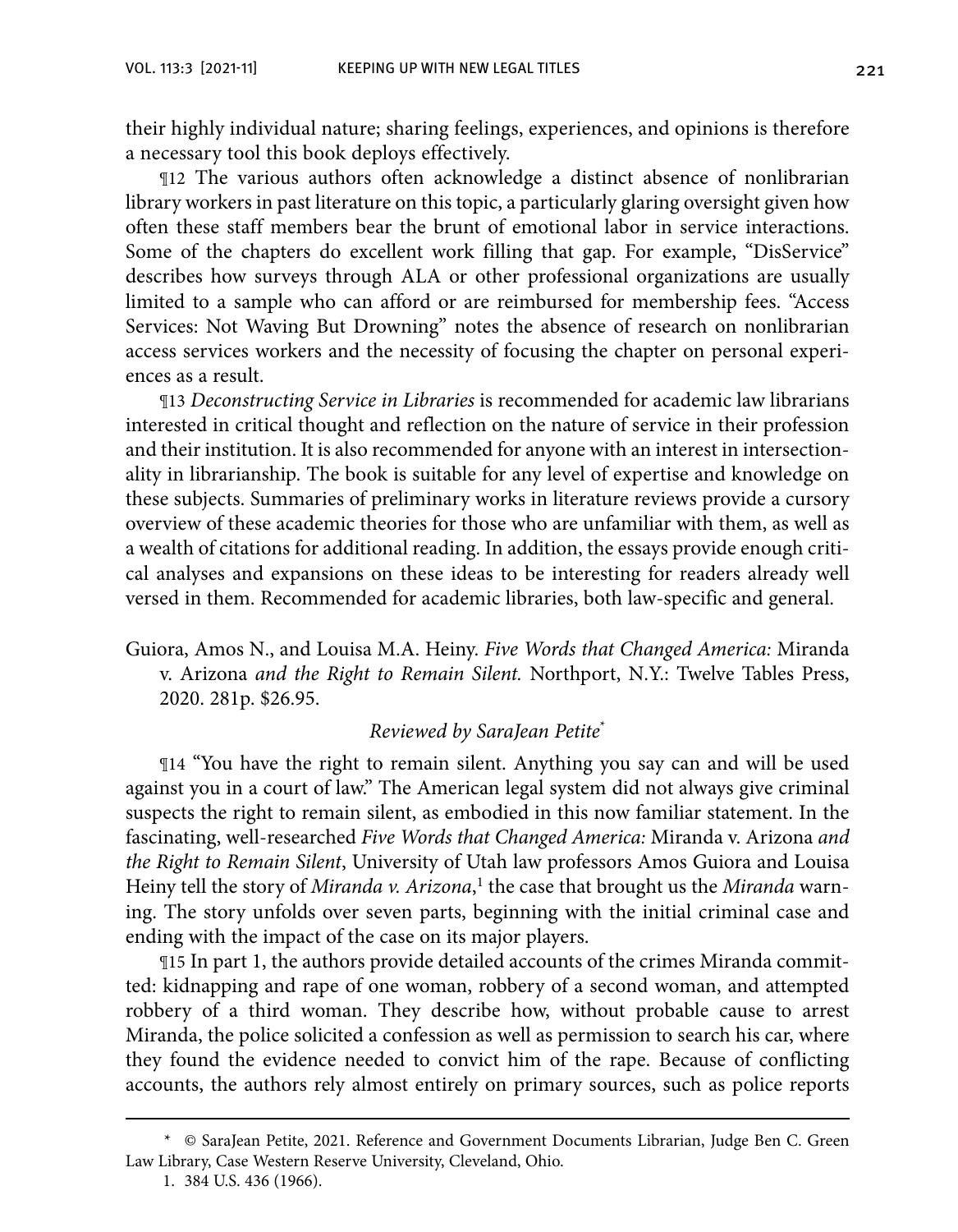their highly individual nature; sharing feelings, experiences, and opinions is therefore a necessary tool this book deploys effectively.

¶12 The various authors often acknowledge a distinct absence of nonlibrarian library workers in past literature on this topic, a particularly glaring oversight given how often these staff members bear the brunt of emotional labor in service interactions. Some of the chapters do excellent work filling that gap. For example, "DisService" describes how surveys through ALA or other professional organizations are usually limited to a sample who can afford or are reimbursed for membership fees. "Access Services: Not Waving But Drowning" notes the absence of research on nonlibrarian access services workers and the necessity of focusing the chapter on personal experiences as a result.

¶13 *Deconstructing Service in Libraries* is recommended for academic law librarians interested in critical thought and reflection on the nature of service in their profession and their institution. It is also recommended for anyone with an interest in intersectionality in librarianship. The book is suitable for any level of expertise and knowledge on these subjects. Summaries of preliminary works in literature reviews provide a cursory overview of these academic theories for those who are unfamiliar with them, as well as a wealth of citations for additional reading. In addition, the essays provide enough critical analyses and expansions on these ideas to be interesting for readers already well versed in them. Recommended for academic libraries, both law-specific and general.

Guiora, Amos N., and Louisa M.A. Heiny. *Five Words that Changed America:* Miranda v. Arizona *and the Right to Remain Silent.* Northport, N.Y.: Twelve Tables Press, 2020. 281p. \$26.95.

#### *Reviewed by SaraJean Petite*\*

¶14 "You have the right to remain silent. Anything you say can and will be used against you in a court of law." The American legal system did not always give criminal suspects the right to remain silent, as embodied in this now familiar statement. In the fascinating, well-researched *Five Words that Changed America:* Miranda v. Arizona *and the Right to Remain Silent*, University of Utah law professors Amos Guiora and Louisa Heiny tell the story of *Miranda v. Arizona*,<sup>1</sup> the case that brought us the *Miranda* warning. The story unfolds over seven parts, beginning with the initial criminal case and ending with the impact of the case on its major players.

¶15 In part 1, the authors provide detailed accounts of the crimes Miranda committed: kidnapping and rape of one woman, robbery of a second woman, and attempted robbery of a third woman. They describe how, without probable cause to arrest Miranda, the police solicited a confession as well as permission to search his car, where they found the evidence needed to convict him of the rape. Because of conflicting accounts, the authors rely almost entirely on primary sources, such as police reports

<sup>\*</sup> © SaraJean Petite, 2021. Reference and Government Documents Librarian, Judge Ben C. Green Law Library, Case Western Reserve University, Cleveland, Ohio.

<sup>1.</sup> 384 U.S. 436 (1966).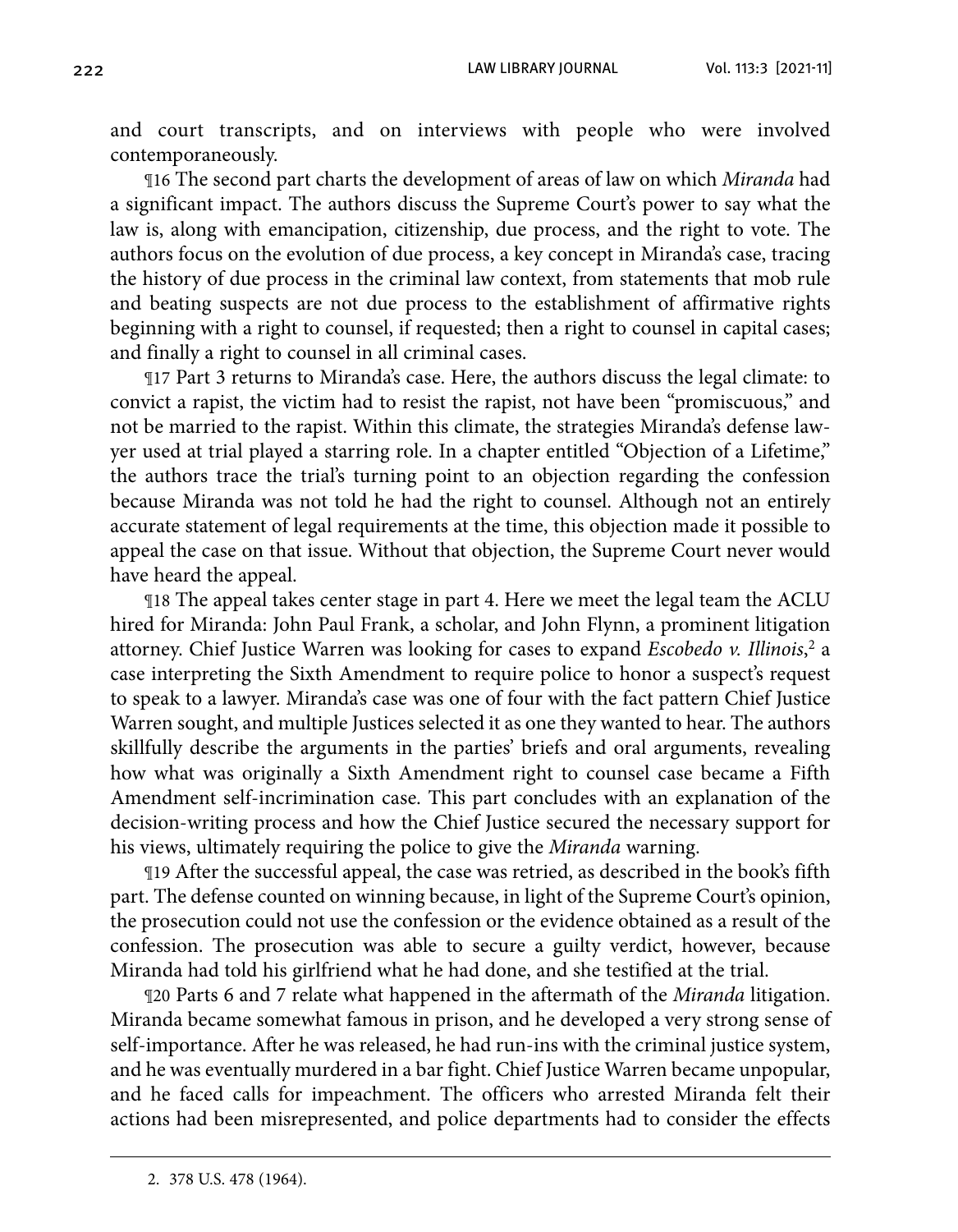and court transcripts, and on interviews with people who were involved contemporaneously.

¶16 The second part charts the development of areas of law on which *Miranda* had a significant impact. The authors discuss the Supreme Court's power to say what the law is, along with emancipation, citizenship, due process, and the right to vote. The authors focus on the evolution of due process, a key concept in Miranda's case, tracing the history of due process in the criminal law context, from statements that mob rule and beating suspects are not due process to the establishment of affirmative rights beginning with a right to counsel, if requested; then a right to counsel in capital cases; and finally a right to counsel in all criminal cases.

¶17 Part 3 returns to Miranda's case. Here, the authors discuss the legal climate: to convict a rapist, the victim had to resist the rapist, not have been "promiscuous," and not be married to the rapist. Within this climate, the strategies Miranda's defense lawyer used at trial played a starring role. In a chapter entitled "Objection of a Lifetime," the authors trace the trial's turning point to an objection regarding the confession because Miranda was not told he had the right to counsel. Although not an entirely accurate statement of legal requirements at the time, this objection made it possible to appeal the case on that issue. Without that objection, the Supreme Court never would have heard the appeal.

¶18 The appeal takes center stage in part 4. Here we meet the legal team the ACLU hired for Miranda: John Paul Frank, a scholar, and John Flynn, a prominent litigation attorney. Chief Justice Warren was looking for cases to expand *Escobedo v. Illinois*, 2 a case interpreting the Sixth Amendment to require police to honor a suspect's request to speak to a lawyer. Miranda's case was one of four with the fact pattern Chief Justice Warren sought, and multiple Justices selected it as one they wanted to hear. The authors skillfully describe the arguments in the parties' briefs and oral arguments, revealing how what was originally a Sixth Amendment right to counsel case became a Fifth Amendment self-incrimination case. This part concludes with an explanation of the decision-writing process and how the Chief Justice secured the necessary support for his views, ultimately requiring the police to give the *Miranda* warning.

¶19 After the successful appeal, the case was retried, as described in the book's fifth part. The defense counted on winning because, in light of the Supreme Court's opinion, the prosecution could not use the confession or the evidence obtained as a result of the confession. The prosecution was able to secure a guilty verdict, however, because Miranda had told his girlfriend what he had done, and she testified at the trial.

¶20 Parts 6 and 7 relate what happened in the aftermath of the *Miranda* litigation. Miranda became somewhat famous in prison, and he developed a very strong sense of self-importance. After he was released, he had run-ins with the criminal justice system, and he was eventually murdered in a bar fight. Chief Justice Warren became unpopular, and he faced calls for impeachment. The officers who arrested Miranda felt their actions had been misrepresented, and police departments had to consider the effects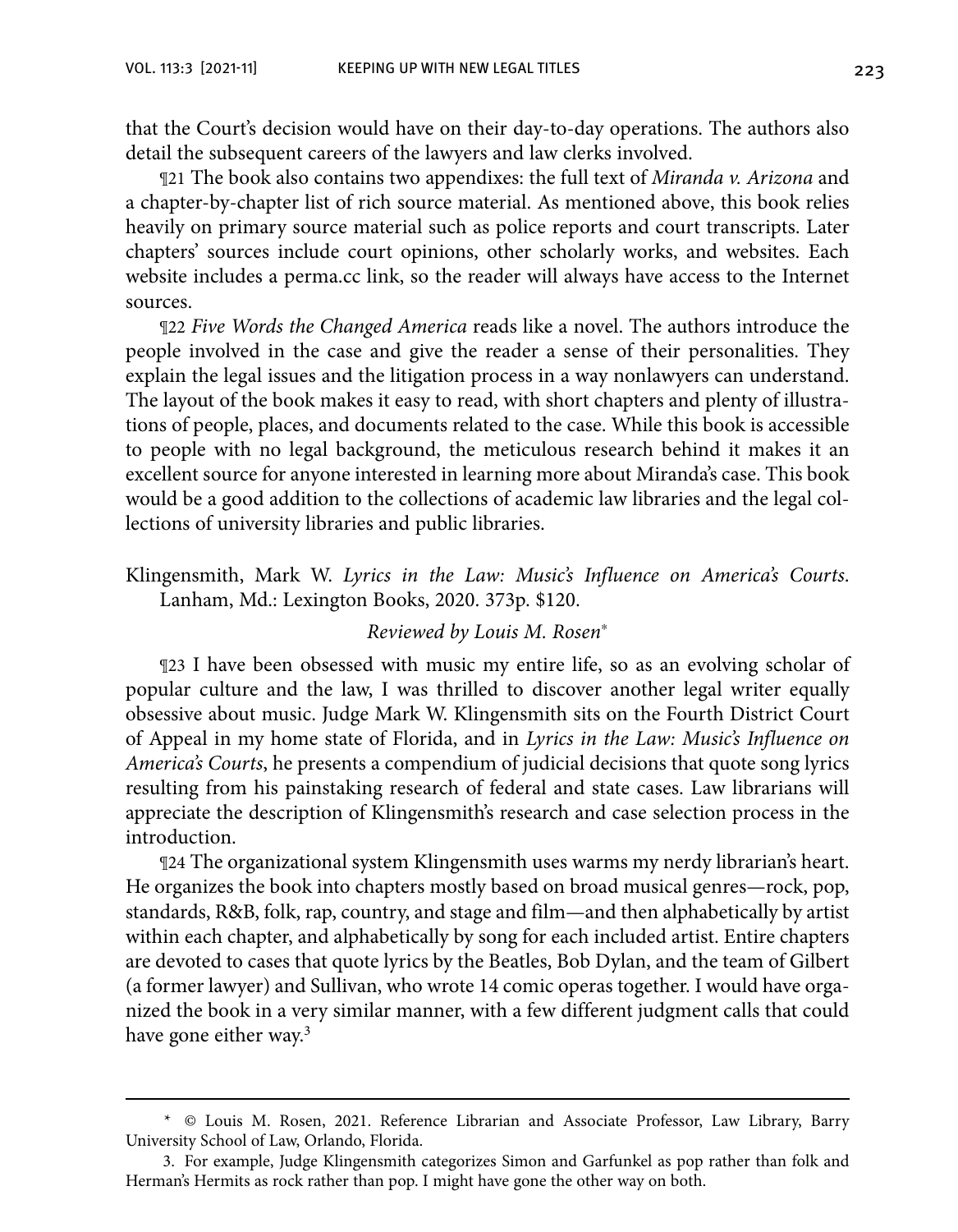that the Court's decision would have on their day-to-day operations. The authors also detail the subsequent careers of the lawyers and law clerks involved.

¶21 The book also contains two appendixes: the full text of *Miranda v. Arizona* and a chapter-by-chapter list of rich source material. As mentioned above, this book relies heavily on primary source material such as police reports and court transcripts. Later chapters' sources include court opinions, other scholarly works, and websites. Each website includes a perma.cc link, so the reader will always have access to the Internet sources.

¶22 *Five Words the Changed America* reads like a novel. The authors introduce the people involved in the case and give the reader a sense of their personalities. They explain the legal issues and the litigation process in a way nonlawyers can understand. The layout of the book makes it easy to read, with short chapters and plenty of illustrations of people, places, and documents related to the case. While this book is accessible to people with no legal background, the meticulous research behind it makes it an excellent source for anyone interested in learning more about Miranda's case. This book would be a good addition to the collections of academic law libraries and the legal collections of university libraries and public libraries.

Klingensmith, Mark W. *Lyrics in the Law: Music's Influence on America's Courts*. Lanham, Md.: Lexington Books, 2020. 373p. \$120.

#### *Reviewed by Louis M. Rosen*<sup>∗</sup>

¶23 I have been obsessed with music my entire life, so as an evolving scholar of popular culture and the law, I was thrilled to discover another legal writer equally obsessive about music. Judge Mark W. Klingensmith sits on the Fourth District Court of Appeal in my home state of Florida, and in *Lyrics in the Law: Music's Influence on America's Courts*, he presents a compendium of judicial decisions that quote song lyrics resulting from his painstaking research of federal and state cases. Law librarians will appreciate the description of Klingensmith's research and case selection process in the introduction.

¶24 The organizational system Klingensmith uses warms my nerdy librarian's heart. He organizes the book into chapters mostly based on broad musical genres—rock, pop, standards, R&B, folk, rap, country, and stage and film—and then alphabetically by artist within each chapter, and alphabetically by song for each included artist. Entire chapters are devoted to cases that quote lyrics by the Beatles, Bob Dylan, and the team of Gilbert (a former lawyer) and Sullivan, who wrote 14 comic operas together. I would have organized the book in a very similar manner, with a few different judgment calls that could have gone either way.3

<sup>\*</sup> © Louis M. Rosen, 2021. Reference Librarian and Associate Professor, Law Library, Barry University School of Law, Orlando, Florida.

<sup>3.</sup> For example, Judge Klingensmith categorizes Simon and Garfunkel as pop rather than folk and Herman's Hermits as rock rather than pop. I might have gone the other way on both.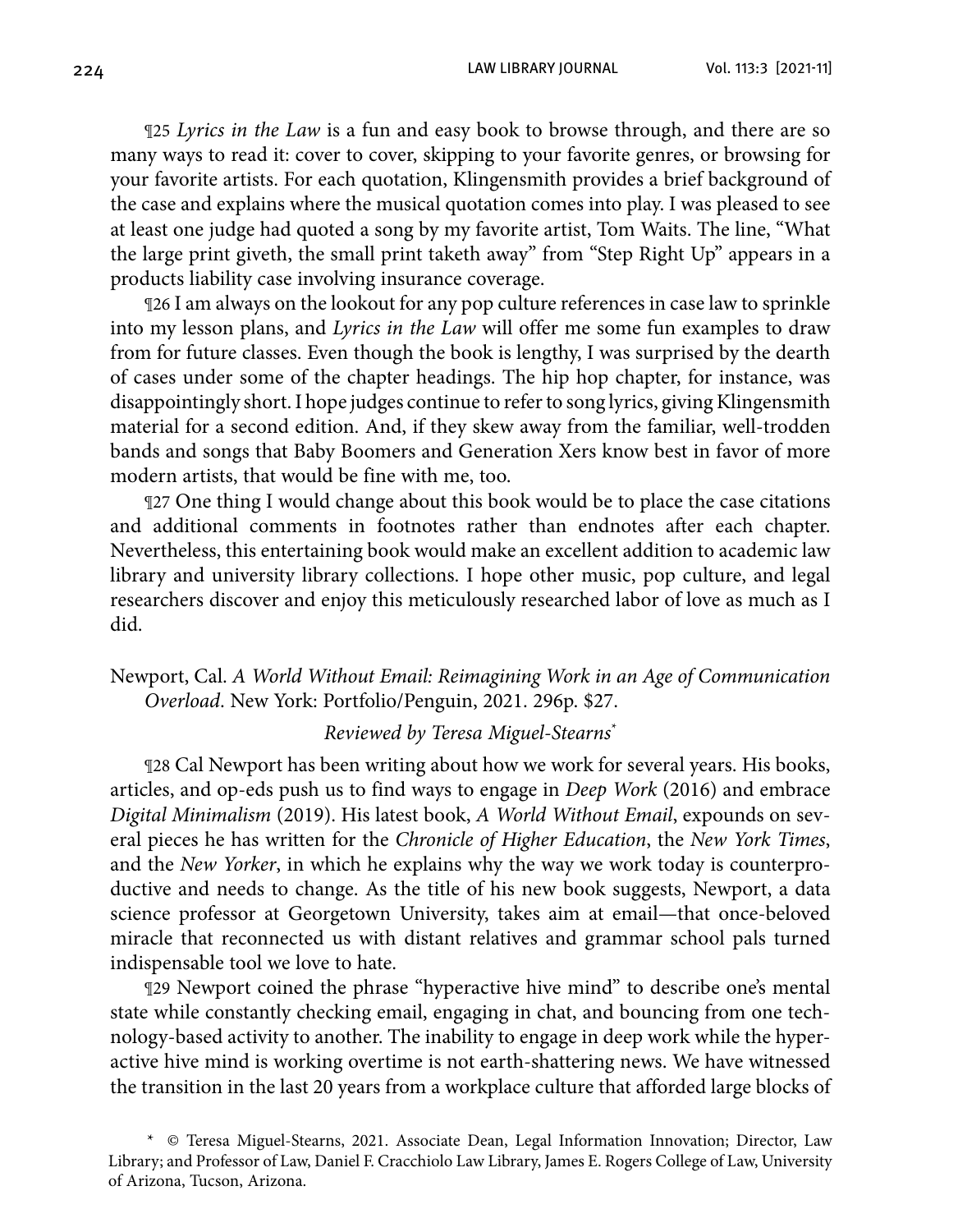224 LAW LIBRARY JOURNAL Vol. 113:3 [2021-11]

¶25 *Lyrics in the Law* is a fun and easy book to browse through, and there are so many ways to read it: cover to cover, skipping to your favorite genres, or browsing for your favorite artists. For each quotation, Klingensmith provides a brief background of the case and explains where the musical quotation comes into play. I was pleased to see at least one judge had quoted a song by my favorite artist, Tom Waits. The line, "What the large print giveth, the small print taketh away" from "Step Right Up" appears in a products liability case involving insurance coverage.

¶26 I am always on the lookout for any pop culture references in case law to sprinkle into my lesson plans, and *Lyrics in the Law* will offer me some fun examples to draw from for future classes. Even though the book is lengthy, I was surprised by the dearth of cases under some of the chapter headings. The hip hop chapter, for instance, was disappointingly short. I hope judges continue to refer to song lyrics, giving Klingensmith material for a second edition. And, if they skew away from the familiar, well-trodden bands and songs that Baby Boomers and Generation Xers know best in favor of more modern artists, that would be fine with me, too.

¶27 One thing I would change about this book would be to place the case citations and additional comments in footnotes rather than endnotes after each chapter. Nevertheless, this entertaining book would make an excellent addition to academic law library and university library collections. I hope other music, pop culture, and legal researchers discover and enjoy this meticulously researched labor of love as much as I did.

Newport, Cal. *A World Without Email: Reimagining Work in an Age of Communication Overload*. New York: Portfolio/Penguin, 2021. 296p. \$27.

#### *Reviewed by Teresa Miguel-Stearns*\*

¶28 Cal Newport has been writing about how we work for several years. His books, articles, and op-eds push us to find ways to engage in *Deep Work* (2016) and embrace *Digital Minimalism* (2019). His latest book, *A World Without Email*, expounds on several pieces he has written for the *Chronicle of Higher Education*, the *New York Times*, and the *New Yorker*, in which he explains why the way we work today is counterproductive and needs to change. As the title of his new book suggests, Newport, a data science professor at Georgetown University, takes aim at email—that once-beloved miracle that reconnected us with distant relatives and grammar school pals turned indispensable tool we love to hate.

¶29 Newport coined the phrase "hyperactive hive mind" to describe one's mental state while constantly checking email, engaging in chat, and bouncing from one technology-based activity to another. The inability to engage in deep work while the hyperactive hive mind is working overtime is not earth-shattering news. We have witnessed the transition in the last 20 years from a workplace culture that afforded large blocks of

<sup>\*</sup> © Teresa Miguel-Stearns, 2021. Associate Dean, Legal Information Innovation; Director, Law Library; and Professor of Law, Daniel F. Cracchiolo Law Library, James E. Rogers College of Law, University of Arizona, Tucson, Arizona.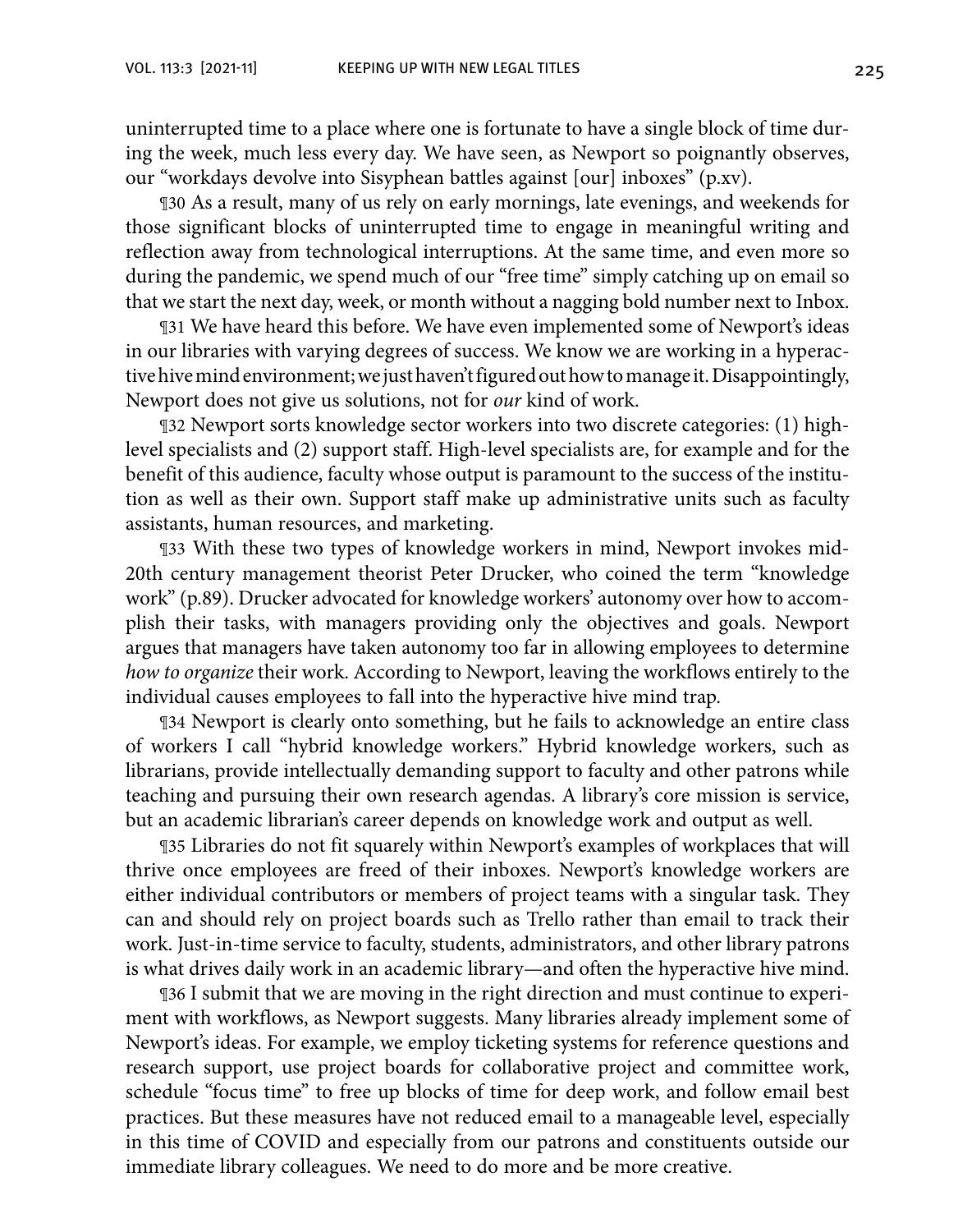uninterrupted time to a place where one is fortunate to have a single block of time during the week, much less every day. We have seen, as Newport so poignantly observes, our "workdays devolve into Sisyphean battles against [our] inboxes" (p.xv).

¶30 As a result, many of us rely on early mornings, late evenings, and weekends for those significant blocks of uninterrupted time to engage in meaningful writing and reflection away from technological interruptions. At the same time, and even more so during the pandemic, we spend much of our "free time" simply catching up on email so that we start the next day, week, or month without a nagging bold number next to Inbox.

¶31 We have heard this before. We have even implemented some of Newport's ideas in our libraries with varying degrees of success. We know we are working in a hyperactive hive mind environment; we just haven't figured out how to manage it. Disappointingly, Newport does not give us solutions, not for *our* kind of work.

¶32 Newport sorts knowledge sector workers into two discrete categories: (1) highlevel specialists and (2) support staff. High-level specialists are, for example and for the benefit of this audience, faculty whose output is paramount to the success of the institution as well as their own. Support staff make up administrative units such as faculty assistants, human resources, and marketing.

¶33 With these two types of knowledge workers in mind, Newport invokes mid-20th century management theorist Peter Drucker, who coined the term "knowledge work" (p.89). Drucker advocated for knowledge workers' autonomy over how to accomplish their tasks, with managers providing only the objectives and goals. Newport argues that managers have taken autonomy too far in allowing employees to determine *how to organize* their work. According to Newport, leaving the workflows entirely to the individual causes employees to fall into the hyperactive hive mind trap.

¶34 Newport is clearly onto something, but he fails to acknowledge an entire class of workers I call "hybrid knowledge workers." Hybrid knowledge workers, such as librarians, provide intellectually demanding support to faculty and other patrons while teaching and pursuing their own research agendas. A library's core mission is service, but an academic librarian's career depends on knowledge work and output as well.

¶35 Libraries do not fit squarely within Newport's examples of workplaces that will thrive once employees are freed of their inboxes. Newport's knowledge workers are either individual contributors or members of project teams with a singular task. They can and should rely on project boards such as Trello rather than email to track their work. Just-in-time service to faculty, students, administrators, and other library patrons is what drives daily work in an academic library—and often the hyperactive hive mind.

¶36 I submit that we are moving in the right direction and must continue to experiment with workflows, as Newport suggests. Many libraries already implement some of Newport's ideas. For example, we employ ticketing systems for reference questions and research support, use project boards for collaborative project and committee work, schedule "focus time" to free up blocks of time for deep work, and follow email best practices. But these measures have not reduced email to a manageable level, especially in this time of COVID and especially from our patrons and constituents outside our immediate library colleagues. We need to do more and be more creative.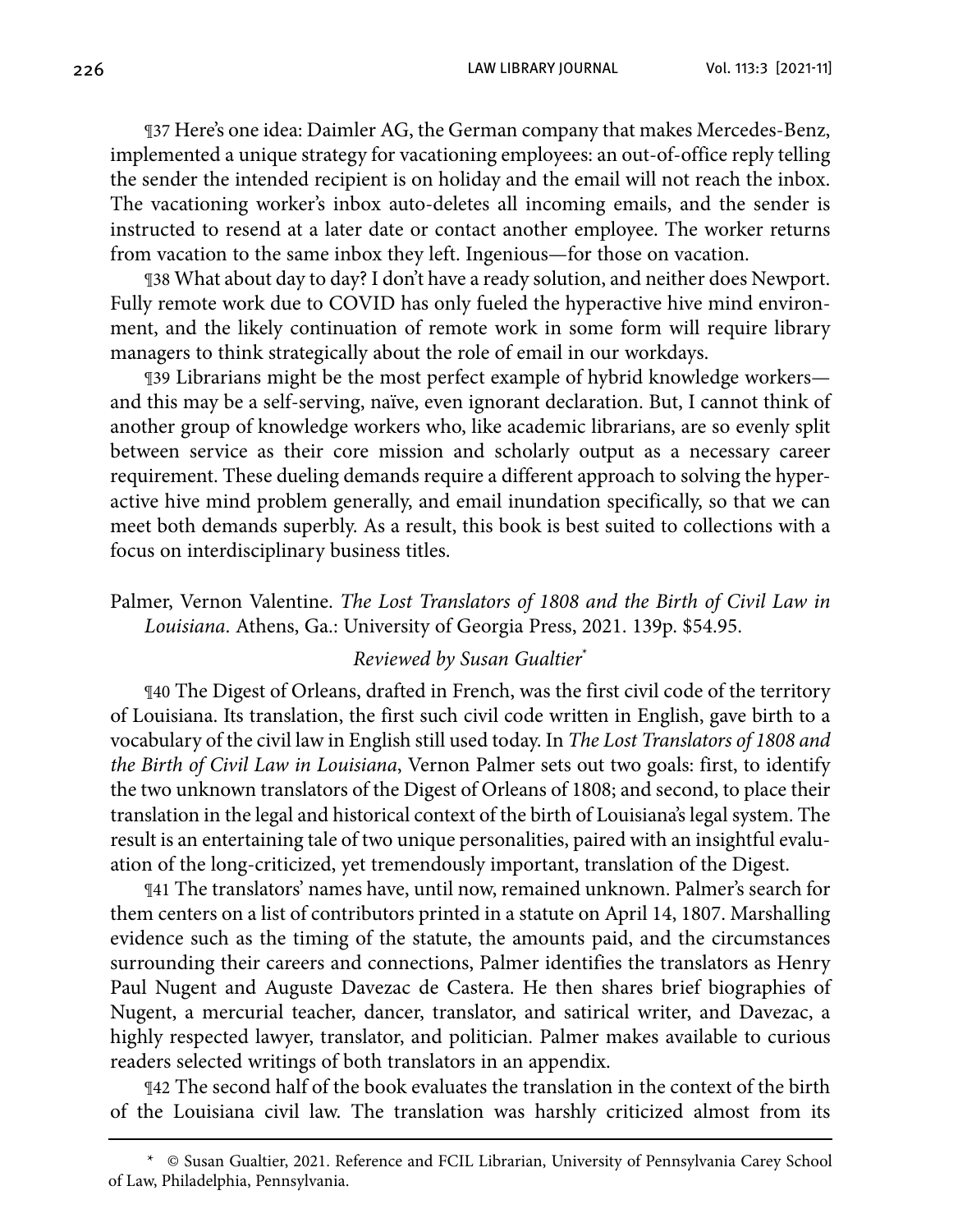226 LAW LIBRARY JOURNAL Vol. 113:3 [2021-11]

¶37 Here's one idea: Daimler AG, the German company that makes Mercedes-Benz, implemented a unique strategy for vacationing employees: an out-of-office reply telling the sender the intended recipient is on holiday and the email will not reach the inbox. The vacationing worker's inbox auto-deletes all incoming emails, and the sender is instructed to resend at a later date or contact another employee. The worker returns from vacation to the same inbox they left. Ingenious—for those on vacation.

¶38 What about day to day? I don't have a ready solution, and neither does Newport. Fully remote work due to COVID has only fueled the hyperactive hive mind environment, and the likely continuation of remote work in some form will require library managers to think strategically about the role of email in our workdays.

¶39 Librarians might be the most perfect example of hybrid knowledge workers and this may be a self-serving, naïve, even ignorant declaration. But, I cannot think of another group of knowledge workers who, like academic librarians, are so evenly split between service as their core mission and scholarly output as a necessary career requirement. These dueling demands require a different approach to solving the hyperactive hive mind problem generally, and email inundation specifically, so that we can meet both demands superbly. As a result, this book is best suited to collections with a focus on interdisciplinary business titles.

Palmer, Vernon Valentine. *The Lost Translators of 1808 and the Birth of Civil Law in Louisiana*. Athens, Ga.: University of Georgia Press, 2021. 139p. \$54.95.

#### *Reviewed by Susan Gualtier*\*

¶40 The Digest of Orleans, drafted in French, was the first civil code of the territory of Louisiana. Its translation, the first such civil code written in English, gave birth to a vocabulary of the civil law in English still used today. In *The Lost Translators of 1808 and the Birth of Civil Law in Louisiana*, Vernon Palmer sets out two goals: first, to identify the two unknown translators of the Digest of Orleans of 1808; and second, to place their translation in the legal and historical context of the birth of Louisiana's legal system. The result is an entertaining tale of two unique personalities, paired with an insightful evaluation of the long-criticized, yet tremendously important, translation of the Digest.

¶41 The translators' names have, until now, remained unknown. Palmer's search for them centers on a list of contributors printed in a statute on April 14, 1807. Marshalling evidence such as the timing of the statute, the amounts paid, and the circumstances surrounding their careers and connections, Palmer identifies the translators as Henry Paul Nugent and Auguste Davezac de Castera. He then shares brief biographies of Nugent, a mercurial teacher, dancer, translator, and satirical writer, and Davezac, a highly respected lawyer, translator, and politician. Palmer makes available to curious readers selected writings of both translators in an appendix.

¶42 The second half of the book evaluates the translation in the context of the birth of the Louisiana civil law. The translation was harshly criticized almost from its

<sup>\*</sup> © Susan Gualtier, 2021. Reference and FCIL Librarian, University of Pennsylvania Carey School of Law, Philadelphia, Pennsylvania.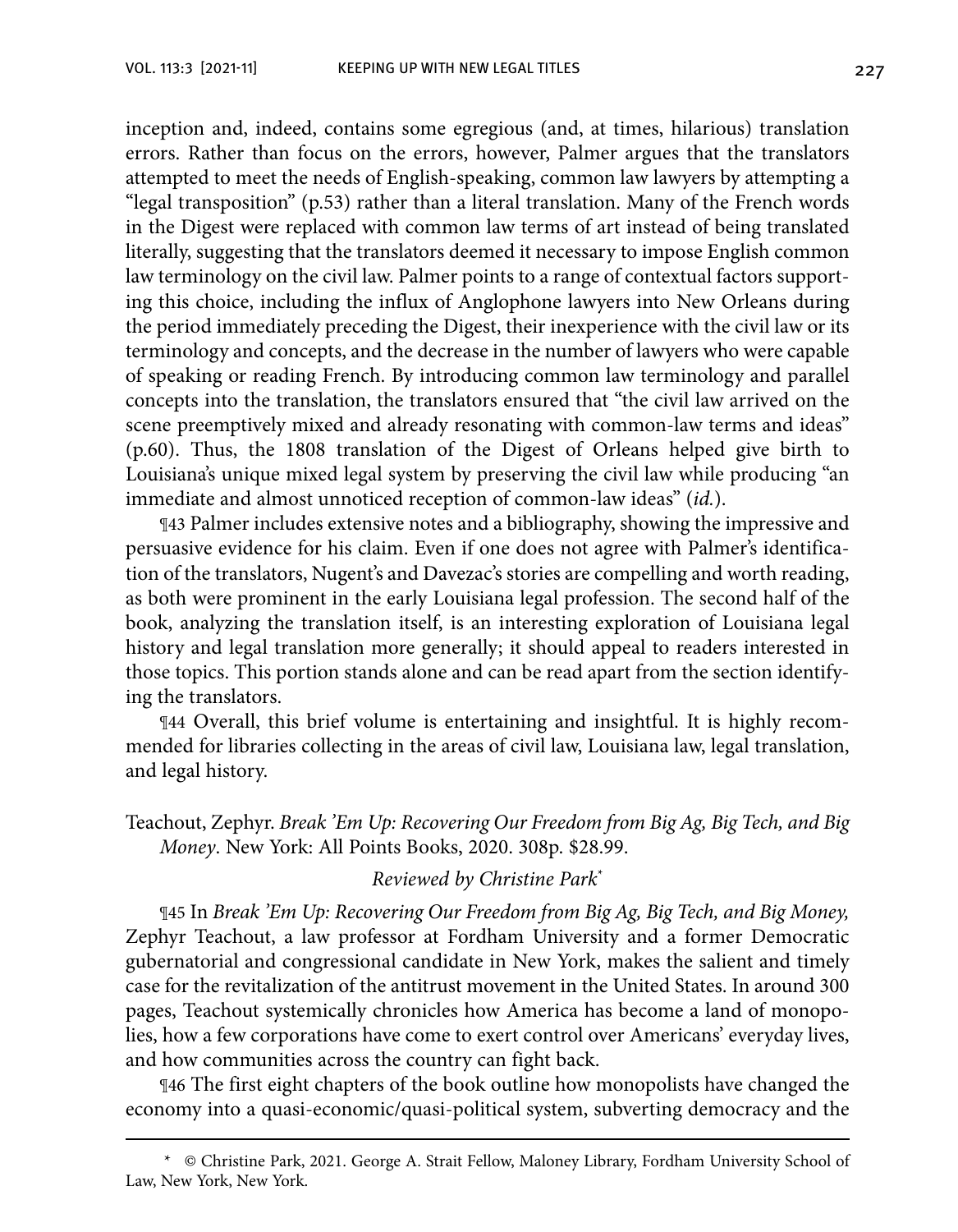inception and, indeed, contains some egregious (and, at times, hilarious) translation errors. Rather than focus on the errors, however, Palmer argues that the translators attempted to meet the needs of English-speaking, common law lawyers by attempting a "legal transposition" (p.53) rather than a literal translation. Many of the French words in the Digest were replaced with common law terms of art instead of being translated literally, suggesting that the translators deemed it necessary to impose English common law terminology on the civil law. Palmer points to a range of contextual factors supporting this choice, including the influx of Anglophone lawyers into New Orleans during the period immediately preceding the Digest, their inexperience with the civil law or its terminology and concepts, and the decrease in the number of lawyers who were capable of speaking or reading French. By introducing common law terminology and parallel concepts into the translation, the translators ensured that "the civil law arrived on the scene preemptively mixed and already resonating with common-law terms and ideas" (p.60). Thus, the 1808 translation of the Digest of Orleans helped give birth to Louisiana's unique mixed legal system by preserving the civil law while producing "an immediate and almost unnoticed reception of common-law ideas" (*id.*).

¶43 Palmer includes extensive notes and a bibliography, showing the impressive and persuasive evidence for his claim. Even if one does not agree with Palmer's identification of the translators, Nugent's and Davezac's stories are compelling and worth reading, as both were prominent in the early Louisiana legal profession. The second half of the book, analyzing the translation itself, is an interesting exploration of Louisiana legal history and legal translation more generally; it should appeal to readers interested in those topics. This portion stands alone and can be read apart from the section identifying the translators.

¶44 Overall, this brief volume is entertaining and insightful. It is highly recommended for libraries collecting in the areas of civil law, Louisiana law, legal translation, and legal history.

Teachout, Zephyr. *Break 'Em Up: Recovering Our Freedom from Big Ag, Big Tech, and Big Money*. New York: All Points Books, 2020. 308p. \$28.99.

#### *Reviewed by Christine Park*\*

¶45 In *Break 'Em Up: Recovering Our Freedom from Big Ag, Big Tech, and Big Money,*  Zephyr Teachout, a law professor at Fordham University and a former Democratic gubernatorial and congressional candidate in New York, makes the salient and timely case for the revitalization of the antitrust movement in the United States. In around 300 pages, Teachout systemically chronicles how America has become a land of monopolies, how a few corporations have come to exert control over Americans' everyday lives, and how communities across the country can fight back.

¶46 The first eight chapters of the book outline how monopolists have changed the economy into a quasi-economic/quasi-political system, subverting democracy and the

<sup>\*</sup> © Christine Park, 2021. George A. Strait Fellow, Maloney Library, Fordham University School of Law, New York, New York.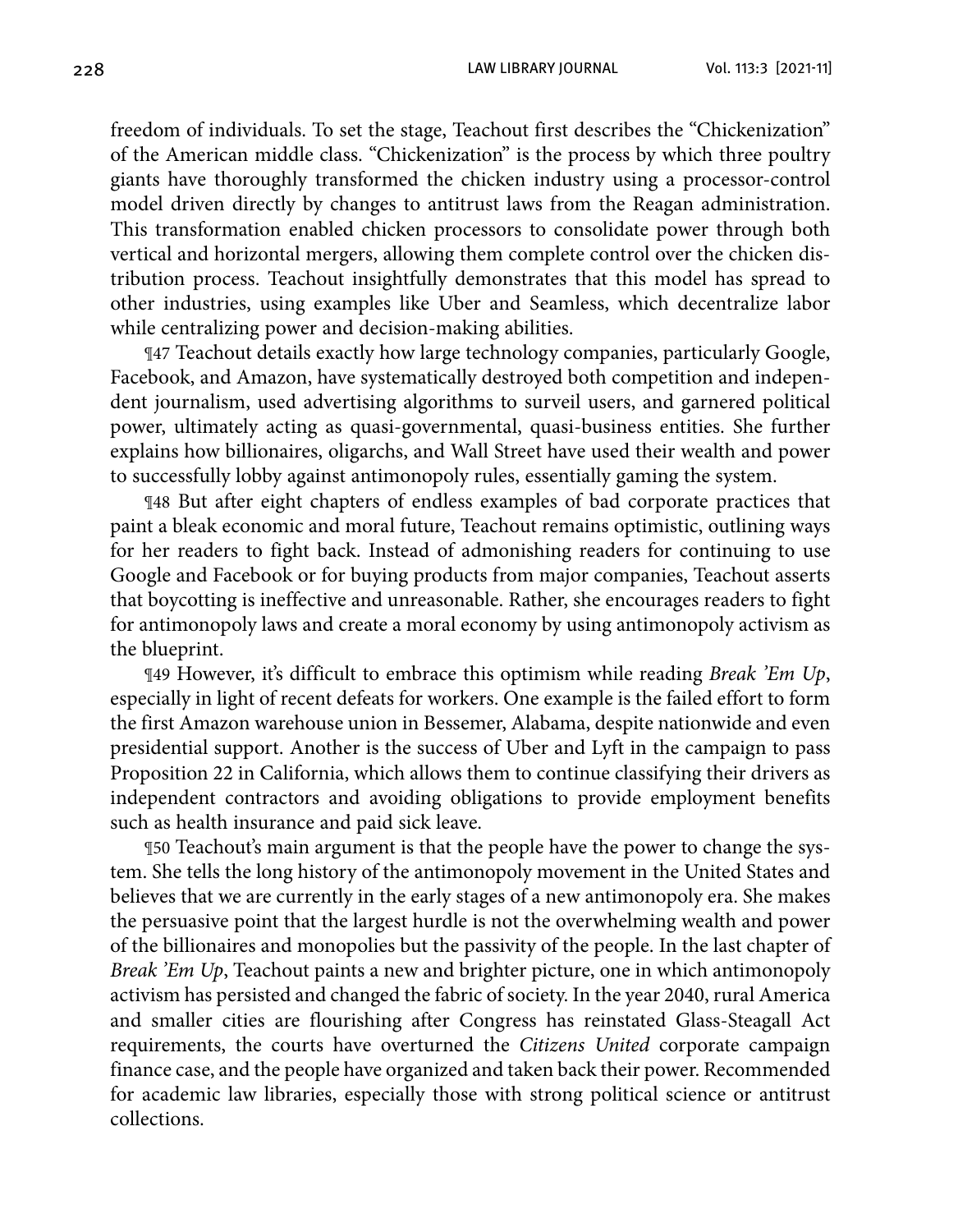228 LAW LIBRARY JOURNAL Vol. 113:3 [2021-11]

freedom of individuals. To set the stage, Teachout first describes the "Chickenization" of the American middle class. "Chickenization" is the process by which three poultry giants have thoroughly transformed the chicken industry using a processor-control model driven directly by changes to antitrust laws from the Reagan administration. This transformation enabled chicken processors to consolidate power through both vertical and horizontal mergers, allowing them complete control over the chicken distribution process. Teachout insightfully demonstrates that this model has spread to other industries, using examples like Uber and Seamless, which decentralize labor while centralizing power and decision-making abilities.

¶47 Teachout details exactly how large technology companies, particularly Google, Facebook, and Amazon, have systematically destroyed both competition and independent journalism, used advertising algorithms to surveil users, and garnered political power, ultimately acting as quasi-governmental, quasi-business entities. She further explains how billionaires, oligarchs, and Wall Street have used their wealth and power to successfully lobby against antimonopoly rules, essentially gaming the system.

¶48 But after eight chapters of endless examples of bad corporate practices that paint a bleak economic and moral future, Teachout remains optimistic, outlining ways for her readers to fight back. Instead of admonishing readers for continuing to use Google and Facebook or for buying products from major companies, Teachout asserts that boycotting is ineffective and unreasonable. Rather, she encourages readers to fight for antimonopoly laws and create a moral economy by using antimonopoly activism as the blueprint.

¶49 However, it's difficult to embrace this optimism while reading *Break 'Em Up*, especially in light of recent defeats for workers. One example is the failed effort to form the first Amazon warehouse union in Bessemer, Alabama, despite nationwide and even presidential support. Another is the success of Uber and Lyft in the campaign to pass Proposition 22 in California, which allows them to continue classifying their drivers as independent contractors and avoiding obligations to provide employment benefits such as health insurance and paid sick leave.

¶50 Teachout's main argument is that the people have the power to change the system. She tells the long history of the antimonopoly movement in the United States and believes that we are currently in the early stages of a new antimonopoly era. She makes the persuasive point that the largest hurdle is not the overwhelming wealth and power of the billionaires and monopolies but the passivity of the people. In the last chapter of *Break 'Em Up*, Teachout paints a new and brighter picture, one in which antimonopoly activism has persisted and changed the fabric of society. In the year 2040, rural America and smaller cities are flourishing after Congress has reinstated Glass-Steagall Act requirements, the courts have overturned the *Citizens United* corporate campaign finance case, and the people have organized and taken back their power. Recommended for academic law libraries, especially those with strong political science or antitrust collections.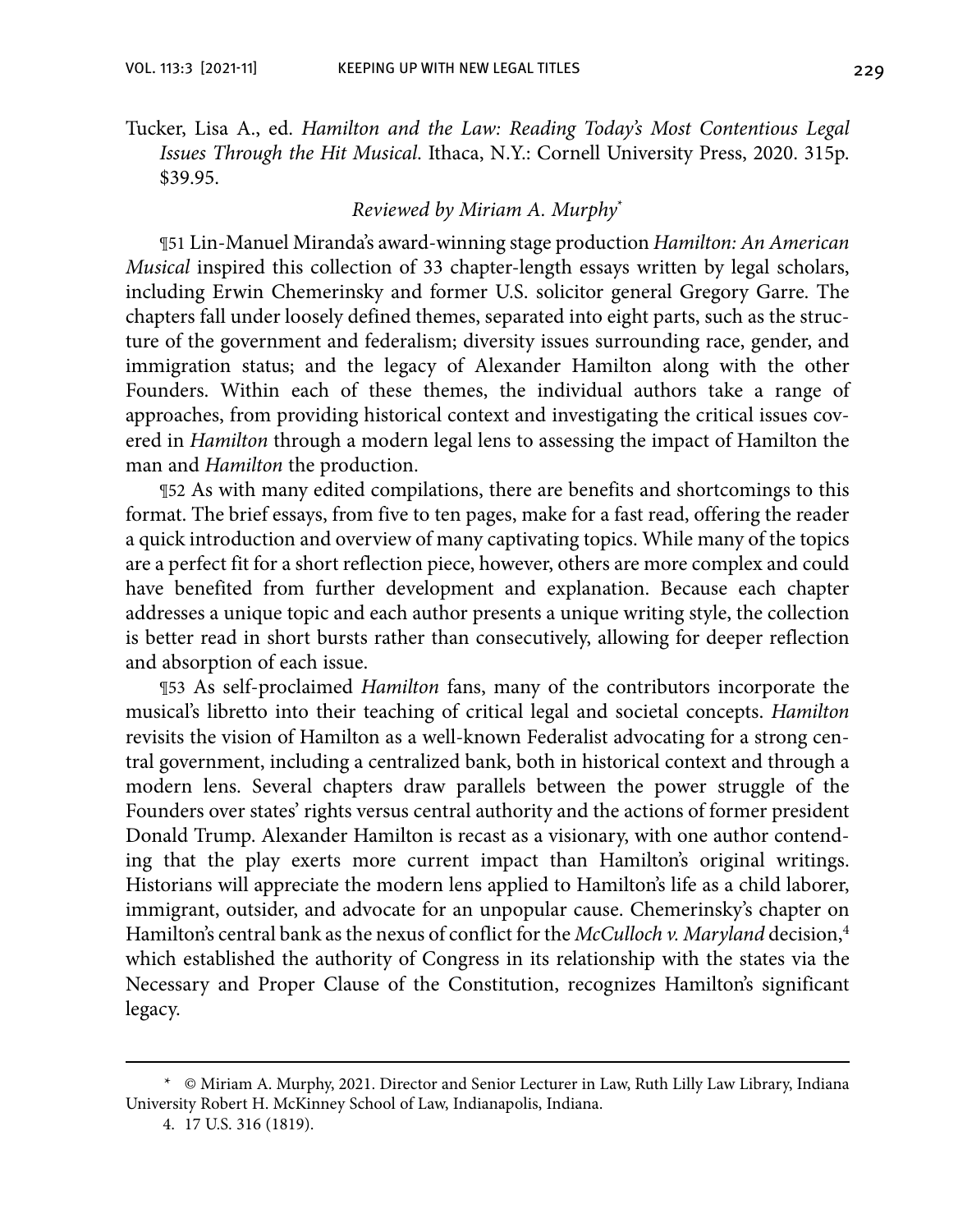Tucker, Lisa A., ed. *Hamilton and the Law: Reading Today's Most Contentious Legal Issues Through the Hit Musical*. Ithaca, N.Y.: Cornell University Press, 2020. 315p. \$39.95.

#### *Reviewed by Miriam A. Murphy*\*

¶51 Lin-Manuel Miranda's award-winning stage production *Hamilton: An American Musical* inspired this collection of 33 chapter-length essays written by legal scholars, including Erwin Chemerinsky and former U.S. solicitor general Gregory Garre. The chapters fall under loosely defined themes, separated into eight parts, such as the structure of the government and federalism; diversity issues surrounding race, gender, and immigration status; and the legacy of Alexander Hamilton along with the other Founders. Within each of these themes, the individual authors take a range of approaches, from providing historical context and investigating the critical issues covered in *Hamilton* through a modern legal lens to assessing the impact of Hamilton the man and *Hamilton* the production.

¶52 As with many edited compilations, there are benefits and shortcomings to this format. The brief essays, from five to ten pages, make for a fast read, offering the reader a quick introduction and overview of many captivating topics. While many of the topics are a perfect fit for a short reflection piece, however, others are more complex and could have benefited from further development and explanation. Because each chapter addresses a unique topic and each author presents a unique writing style, the collection is better read in short bursts rather than consecutively, allowing for deeper reflection and absorption of each issue.

¶53 As self-proclaimed *Hamilton* fans, many of the contributors incorporate the musical's libretto into their teaching of critical legal and societal concepts. *Hamilton* revisits the vision of Hamilton as a well-known Federalist advocating for a strong central government, including a centralized bank, both in historical context and through a modern lens. Several chapters draw parallels between the power struggle of the Founders over states' rights versus central authority and the actions of former president Donald Trump. Alexander Hamilton is recast as a visionary, with one author contending that the play exerts more current impact than Hamilton's original writings. Historians will appreciate the modern lens applied to Hamilton's life as a child laborer, immigrant, outsider, and advocate for an unpopular cause. Chemerinsky's chapter on Hamilton's central bank as the nexus of conflict for the *McCulloch v. Maryland* decision,4 which established the authority of Congress in its relationship with the states via the Necessary and Proper Clause of the Constitution, recognizes Hamilton's significant legacy.

<sup>\*</sup> © Miriam A. Murphy, 2021. Director and Senior Lecturer in Law, Ruth Lilly Law Library, Indiana University Robert H. McKinney School of Law, Indianapolis, Indiana.

<sup>4.</sup> 17 U.S. 316 (1819).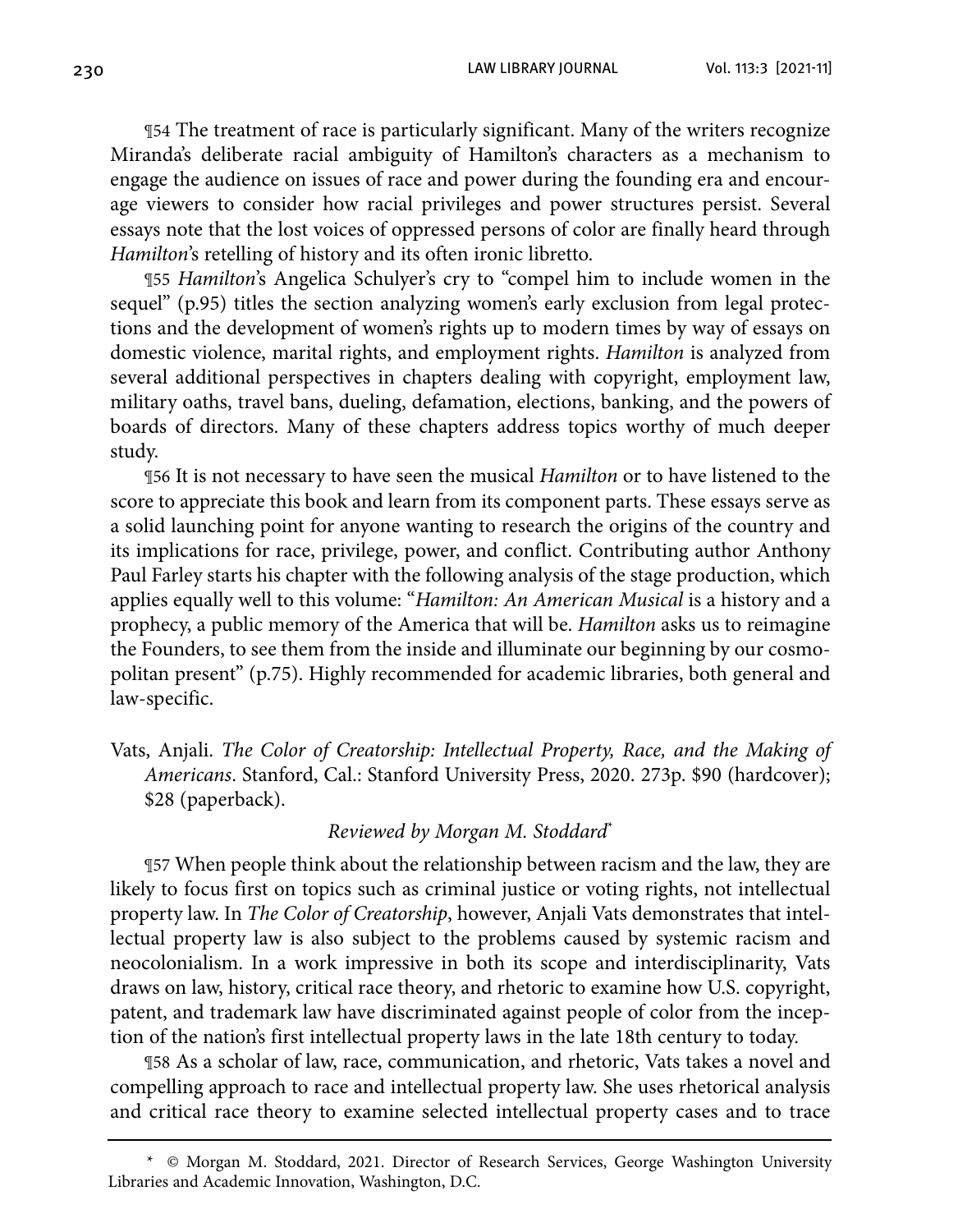230 LAW LIBRARY JOURNAL Vol. 113:3 [2021-11]

¶54 The treatment of race is particularly significant. Many of the writers recognize Miranda's deliberate racial ambiguity of Hamilton's characters as a mechanism to engage the audience on issues of race and power during the founding era and encourage viewers to consider how racial privileges and power structures persist. Several essays note that the lost voices of oppressed persons of color are finally heard through *Hamilton*'s retelling of history and its often ironic libretto.

¶55 *Hamilton*'s Angelica Schulyer's cry to "compel him to include women in the sequel" (p.95) titles the section analyzing women's early exclusion from legal protections and the development of women's rights up to modern times by way of essays on domestic violence, marital rights, and employment rights. *Hamilton* is analyzed from several additional perspectives in chapters dealing with copyright, employment law, military oaths, travel bans, dueling, defamation, elections, banking, and the powers of boards of directors. Many of these chapters address topics worthy of much deeper study.

¶56 It is not necessary to have seen the musical *Hamilton* or to have listened to the score to appreciate this book and learn from its component parts. These essays serve as a solid launching point for anyone wanting to research the origins of the country and its implications for race, privilege, power, and conflict. Contributing author Anthony Paul Farley starts his chapter with the following analysis of the stage production, which applies equally well to this volume: "*Hamilton: An American Musical* is a history and a prophecy, a public memory of the America that will be. *Hamilton* asks us to reimagine the Founders, to see them from the inside and illuminate our beginning by our cosmopolitan present" (p.75). Highly recommended for academic libraries, both general and law-specific.

Vats, Anjali. *The Color of Creatorship: Intellectual Property, Race, and the Making of Americans*. Stanford, Cal.: Stanford University Press, 2020. 273p. \$90 (hardcover); \$28 (paperback).

#### *Reviewed by Morgan M. Stoddard*\*

¶57 When people think about the relationship between racism and the law, they are likely to focus first on topics such as criminal justice or voting rights, not intellectual property law. In *The Color of Creatorship*, however, Anjali Vats demonstrates that intellectual property law is also subject to the problems caused by systemic racism and neocolonialism. In a work impressive in both its scope and interdisciplinarity, Vats draws on law, history, critical race theory, and rhetoric to examine how U.S. copyright, patent, and trademark law have discriminated against people of color from the inception of the nation's first intellectual property laws in the late 18th century to today.

¶58 As a scholar of law, race, communication, and rhetoric, Vats takes a novel and compelling approach to race and intellectual property law. She uses rhetorical analysis and critical race theory to examine selected intellectual property cases and to trace

<sup>\*</sup> © Morgan M. Stoddard, 2021. Director of Research Services, George Washington University Libraries and Academic Innovation, Washington, D.C.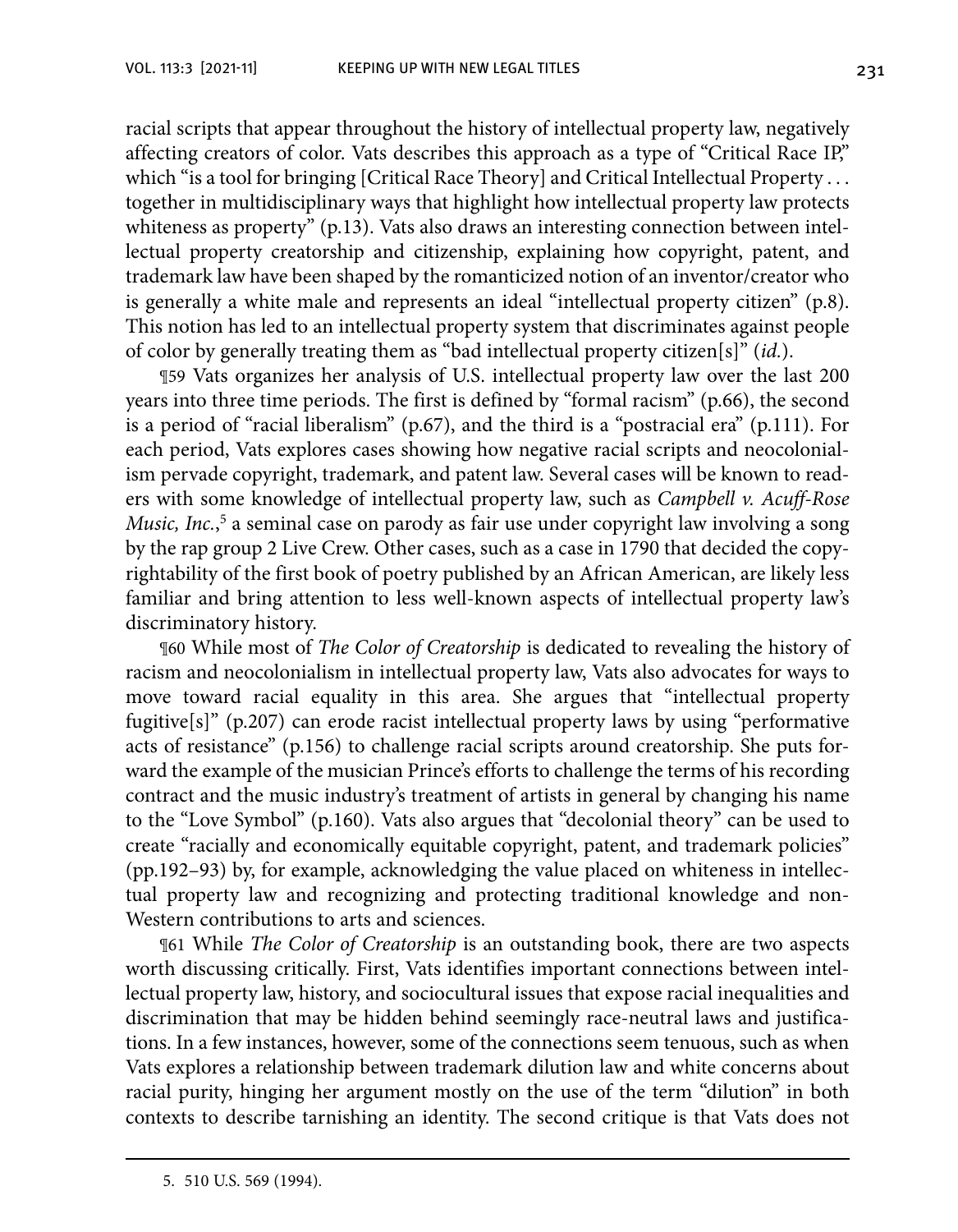racial scripts that appear throughout the history of intellectual property law, negatively affecting creators of color. Vats describes this approach as a type of "Critical Race IP," which "is a tool for bringing [Critical Race Theory] and Critical Intellectual Property . . . together in multidisciplinary ways that highlight how intellectual property law protects whiteness as property" (p.13). Vats also draws an interesting connection between intellectual property creatorship and citizenship, explaining how copyright, patent, and trademark law have been shaped by the romanticized notion of an inventor/creator who is generally a white male and represents an ideal "intellectual property citizen" (p.8). This notion has led to an intellectual property system that discriminates against people of color by generally treating them as "bad intellectual property citizen[s]" (*id.*).

¶59 Vats organizes her analysis of U.S. intellectual property law over the last 200 years into three time periods. The first is defined by "formal racism" (p.66), the second is a period of "racial liberalism" (p.67), and the third is a "postracial era" (p.111). For each period, Vats explores cases showing how negative racial scripts and neocolonialism pervade copyright, trademark, and patent law. Several cases will be known to readers with some knowledge of intellectual property law, such as *Campbell v. Acuff-Rose*  Music, Inc.,<sup>5</sup> a seminal case on parody as fair use under copyright law involving a song by the rap group 2 Live Crew. Other cases, such as a case in 1790 that decided the copyrightability of the first book of poetry published by an African American, are likely less familiar and bring attention to less well-known aspects of intellectual property law's discriminatory history.

¶60 While most of *The Color of Creatorship* is dedicated to revealing the history of racism and neocolonialism in intellectual property law, Vats also advocates for ways to move toward racial equality in this area. She argues that "intellectual property fugitive[s]" (p.207) can erode racist intellectual property laws by using "performative acts of resistance" (p.156) to challenge racial scripts around creatorship. She puts forward the example of the musician Prince's efforts to challenge the terms of his recording contract and the music industry's treatment of artists in general by changing his name to the "Love Symbol" (p.160). Vats also argues that "decolonial theory" can be used to create "racially and economically equitable copyright, patent, and trademark policies" (pp.192–93) by, for example, acknowledging the value placed on whiteness in intellectual property law and recognizing and protecting traditional knowledge and non-Western contributions to arts and sciences.

¶61 While *The Color of Creatorship* is an outstanding book, there are two aspects worth discussing critically. First, Vats identifies important connections between intellectual property law, history, and sociocultural issues that expose racial inequalities and discrimination that may be hidden behind seemingly race-neutral laws and justifications. In a few instances, however, some of the connections seem tenuous, such as when Vats explores a relationship between trademark dilution law and white concerns about racial purity, hinging her argument mostly on the use of the term "dilution" in both contexts to describe tarnishing an identity. The second critique is that Vats does not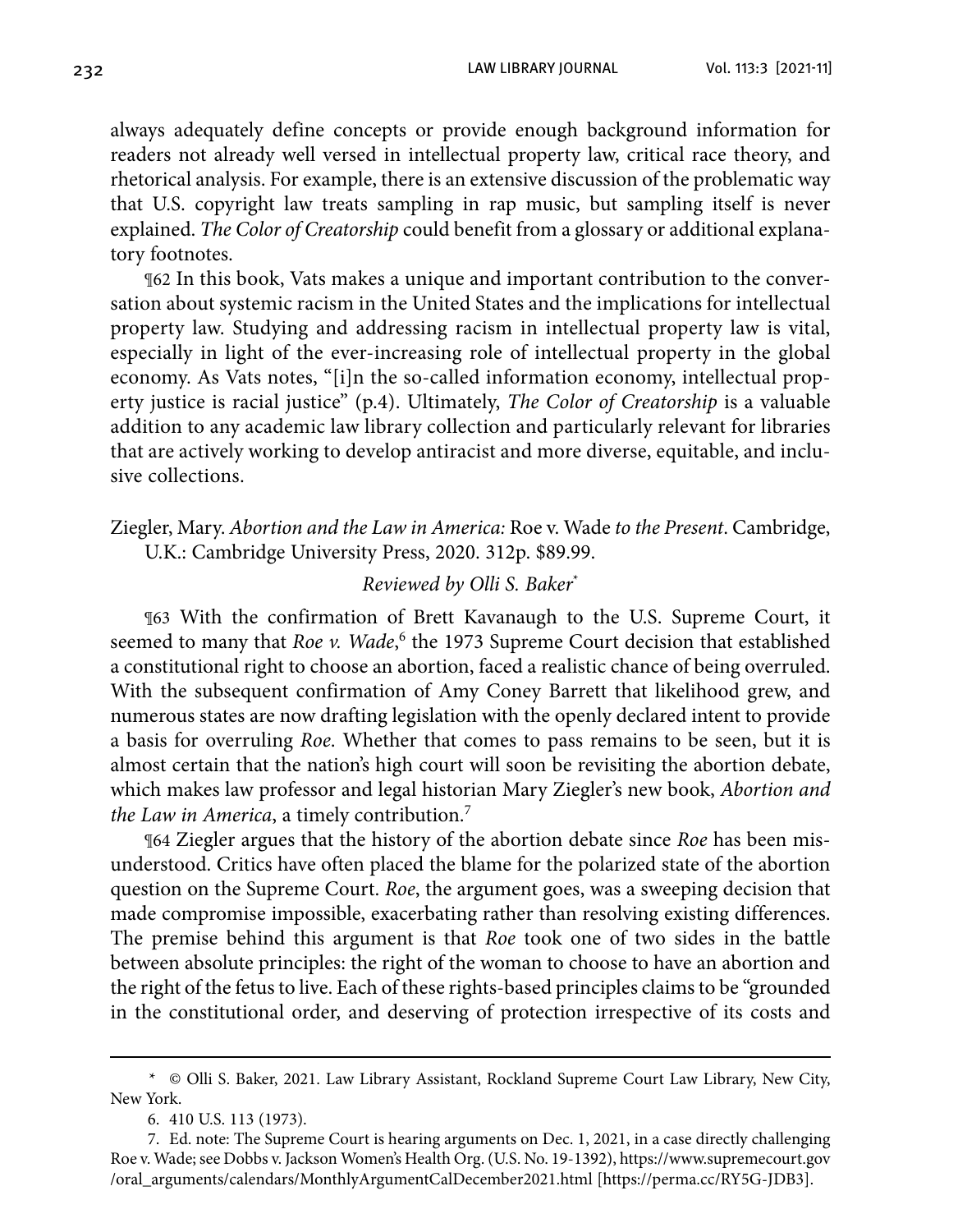always adequately define concepts or provide enough background information for readers not already well versed in intellectual property law, critical race theory, and rhetorical analysis. For example, there is an extensive discussion of the problematic way that U.S. copyright law treats sampling in rap music, but sampling itself is never explained. *The Color of Creatorship* could benefit from a glossary or additional explanatory footnotes.

¶62 In this book, Vats makes a unique and important contribution to the conversation about systemic racism in the United States and the implications for intellectual property law. Studying and addressing racism in intellectual property law is vital, especially in light of the ever-increasing role of intellectual property in the global economy. As Vats notes, "[i]n the so-called information economy, intellectual property justice is racial justice" (p.4). Ultimately, *The Color of Creatorship* is a valuable addition to any academic law library collection and particularly relevant for libraries that are actively working to develop antiracist and more diverse, equitable, and inclusive collections.

Ziegler, Mary. *Abortion and the Law in America:* Roe v. Wade *to the Present*. Cambridge, U.K.: Cambridge University Press, 2020. 312p. \$89.99.

#### *Reviewed by Olli S. Baker*\*

¶63 With the confirmation of Brett Kavanaugh to the U.S. Supreme Court, it seemed to many that *Roe v. Wade*,<sup>6</sup> the 1973 Supreme Court decision that established a constitutional right to choose an abortion, faced a realistic chance of being overruled. With the subsequent confirmation of Amy Coney Barrett that likelihood grew, and numerous states are now drafting legislation with the openly declared intent to provide a basis for overruling *Roe*. Whether that comes to pass remains to be seen, but it is almost certain that the nation's high court will soon be revisiting the abortion debate, which makes law professor and legal historian Mary Ziegler's new book, *Abortion and the Law in America*, a timely contribution.7

¶64 Ziegler argues that the history of the abortion debate since *Roe* has been misunderstood. Critics have often placed the blame for the polarized state of the abortion question on the Supreme Court. *Roe*, the argument goes, was a sweeping decision that made compromise impossible, exacerbating rather than resolving existing differences. The premise behind this argument is that *Roe* took one of two sides in the battle between absolute principles: the right of the woman to choose to have an abortion and the right of the fetus to live. Each of these rights-based principles claims to be "grounded in the constitutional order, and deserving of protection irrespective of its costs and

<sup>\*</sup> © Olli S. Baker, 2021. Law Library Assistant, Rockland Supreme Court Law Library, New City, New York.

<sup>6.</sup> 410 U.S. 113 (1973).

<sup>7.</sup> Ed. note: The Supreme Court is hearing arguments on Dec. 1, 2021, in a case directly challenging Roe v. Wade; see Dobbs v. Jackson Women's Health Org. (U.S. No. 19-1392), [https://www.supremecourt.gov](https://www.supremecourt.gov/oral_arguments/calendars/MonthlyArgumentCalDecember2021.html) [/oral\\_arguments/calendars/MonthlyArgumentCalDecember2021.html](https://www.supremecourt.gov/oral_arguments/calendars/MonthlyArgumentCalDecember2021.html) [\[https://perma.cc/RY5G-JDB](https://perma.cc/RY5G-JDB3)[3\].](https://perma.cc/RY5G-JDB3])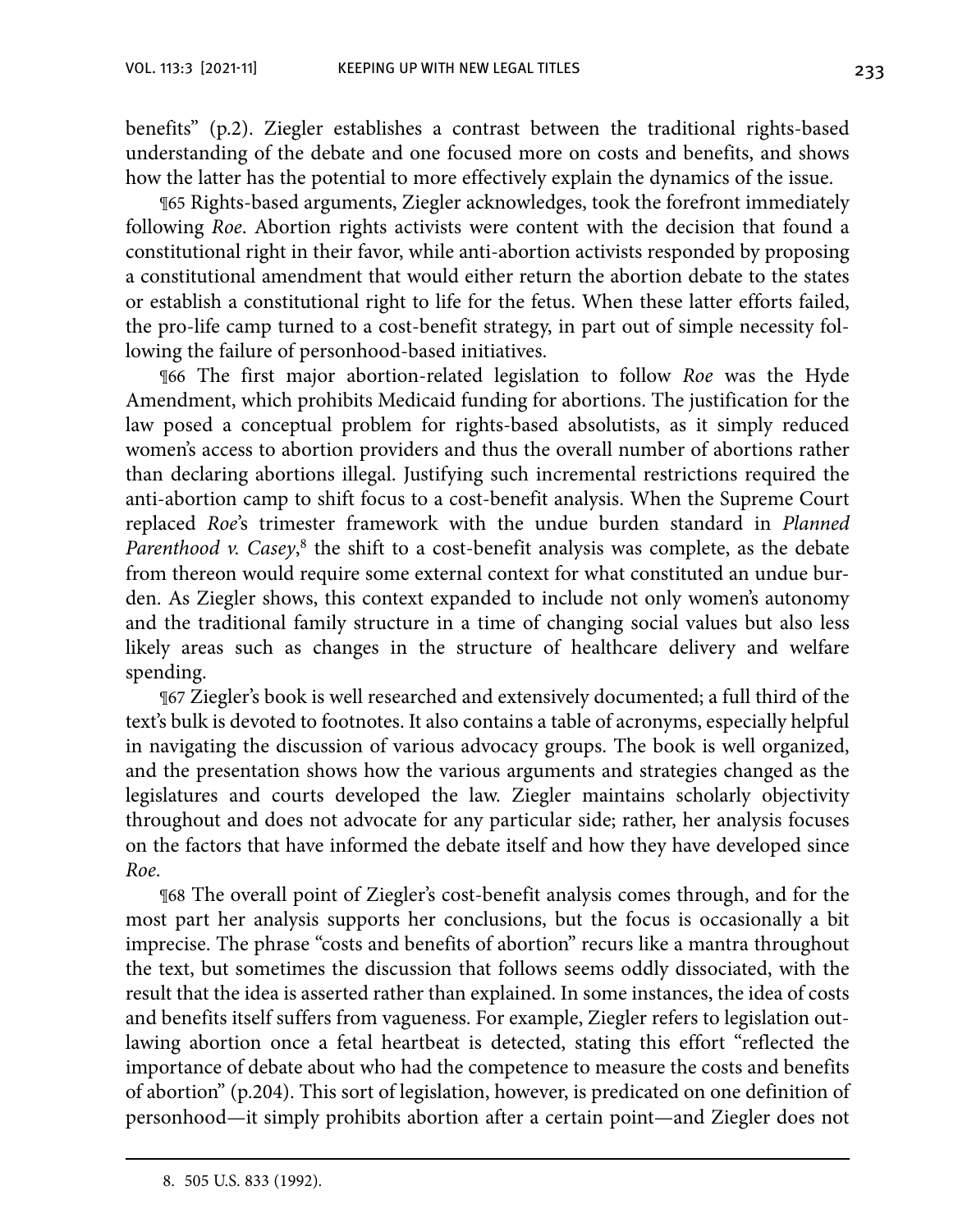benefits" (p.2). Ziegler establishes a contrast between the traditional rights-based understanding of the debate and one focused more on costs and benefits, and shows how the latter has the potential to more effectively explain the dynamics of the issue.

¶65 Rights-based arguments, Ziegler acknowledges, took the forefront immediately following *Roe*. Abortion rights activists were content with the decision that found a constitutional right in their favor, while anti-abortion activists responded by proposing a constitutional amendment that would either return the abortion debate to the states or establish a constitutional right to life for the fetus. When these latter efforts failed, the pro-life camp turned to a cost-benefit strategy, in part out of simple necessity following the failure of personhood-based initiatives.

¶66 The first major abortion-related legislation to follow *Roe* was the Hyde Amendment, which prohibits Medicaid funding for abortions. The justification for the law posed a conceptual problem for rights-based absolutists, as it simply reduced women's access to abortion providers and thus the overall number of abortions rather than declaring abortions illegal. Justifying such incremental restrictions required the anti-abortion camp to shift focus to a cost-benefit analysis. When the Supreme Court replaced *Roe*'s trimester framework with the undue burden standard in *Planned*  Parenthood v. Casey,<sup>8</sup> the shift to a cost-benefit analysis was complete, as the debate from thereon would require some external context for what constituted an undue burden. As Ziegler shows, this context expanded to include not only women's autonomy and the traditional family structure in a time of changing social values but also less likely areas such as changes in the structure of healthcare delivery and welfare spending.

¶67 Ziegler's book is well researched and extensively documented; a full third of the text's bulk is devoted to footnotes. It also contains a table of acronyms, especially helpful in navigating the discussion of various advocacy groups. The book is well organized, and the presentation shows how the various arguments and strategies changed as the legislatures and courts developed the law. Ziegler maintains scholarly objectivity throughout and does not advocate for any particular side; rather, her analysis focuses on the factors that have informed the debate itself and how they have developed since *Roe*.

¶68 The overall point of Ziegler's cost-benefit analysis comes through, and for the most part her analysis supports her conclusions, but the focus is occasionally a bit imprecise. The phrase "costs and benefits of abortion" recurs like a mantra throughout the text, but sometimes the discussion that follows seems oddly dissociated, with the result that the idea is asserted rather than explained. In some instances, the idea of costs and benefits itself suffers from vagueness. For example, Ziegler refers to legislation outlawing abortion once a fetal heartbeat is detected, stating this effort "reflected the importance of debate about who had the competence to measure the costs and benefits of abortion" (p.204). This sort of legislation, however, is predicated on one definition of personhood—it simply prohibits abortion after a certain point—and Ziegler does not